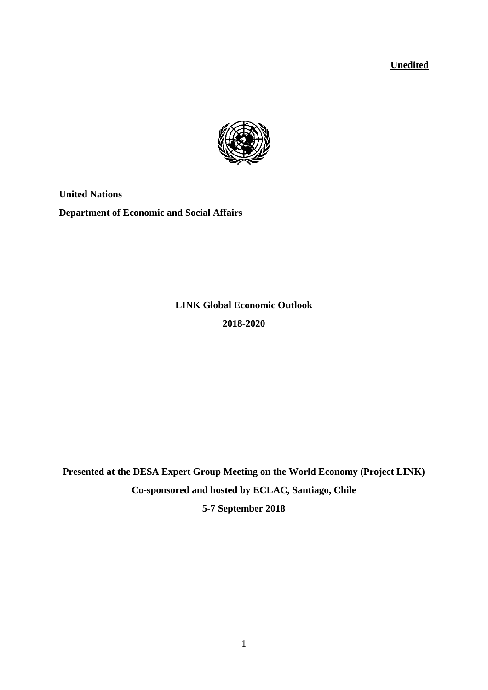**Unedited**



**United Nations Department of Economic and Social Affairs**

> **LINK Global Economic Outlook 2018-2020**

**Presented at the DESA Expert Group Meeting on the World Economy (Project LINK) Co-sponsored and hosted by ECLAC, Santiago, Chile**

**5-7 September 2018**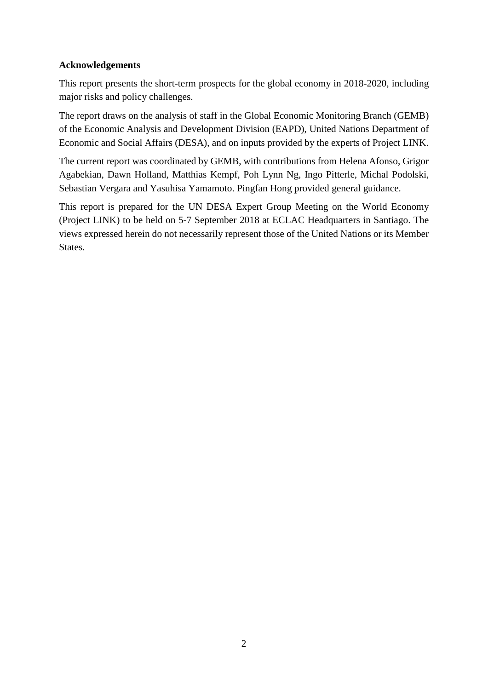### **Acknowledgements**

This report presents the short-term prospects for the global economy in 2018-2020, including major risks and policy challenges.

The report draws on the analysis of staff in the Global Economic Monitoring Branch (GEMB) of the Economic Analysis and Development Division (EAPD), United Nations Department of Economic and Social Affairs (DESA), and on inputs provided by the experts of Project LINK.

The current report was coordinated by GEMB, with contributions from Helena Afonso, Grigor Agabekian, Dawn Holland, Matthias Kempf, Poh Lynn Ng, Ingo Pitterle, Michal Podolski, Sebastian Vergara and Yasuhisa Yamamoto. Pingfan Hong provided general guidance.

This report is prepared for the UN DESA Expert Group Meeting on the World Economy (Project LINK) to be held on 5-7 September 2018 at ECLAC Headquarters in Santiago. The views expressed herein do not necessarily represent those of the United Nations or its Member States.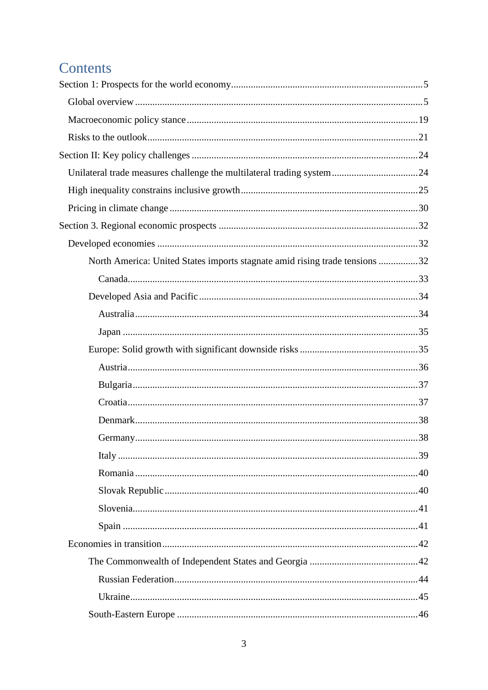# Contents

| North America: United States imports stagnate amid rising trade tensions 32 |  |
|-----------------------------------------------------------------------------|--|
|                                                                             |  |
|                                                                             |  |
|                                                                             |  |
|                                                                             |  |
|                                                                             |  |
|                                                                             |  |
|                                                                             |  |
|                                                                             |  |
|                                                                             |  |
|                                                                             |  |
|                                                                             |  |
|                                                                             |  |
|                                                                             |  |
|                                                                             |  |
|                                                                             |  |
|                                                                             |  |
|                                                                             |  |
|                                                                             |  |
|                                                                             |  |
|                                                                             |  |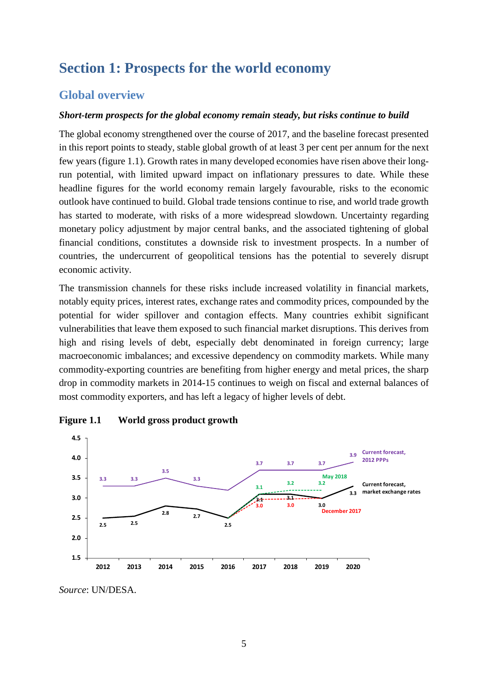# <span id="page-4-0"></span>**Section 1: Prospects for the world economy**

## <span id="page-4-1"></span>**Global overview**

#### *Short-term prospects for the global economy remain steady, but risks continue to build*

The global economy strengthened over the course of 2017, and the baseline forecast presented in this report points to steady, stable global growth of at least 3 per cent per annum for the next few years (figure 1.1). Growth rates in many developed economies have risen above their longrun potential, with limited upward impact on inflationary pressures to date. While these headline figures for the world economy remain largely favourable, risks to the economic outlook have continued to build. Global trade tensions continue to rise, and world trade growth has started to moderate, with risks of a more widespread slowdown. Uncertainty regarding monetary policy adjustment by major central banks, and the associated tightening of global financial conditions, constitutes a downside risk to investment prospects. In a number of countries, the undercurrent of geopolitical tensions has the potential to severely disrupt economic activity.

The transmission channels for these risks include increased volatility in financial markets, notably equity prices, interest rates, exchange rates and commodity prices, compounded by the potential for wider spillover and contagion effects. Many countries exhibit significant vulnerabilities that leave them exposed to such financial market disruptions. This derives from high and rising levels of debt, especially debt denominated in foreign currency; large macroeconomic imbalances; and excessive dependency on commodity markets. While many commodity-exporting countries are benefiting from higher energy and metal prices, the sharp drop in commodity markets in 2014-15 continues to weigh on fiscal and external balances of most commodity exporters, and has left a legacy of higher levels of debt.



**Figure 1.1 World gross product growth**

*Source*: UN/DESA.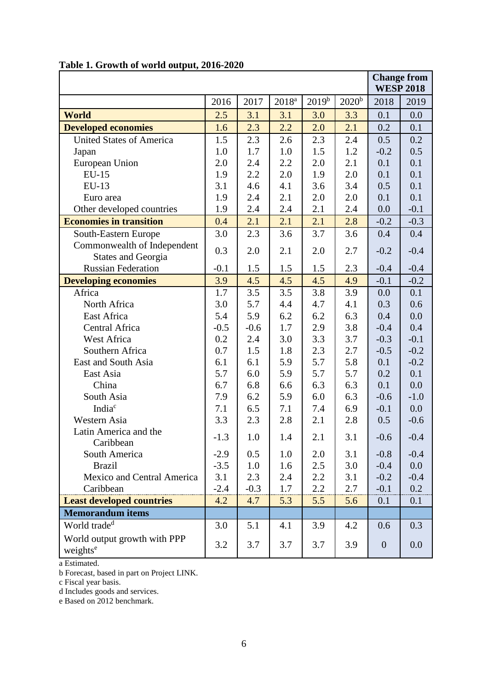|                                                          |        |        |          |          |                   | <b>WESP 2018</b> | <b>Change from</b> |
|----------------------------------------------------------|--------|--------|----------|----------|-------------------|------------------|--------------------|
|                                                          | 2016   | 2017   | $2018^a$ | $2019^b$ | 2020 <sup>b</sup> | 2018             | 2019               |
| <b>World</b>                                             | 2.5    | 3.1    | 3.1      | 3.0      | 3.3               | 0.1              | 0.0                |
| <b>Developed economies</b>                               | 1.6    | 2.3    | 2.2      | 2.0      | 2.1               | 0.2              | 0.1                |
| <b>United States of America</b>                          | 1.5    | 2.3    | 2.6      | 2.3      | 2.4               | 0.5              | 0.2                |
| Japan                                                    | 1.0    | 1.7    | 1.0      | 1.5      | 1.2               | $-0.2$           | 0.5                |
| European Union                                           | 2.0    | 2.4    | 2.2      | 2.0      | 2.1               | 0.1              | 0.1                |
| <b>EU-15</b>                                             | 1.9    | 2.2    | 2.0      | 1.9      | 2.0               | 0.1              | 0.1                |
| EU-13                                                    | 3.1    | 4.6    | 4.1      | 3.6      | 3.4               | 0.5              | 0.1                |
| Euro area                                                | 1.9    | 2.4    | 2.1      | 2.0      | 2.0               | 0.1              | 0.1                |
| Other developed countries                                | 1.9    | 2.4    | 2.4      | 2.1      | 2.4               | 0.0              | $-0.1$             |
| <b>Economies in transition</b>                           | 0.4    | 2.1    | 2.1      | 2.1      | 2.8               | $-0.2$           | $-0.3$             |
| South-Eastern Europe                                     | 3.0    | 2.3    | 3.6      | 3.7      | 3.6               | 0.4              | 0.4                |
| Commonwealth of Independent<br><b>States and Georgia</b> | 0.3    | 2.0    | 2.1      | 2.0      | 2.7               | $-0.2$           | $-0.4$             |
| <b>Russian Federation</b>                                | $-0.1$ | 1.5    | 1.5      | 1.5      | 2.3               | $-0.4$           | $-0.4$             |
| <b>Developing economies</b>                              | 3.9    | 4.5    | 4.5      | 4.5      | 4.9               | $-0.1$           | $-0.2$             |
| Africa                                                   | 1.7    | 3.5    | 3.5      | 3.8      | 3.9               | 0.0              | 0.1                |
| North Africa                                             | 3.0    | 5.7    | 4.4      | 4.7      | 4.1               | 0.3              | 0.6                |
| East Africa                                              | 5.4    | 5.9    | 6.2      | 6.2      | 6.3               | 0.4              | 0.0                |
| Central Africa                                           | $-0.5$ | $-0.6$ | 1.7      | 2.9      | 3.8               | $-0.4$           | 0.4                |
| West Africa                                              | 0.2    | 2.4    | 3.0      | 3.3      | 3.7               | $-0.3$           | $-0.1$             |
| Southern Africa                                          | 0.7    | 1.5    | 1.8      | 2.3      | 2.7               | $-0.5$           | $-0.2$             |
| East and South Asia                                      | 6.1    | 6.1    | 5.9      | 5.7      | 5.8               | 0.1              | $-0.2$             |
| East Asia                                                | 5.7    | 6.0    | 5.9      | 5.7      | 5.7               | 0.2              | 0.1                |
| China                                                    | 6.7    | 6.8    | 6.6      | 6.3      | 6.3               | 0.1              | 0.0                |
| South Asia                                               | 7.9    | 6.2    | 5.9      | 6.0      | 6.3               | $-0.6$           | $-1.0$             |
| India <sup>c</sup>                                       | 7.1    | 6.5    | 7.1      | 7.4      | 6.9               | $-0.1$           | 0.0                |
| Western Asia                                             | 3.3    | 2.3    | 2.8      | 2.1      | 2.8               | 0.5              | $-0.6$             |
| Latin America and the<br>Caribbean                       | 1.3    | 1.0    | 1.4      | 2.1      | 3.1               | $-0.6$           | $-0.4$             |
| South America                                            | $-2.9$ | 0.5    | 1.0      | 2.0      | 3.1               | $-0.8$           | $-0.4$             |
| <b>Brazil</b>                                            | $-3.5$ | 1.0    | 1.6      | 2.5      | 3.0               | $-0.4$           | 0.0                |
| Mexico and Central America                               | 3.1    | 2.3    | 2.4      | 2.2      | 3.1               | $-0.2$           | $-0.4$             |
| Caribbean                                                | $-2.4$ | $-0.3$ | 1.7      | 2.2      | 2.7               | $-0.1$           | 0.2                |
| <b>Least developed countries</b>                         | 4.2    | 4.7    | 5.3      | 5.5      | 5.6               | 0.1              | 0.1                |
| <b>Memorandum items</b>                                  |        |        |          |          |                   |                  |                    |
| World trade <sup>d</sup>                                 | 3.0    | 5.1    | 4.1      | 3.9      | 4.2               | 0.6              | 0.3                |
| World output growth with PPP<br>weights <sup>e</sup>     | 3.2    | 3.7    | 3.7      | 3.7      | 3.9               | $\boldsymbol{0}$ | 0.0                |

# **Table 1. Growth of world output, 2016-2020**

a Estimated.

b Forecast, based in part on Project LINK.

c Fiscal year basis.

d Includes goods and services.

e Based on 2012 benchmark.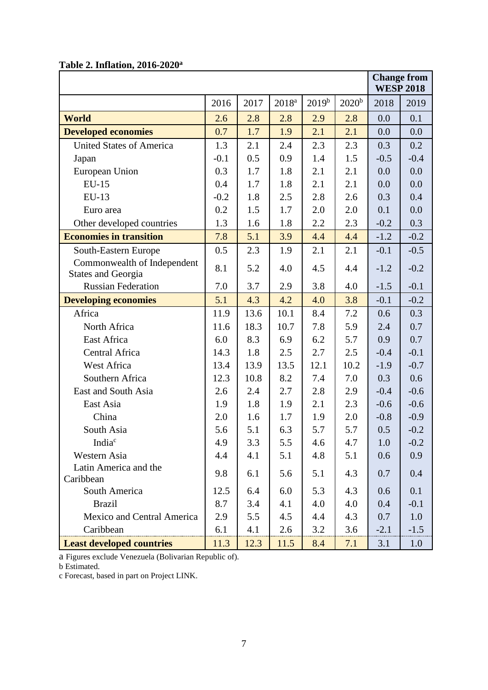# **Table 2. Inflation, 2016-2020a**

|                                                          |        |      |                   |            |            |        | <b>Change from</b><br><b>WESP 2018</b> |
|----------------------------------------------------------|--------|------|-------------------|------------|------------|--------|----------------------------------------|
|                                                          | 2016   | 2017 | 2018 <sup>a</sup> | $2019^{b}$ | $2020^{b}$ | 2018   | 2019                                   |
| <b>World</b>                                             | 2.6    | 2.8  | 2.8               | 2.9        | 2.8        | 0.0    | 0.1                                    |
| <b>Developed economies</b>                               | 0.7    | 1.7  | 1.9               | 2.1        | 2.1        | 0.0    | 0.0                                    |
| <b>United States of America</b>                          | 1.3    | 2.1  | 2.4               | 2.3        | 2.3        | 0.3    | 0.2                                    |
| Japan                                                    | $-0.1$ | 0.5  | 0.9               | 1.4        | 1.5        | $-0.5$ | $-0.4$                                 |
| European Union                                           | 0.3    | 1.7  | 1.8               | 2.1        | 2.1        | 0.0    | 0.0                                    |
| <b>EU-15</b>                                             | 0.4    | 1.7  | 1.8               | 2.1        | 2.1        | 0.0    | 0.0                                    |
| EU-13                                                    | $-0.2$ | 1.8  | 2.5               | 2.8        | 2.6        | 0.3    | 0.4                                    |
| Euro area                                                | 0.2    | 1.5  | 1.7               | 2.0        | 2.0        | 0.1    | 0.0                                    |
| Other developed countries                                | 1.3    | 1.6  | 1.8               | 2.2        | 2.3        | $-0.2$ | 0.3                                    |
| <b>Economies in transition</b>                           | 7.8    | 5.1  | 3.9               | 4.4        | 4.4        | $-1.2$ | $-0.2$                                 |
| South-Eastern Europe                                     | 0.5    | 2.3  | 1.9               | 2.1        | 2.1        | $-0.1$ | $-0.5$                                 |
| Commonwealth of Independent<br><b>States and Georgia</b> | 8.1    | 5.2  | 4.0               | 4.5        | 4.4        | $-1.2$ | $-0.2$                                 |
| <b>Russian Federation</b>                                | 7.0    | 3.7  | 2.9               | 3.8        | 4.0        | $-1.5$ | $-0.1$                                 |
| <b>Developing economies</b>                              | 5.1    | 4.3  | 4.2               | 4.0        | 3.8        | $-0.1$ | $-0.2$                                 |
| Africa                                                   | 11.9   | 13.6 | 10.1              | 8.4        | 7.2        | 0.6    | 0.3                                    |
| North Africa                                             | 11.6   | 18.3 | 10.7              | 7.8        | 5.9        | 2.4    | 0.7                                    |
| East Africa                                              | 6.0    | 8.3  | 6.9               | 6.2        | 5.7        | 0.9    | 0.7                                    |
| Central Africa                                           | 14.3   | 1.8  | 2.5               | 2.7        | 2.5        | $-0.4$ | $-0.1$                                 |
| West Africa                                              | 13.4   | 13.9 | 13.5              | 12.1       | 10.2       | $-1.9$ | $-0.7$                                 |
| Southern Africa                                          | 12.3   | 10.8 | 8.2               | 7.4        | 7.0        | 0.3    | 0.6                                    |
| East and South Asia                                      | 2.6    | 2.4  | 2.7               | 2.8        | 2.9        | $-0.4$ | $-0.6$                                 |
| East Asia                                                | 1.9    | 1.8  | 1.9               | 2.1        | 2.3        | $-0.6$ | $-0.6$                                 |
| China                                                    | 2.0    | 1.6  | 1.7               | 1.9        | 2.0        | $-0.8$ | $-0.9$                                 |
| South Asia                                               | 5.6    | 5.1  | 6.3               | 5.7        | 5.7        | 0.5    | $-0.2$                                 |
| India <sup>c</sup>                                       | 4.9    | 3.3  | 5.5               | 4.6        | 4.7        | 1.0    | $-0.2$                                 |
| Western Asia                                             | 4.4    | 4.1  | 5.1               | 4.8        | 5.1        | 0.6    | 0.9                                    |
| Latin America and the<br>Caribbean                       | 9.8    | 6.1  | 5.6               | 5.1        | 4.3        | 0.7    | 0.4                                    |
| South America                                            | 12.5   | 6.4  | 6.0               | 5.3        | 4.3        | 0.6    | 0.1                                    |
| <b>Brazil</b>                                            | 8.7    | 3.4  | 4.1               | 4.0        | 4.0        | 0.4    | $-0.1$                                 |
| Mexico and Central America                               | 2.9    | 5.5  | 4.5               | 4.4        | 4.3        | 0.7    | 1.0                                    |
| Caribbean                                                | 6.1    | 4.1  | 2.6               | 3.2        | 3.6        | $-2.1$ | $-1.5$                                 |
| <b>Least developed countries</b>                         | 11.3   | 12.3 | 11.5              | 8.4        | 7.1        | 3.1    | 1.0                                    |

a Figures exclude Venezuela (Bolivarian Republic of).

b Estimated.

c Forecast, based in part on Project LINK.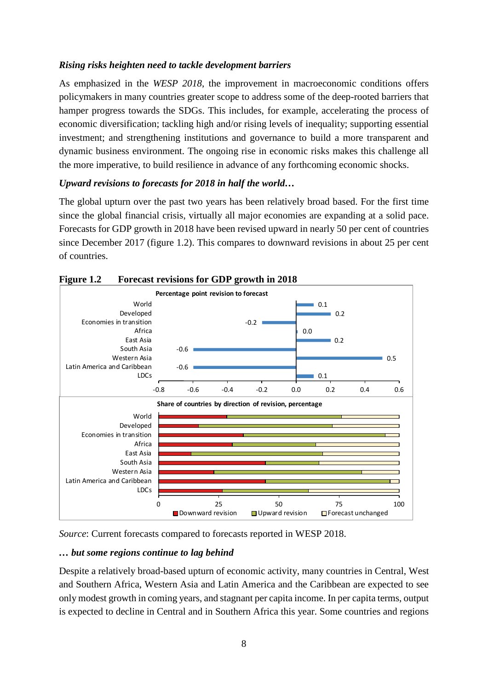### *Rising risks heighten need to tackle development barriers*

As emphasized in the *WESP 2018*, the improvement in macroeconomic conditions offers policymakers in many countries greater scope to address some of the deep-rooted barriers that hamper progress towards the SDGs. This includes, for example, accelerating the process of economic diversification; tackling high and/or rising levels of inequality; supporting essential investment; and strengthening institutions and governance to build a more transparent and dynamic business environment. The ongoing rise in economic risks makes this challenge all the more imperative, to build resilience in advance of any forthcoming economic shocks.

### *Upward revisions to forecasts for 2018 in half the world…*

The global upturn over the past two years has been relatively broad based. For the first time since the global financial crisis, virtually all major economies are expanding at a solid pace. Forecasts for GDP growth in 2018 have been revised upward in nearly 50 per cent of countries since December 2017 (figure 1.2). This compares to downward revisions in about 25 per cent of countries.



#### **Figure 1.2 Forecast revisions for GDP growth in 2018**

*Source*: Current forecasts compared to forecasts reported in WESP 2018.

#### *… but some regions continue to lag behind*

Despite a relatively broad-based upturn of economic activity, many countries in Central, West and Southern Africa, Western Asia and Latin America and the Caribbean are expected to see only modest growth in coming years, and stagnant per capita income. In per capita terms, output is expected to decline in Central and in Southern Africa this year. Some countries and regions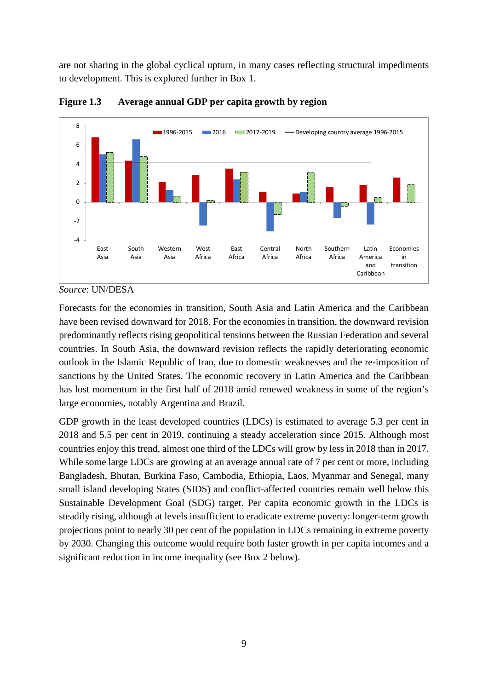are not sharing in the global cyclical upturn, in many cases reflecting structural impediments to development. This is explored further in Box 1.



**Figure 1.3 Average annual GDP per capita growth by region**

Forecasts for the economies in transition, South Asia and Latin America and the Caribbean have been revised downward for 2018. For the economies in transition, the downward revision predominantly reflects rising geopolitical tensions between the Russian Federation and several countries. In South Asia, the downward revision reflects the rapidly deteriorating economic outlook in the Islamic Republic of Iran, due to domestic weaknesses and the re-imposition of sanctions by the United States. The economic recovery in Latin America and the Caribbean has lost momentum in the first half of 2018 amid renewed weakness in some of the region's large economies, notably Argentina and Brazil.

GDP growth in the least developed countries (LDCs) is estimated to average 5.3 per cent in 2018 and 5.5 per cent in 2019, continuing a steady acceleration since 2015. Although most countries enjoy this trend, almost one third of the LDCs will grow by less in 2018 than in 2017. While some large LDCs are growing at an average annual rate of 7 per cent or more, including Bangladesh, Bhutan, Burkina Faso, Cambodia, Ethiopia, Laos, Myanmar and Senegal, many small island developing States (SIDS) and conflict-affected countries remain well below this Sustainable Development Goal (SDG) target. Per capita economic growth in the LDCs is steadily rising, although at levels insufficient to eradicate extreme poverty: longer-term growth projections point to nearly 30 per cent of the population in LDCs remaining in extreme poverty by 2030. Changing this outcome would require both faster growth in per capita incomes and a significant reduction in income inequality (see Box 2 below).

*Source*: UN/DESA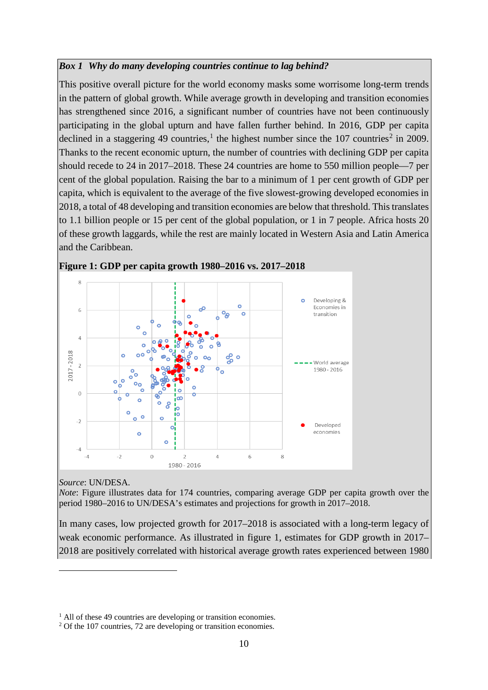#### *Box 1 Why do many developing countries continue to lag behind?*

This positive overall picture for the world economy masks some worrisome long-term trends in the pattern of global growth. While average growth in developing and transition economies has strengthened since 2016, a significant number of countries have not been continuously participating in the global upturn and have fallen further behind. In 2016, GDP per capita declined in a staggering 49 countries,<sup>[1](#page-9-0)</sup> the highest number since the 107 countries<sup>[2](#page-9-1)</sup> in 2009. Thanks to the recent economic upturn, the number of countries with declining GDP per capita should recede to 24 in 2017–2018. These 24 countries are home to 550 million people—7 per cent of the global population. Raising the bar to a minimum of 1 per cent growth of GDP per capita, which is equivalent to the average of the five slowest-growing developed economies in 2018, a total of 48 developing and transition economies are below that threshold. This translates to 1.1 billion people or 15 per cent of the global population, or 1 in 7 people. Africa hosts 20 of these growth laggards, while the rest are mainly located in Western Asia and Latin America and the Caribbean.





*Source*: UN/DESA.

<u>.</u>

*Note*: Figure illustrates data for 174 countries, comparing average GDP per capita growth over the period 1980–2016 to UN/DESA's estimates and projections for growth in 2017–2018.

In many cases, low projected growth for 2017–2018 is associated with a long-term legacy of weak economic performance. As illustrated in figure 1, estimates for GDP growth in 2017– 2018 are positively correlated with historical average growth rates experienced between 1980

<span id="page-9-0"></span><sup>&</sup>lt;sup>1</sup> All of these 49 countries are developing or transition economies.

<span id="page-9-1"></span><sup>&</sup>lt;sup>2</sup> Of the 107 countries, 72 are developing or transition economies.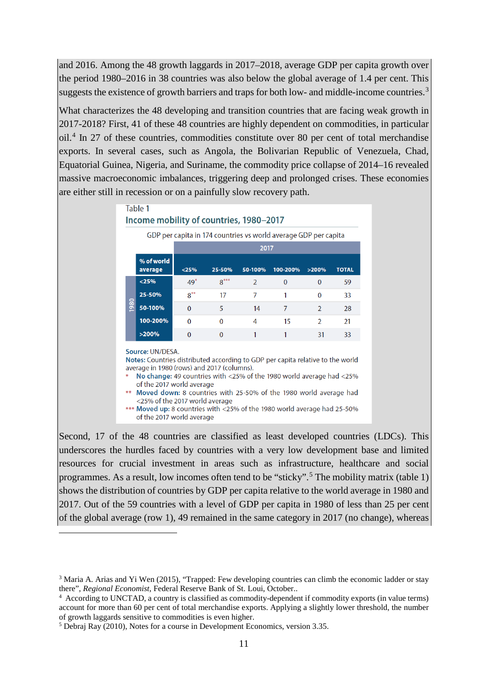and 2016. Among the 48 growth laggards in 2017–2018, average GDP per capita growth over the period 1980–2016 in 38 countries was also below the global average of 1.4 per cent. This suggests the existence of growth barriers and traps for both low- and middle-income countries.<sup>[3](#page-10-0)</sup>

What characterizes the 48 developing and transition countries that are facing weak growth in 2017-2018? First, 41 of these 48 countries are highly dependent on commodities, in particular oil.[4](#page-10-1) In 27 of these countries, commodities constitute over 80 per cent of total merchandise exports. In several cases, such as Angola, the Bolivarian Republic of Venezuela, Chad, Equatorial Guinea, Nigeria, and Suriname, the commodity price collapse of 2014–16 revealed massive macroeconomic imbalances, triggering deep and prolonged crises. These economies are either still in recession or on a painfully slow recovery path.

|      |                       | GDP per capita in 174 countries vs world average GDP per capita<br>2017 |              |         |                |                |              |  |
|------|-----------------------|-------------------------------------------------------------------------|--------------|---------|----------------|----------------|--------------|--|
|      | % of world<br>average | < 25%                                                                   | 25-50%       | 50-100% | 100-200%       | >200%          | <b>TOTAL</b> |  |
|      | < 25%                 | $49*$                                                                   | $8***$       | 2       | $\bf{0}$       | $\bf{0}$       | 59           |  |
|      | 25-50%                | $8***$                                                                  | 17           | 7       | 1              | $\Omega$       | 33           |  |
| 1980 | 50-100%               | $\mathbf{0}$                                                            | 5            | 14      | $\overline{7}$ | $\overline{2}$ | 28           |  |
|      | 100-200%              | $\Omega$                                                                | $\Omega$     | 4       | 15             | $\mathcal{P}$  | 21           |  |
|      | >200%                 | $\mathbf{0}$                                                            | $\mathbf{0}$ | 1       | 1              | 31             | 33           |  |

Second, 17 of the 48 countries are classified as least developed countries (LDCs). This underscores the hurdles faced by countries with a very low development base and limited resources for crucial investment in areas such as infrastructure, healthcare and social programmes. As a result, low incomes often tend to be "sticky".<sup>[5](#page-10-2)</sup> The mobility matrix (table 1) shows the distribution of countries by GDP per capita relative to the world average in 1980 and 2017. Out of the 59 countries with a level of GDP per capita in 1980 of less than 25 per cent of the global average (row 1), 49 remained in the same category in 2017 (no change), whereas

<u>.</u>

<span id="page-10-0"></span><sup>3</sup> Maria A. Arias and Yi Wen (2015), "Trapped: Few developing countries can climb the economic ladder or stay there", *Regional Economist*, Federal Reserve Bank of St. Loui, October..

<span id="page-10-1"></span><sup>4</sup> According to UNCTAD, a country is classified as commodity-dependent if commodity exports (in value terms) account for more than 60 per cent of total merchandise exports. Applying a slightly lower threshold, the number of growth laggards sensitive to commodities is even higher.

<span id="page-10-2"></span><sup>5</sup> Debraj Ray (2010), Notes for a course in Development Economics, version 3.35.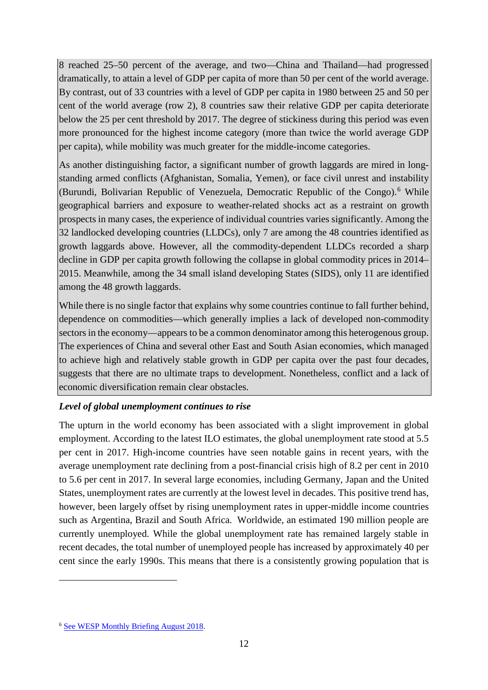8 reached 25–50 percent of the average, and two—China and Thailand—had progressed dramatically, to attain a level of GDP per capita of more than 50 per cent of the world average. By contrast, out of 33 countries with a level of GDP per capita in 1980 between 25 and 50 per cent of the world average (row 2), 8 countries saw their relative GDP per capita deteriorate below the 25 per cent threshold by 2017. The degree of stickiness during this period was even more pronounced for the highest income category (more than twice the world average GDP per capita), while mobility was much greater for the middle-income categories.

As another distinguishing factor, a significant number of growth laggards are mired in longstanding armed conflicts (Afghanistan, Somalia, Yemen), or face civil unrest and instability (Burundi, Bolivarian Republic of Venezuela, Democratic Republic of the Congo).<sup>[6](#page-11-0)</sup> While geographical barriers and exposure to weather-related shocks act as a restraint on growth prospects in many cases, the experience of individual countries varies significantly. Among the 32 landlocked developing countries (LLDCs), only 7 are among the 48 countries identified as growth laggards above. However, all the commodity-dependent LLDCs recorded a sharp decline in GDP per capita growth following the collapse in global commodity prices in 2014– 2015. Meanwhile, among the 34 small island developing States (SIDS), only 11 are identified among the 48 growth laggards.

While there is no single factor that explains why some countries continue to fall further behind, dependence on commodities—which generally implies a lack of developed non-commodity sectors in the economy—appears to be a common denominator among this heterogenous group. The experiences of China and several other East and South Asian economies, which managed to achieve high and relatively stable growth in GDP per capita over the past four decades, suggests that there are no ultimate traps to development. Nonetheless, conflict and a lack of economic diversification remain clear obstacles.

### *Level of global unemployment continues to rise*

The upturn in the world economy has been associated with a slight improvement in global employment. According to the latest ILO estimates, the global unemployment rate stood at 5.5 per cent in 2017. High-income countries have seen notable gains in recent years, with the average unemployment rate declining from a post-financial crisis high of 8.2 per cent in 2010 to 5.6 per cent in 2017. In several large economies, including Germany, Japan and the United States, unemployment rates are currently at the lowest level in decades. This positive trend has, however, been largely offset by rising unemployment rates in upper-middle income countries such as Argentina, Brazil and South Africa. Worldwide, an estimated 190 million people are currently unemployed. While the global unemployment rate has remained largely stable in recent decades, the total number of unemployed people has increased by approximately 40 per cent since the early 1990s. This means that there is a consistently growing population that is

-

<span id="page-11-0"></span><sup>6</sup> [See WESP Monthly Briefing August 2018.](https://www.un.org/development/desa/dpad/document_gem/global-economic-monitoring-unit/monthly-briefing-on-the-world-economic-situation-and-prospects/)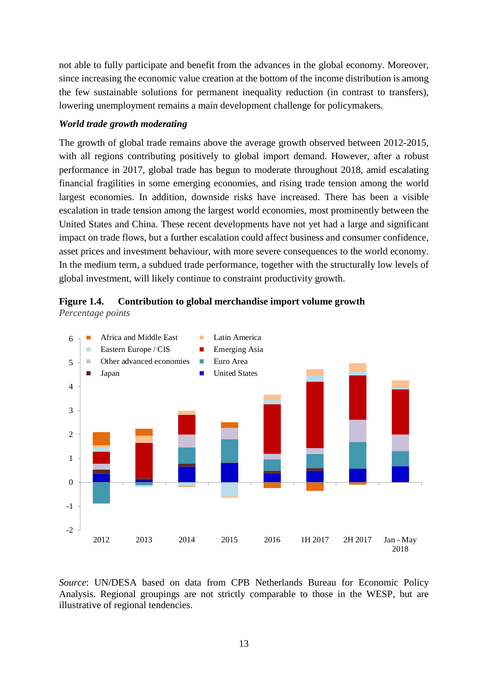not able to fully participate and benefit from the advances in the global economy. Moreover, since increasing the economic value creation at the bottom of the income distribution is among the few sustainable solutions for permanent inequality reduction (in contrast to transfers), lowering unemployment remains a main development challenge for policymakers.

#### *World trade growth moderating*

The growth of global trade remains above the average growth observed between 2012-2015, with all regions contributing positively to global import demand. However, after a robust performance in 2017, global trade has begun to moderate throughout 2018, amid escalating financial fragilities in some emerging economies, and rising trade tension among the world largest economies. In addition, downside risks have increased. There has been a visible escalation in trade tension among the largest world economies, most prominently between the United States and China. These recent developments have not yet had a large and significant impact on trade flows, but a further escalation could affect business and consumer confidence, asset prices and investment behaviour, with more severe consequences to the world economy. In the medium term, a subdued trade performance, together with the structurally low levels of global investment, will likely continue to constraint productivity growth.





*Source*: UN/DESA based on data from CPB Netherlands Bureau for Economic Policy Analysis. Regional groupings are not strictly comparable to those in the WESP, but are illustrative of regional tendencies.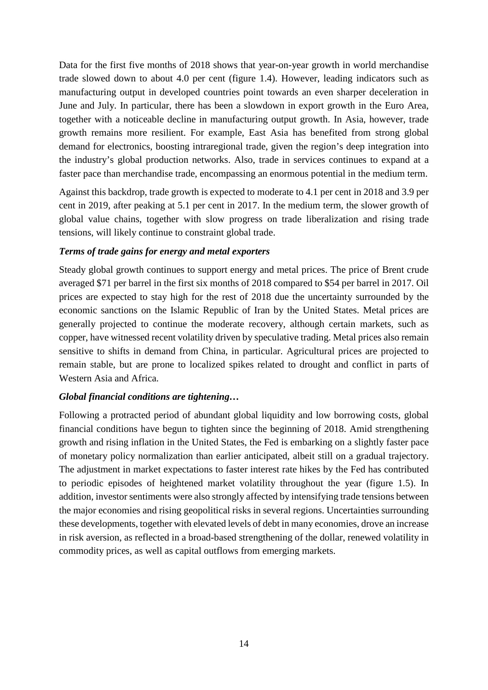Data for the first five months of 2018 shows that year-on-year growth in world merchandise trade slowed down to about 4.0 per cent (figure 1.4). However, leading indicators such as manufacturing output in developed countries point towards an even sharper deceleration in June and July. In particular, there has been a slowdown in export growth in the Euro Area, together with a noticeable decline in manufacturing output growth. In Asia, however, trade growth remains more resilient. For example, East Asia has benefited from strong global demand for electronics, boosting intraregional trade, given the region's deep integration into the industry's global production networks. Also, trade in services continues to expand at a faster pace than merchandise trade, encompassing an enormous potential in the medium term.

Against this backdrop, trade growth is expected to moderate to 4.1 per cent in 2018 and 3.9 per cent in 2019, after peaking at 5.1 per cent in 2017. In the medium term, the slower growth of global value chains, together with slow progress on trade liberalization and rising trade tensions, will likely continue to constraint global trade.

#### *Terms of trade gains for energy and metal exporters*

Steady global growth continues to support energy and metal prices. The price of Brent crude averaged \$71 per barrel in the first six months of 2018 compared to \$54 per barrel in 2017. Oil prices are expected to stay high for the rest of 2018 due the uncertainty surrounded by the economic sanctions on the Islamic Republic of Iran by the United States. Metal prices are generally projected to continue the moderate recovery, although certain markets, such as copper, have witnessed recent volatility driven by speculative trading. Metal prices also remain sensitive to shifts in demand from China, in particular. Agricultural prices are projected to remain stable, but are prone to localized spikes related to drought and conflict in parts of Western Asia and Africa.

### *Global financial conditions are tightening…*

Following a protracted period of abundant global liquidity and low borrowing costs, global financial conditions have begun to tighten since the beginning of 2018. Amid strengthening growth and rising inflation in the United States, the Fed is embarking on a slightly faster pace of monetary policy normalization than earlier anticipated, albeit still on a gradual trajectory. The adjustment in market expectations to faster interest rate hikes by the Fed has contributed to periodic episodes of heightened market volatility throughout the year (figure 1.5). In addition, investor sentiments were also strongly affected by intensifying trade tensions between the major economies and rising geopolitical risks in several regions. Uncertainties surrounding these developments, together with elevated levels of debt in many economies, drove an increase in risk aversion, as reflected in a broad-based strengthening of the dollar, renewed volatility in commodity prices, as well as capital outflows from emerging markets.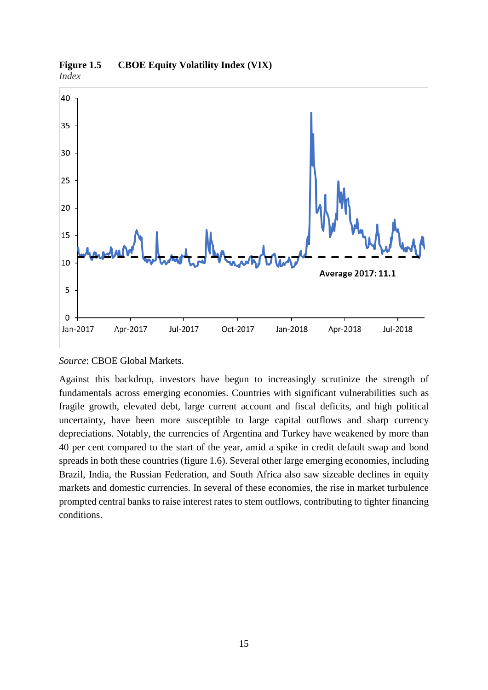

**Figure 1.5 CBOE Equity Volatility Index (VIX)** *Index*

*Source*: CBOE Global Markets.

Against this backdrop, investors have begun to increasingly scrutinize the strength of fundamentals across emerging economies. Countries with significant vulnerabilities such as fragile growth, elevated debt, large current account and fiscal deficits, and high political uncertainty, have been more susceptible to large capital outflows and sharp currency depreciations. Notably, the currencies of Argentina and Turkey have weakened by more than 40 per cent compared to the start of the year, amid a spike in credit default swap and bond spreads in both these countries (figure 1.6). Several other large emerging economies, including Brazil, India, the Russian Federation, and South Africa also saw sizeable declines in equity markets and domestic currencies. In several of these economies, the rise in market turbulence prompted central banks to raise interest rates to stem outflows, contributing to tighter financing conditions.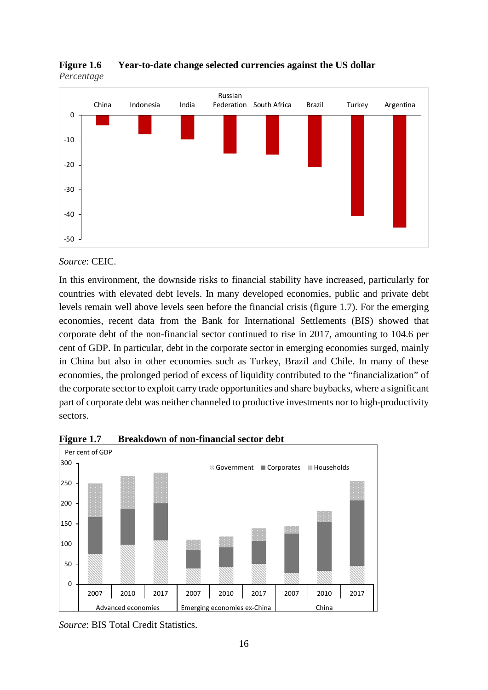

**Figure 1.6 Year-to-date change selected currencies against the US dollar** *Percentage*

*Source*: CEIC.

In this environment, the downside risks to financial stability have increased, particularly for countries with elevated debt levels. In many developed economies, public and private debt levels remain well above levels seen before the financial crisis (figure 1.7). For the emerging economies, recent data from the Bank for International Settlements (BIS) showed that corporate debt of the non-financial sector continued to rise in 2017, amounting to 104.6 per cent of GDP. In particular, debt in the corporate sector in emerging economies surged, mainly in China but also in other economies such as Turkey, Brazil and Chile. In many of these economies, the prolonged period of excess of liquidity contributed to the "financialization" of the corporate sector to exploit carry trade opportunities and share buybacks, where a significant part of corporate debt was neither channeled to productive investments nor to high-productivity sectors.



**Figure 1.7 Breakdown of non-financial sector debt** 

*Source*: BIS Total Credit Statistics.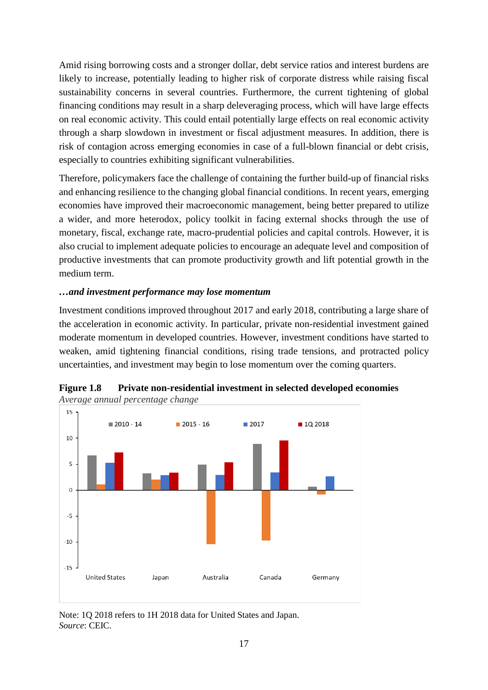Amid rising borrowing costs and a stronger dollar, debt service ratios and interest burdens are likely to increase, potentially leading to higher risk of corporate distress while raising fiscal sustainability concerns in several countries. Furthermore, the current tightening of global financing conditions may result in a sharp deleveraging process, which will have large effects on real economic activity. This could entail potentially large effects on real economic activity through a sharp slowdown in investment or fiscal adjustment measures. In addition, there is risk of contagion across emerging economies in case of a full-blown financial or debt crisis, especially to countries exhibiting significant vulnerabilities.

Therefore, policymakers face the challenge of containing the further build-up of financial risks and enhancing resilience to the changing global financial conditions. In recent years, emerging economies have improved their macroeconomic management, being better prepared to utilize a wider, and more heterodox, policy toolkit in facing external shocks through the use of monetary, fiscal, exchange rate, macro-prudential policies and capital controls. However, it is also crucial to implement adequate policies to encourage an adequate level and composition of productive investments that can promote productivity growth and lift potential growth in the medium term.

#### *…and investment performance may lose momentum*

Investment conditions improved throughout 2017 and early 2018, contributing a large share of the acceleration in economic activity. In particular, private non-residential investment gained moderate momentum in developed countries. However, investment conditions have started to weaken, amid tightening financial conditions, rising trade tensions, and protracted policy uncertainties, and investment may begin to lose momentum over the coming quarters.



**Figure 1.8 Private non-residential investment in selected developed economies** *Average annual percentage change*

Note: 1Q 2018 refers to 1H 2018 data for United States and Japan. *Source*: CEIC.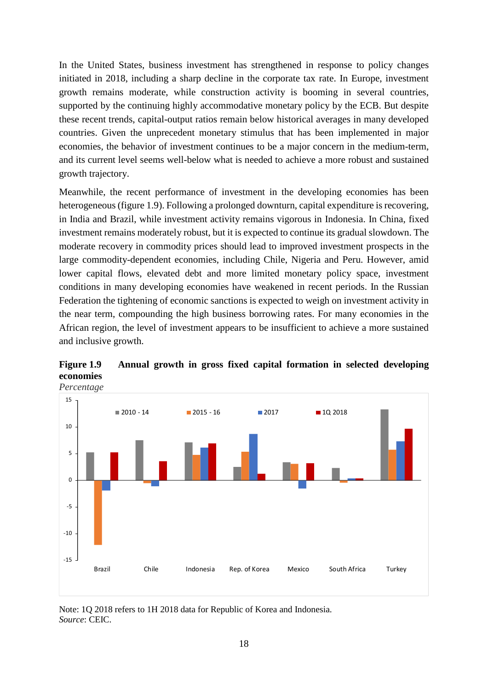In the United States, business investment has strengthened in response to policy changes initiated in 2018, including a sharp decline in the corporate tax rate. In Europe, investment growth remains moderate, while construction activity is booming in several countries, supported by the continuing highly accommodative monetary policy by the ECB. But despite these recent trends, capital-output ratios remain below historical averages in many developed countries. Given the unprecedent monetary stimulus that has been implemented in major economies, the behavior of investment continues to be a major concern in the medium-term, and its current level seems well-below what is needed to achieve a more robust and sustained growth trajectory.

Meanwhile, the recent performance of investment in the developing economies has been heterogeneous (figure 1.9). Following a prolonged downturn, capital expenditure is recovering, in India and Brazil, while investment activity remains vigorous in Indonesia. In China, fixed investment remains moderately robust, but it is expected to continue its gradual slowdown. The moderate recovery in commodity prices should lead to improved investment prospects in the large commodity-dependent economies, including Chile, Nigeria and Peru. However, amid lower capital flows, elevated debt and more limited monetary policy space, investment conditions in many developing economies have weakened in recent periods. In the Russian Federation the tightening of economic sanctions is expected to weigh on investment activity in the near term, compounding the high business borrowing rates. For many economies in the African region, the level of investment appears to be insufficient to achieve a more sustained and inclusive growth.



**Figure 1.9 Annual growth in gross fixed capital formation in selected developing economies**

Note: 1Q 2018 refers to 1H 2018 data for Republic of Korea and Indonesia. *Source*: CEIC.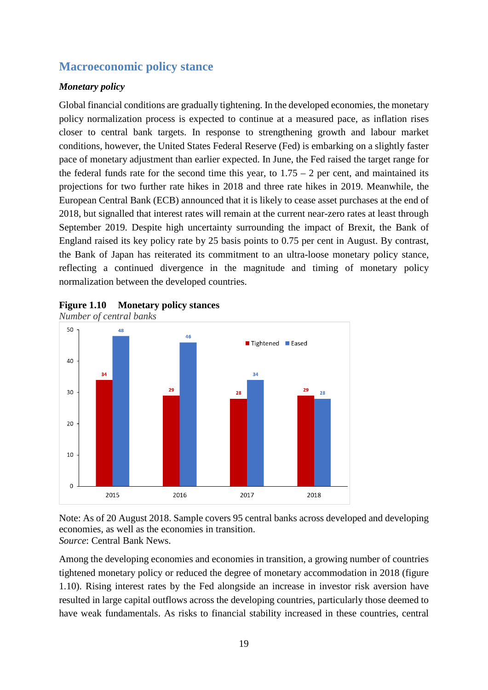# <span id="page-18-0"></span>**Macroeconomic policy stance**

### *Monetary policy*

Global financial conditions are gradually tightening. In the developed economies, the monetary policy normalization process is expected to continue at a measured pace, as inflation rises closer to central bank targets. In response to strengthening growth and labour market conditions, however, the United States Federal Reserve (Fed) is embarking on a slightly faster pace of monetary adjustment than earlier expected. In June, the Fed raised the target range for the federal funds rate for the second time this year, to  $1.75 - 2$  per cent, and maintained its projections for two further rate hikes in 2018 and three rate hikes in 2019. Meanwhile, the European Central Bank (ECB) announced that it is likely to cease asset purchases at the end of 2018, but signalled that interest rates will remain at the current near-zero rates at least through September 2019. Despite high uncertainty surrounding the impact of Brexit, the Bank of England raised its key policy rate by 25 basis points to 0.75 per cent in August. By contrast, the Bank of Japan has reiterated its commitment to an ultra-loose monetary policy stance, reflecting a continued divergence in the magnitude and timing of monetary policy normalization between the developed countries.





Note: As of 20 August 2018. Sample covers 95 central banks across developed and developing economies, as well as the economies in transition. *Source*: Central Bank News.

Among the developing economies and economies in transition, a growing number of countries tightened monetary policy or reduced the degree of monetary accommodation in 2018 (figure 1.10). Rising interest rates by the Fed alongside an increase in investor risk aversion have resulted in large capital outflows across the developing countries, particularly those deemed to have weak fundamentals. As risks to financial stability increased in these countries, central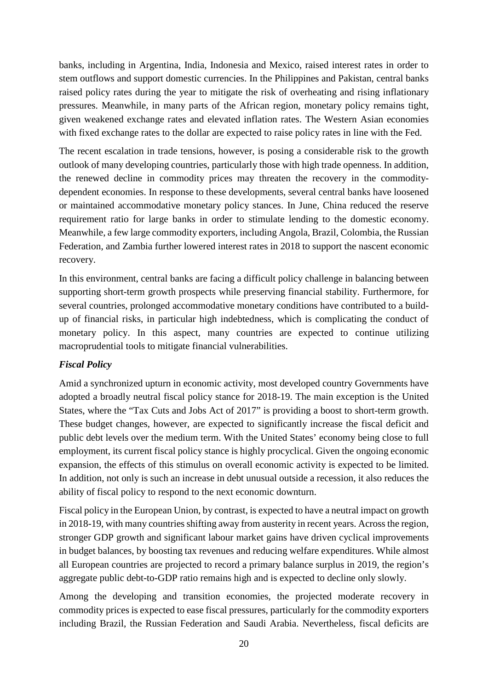banks, including in Argentina, India, Indonesia and Mexico, raised interest rates in order to stem outflows and support domestic currencies. In the Philippines and Pakistan, central banks raised policy rates during the year to mitigate the risk of overheating and rising inflationary pressures. Meanwhile, in many parts of the African region, monetary policy remains tight, given weakened exchange rates and elevated inflation rates. The Western Asian economies with fixed exchange rates to the dollar are expected to raise policy rates in line with the Fed.

The recent escalation in trade tensions, however, is posing a considerable risk to the growth outlook of many developing countries, particularly those with high trade openness. In addition, the renewed decline in commodity prices may threaten the recovery in the commoditydependent economies. In response to these developments, several central banks have loosened or maintained accommodative monetary policy stances. In June, China reduced the reserve requirement ratio for large banks in order to stimulate lending to the domestic economy. Meanwhile, a few large commodity exporters, including Angola, Brazil, Colombia, the Russian Federation, and Zambia further lowered interest rates in 2018 to support the nascent economic recovery.

In this environment, central banks are facing a difficult policy challenge in balancing between supporting short-term growth prospects while preserving financial stability. Furthermore, for several countries, prolonged accommodative monetary conditions have contributed to a buildup of financial risks, in particular high indebtedness, which is complicating the conduct of monetary policy. In this aspect, many countries are expected to continue utilizing macroprudential tools to mitigate financial vulnerabilities.

### *Fiscal Policy*

Amid a synchronized upturn in economic activity, most developed country Governments have adopted a broadly neutral fiscal policy stance for 2018-19. The main exception is the United States, where the "Tax Cuts and Jobs Act of 2017" is providing a boost to short-term growth. These budget changes, however, are expected to significantly increase the fiscal deficit and public debt levels over the medium term. With the United States' economy being close to full employment, its current fiscal policy stance is highly procyclical. Given the ongoing economic expansion, the effects of this stimulus on overall economic activity is expected to be limited. In addition, not only is such an increase in debt unusual outside a recession, it also reduces the ability of fiscal policy to respond to the next economic downturn.

Fiscal policy in the European Union, by contrast, is expected to have a neutral impact on growth in 2018-19, with many countries shifting away from austerity in recent years. Across the region, stronger GDP growth and significant labour market gains have driven cyclical improvements in budget balances, by boosting tax revenues and reducing welfare expenditures. While almost all European countries are projected to record a primary balance surplus in 2019, the region's aggregate public debt-to-GDP ratio remains high and is expected to decline only slowly.

Among the developing and transition economies, the projected moderate recovery in commodity prices is expected to ease fiscal pressures, particularly for the commodity exporters including Brazil, the Russian Federation and Saudi Arabia. Nevertheless, fiscal deficits are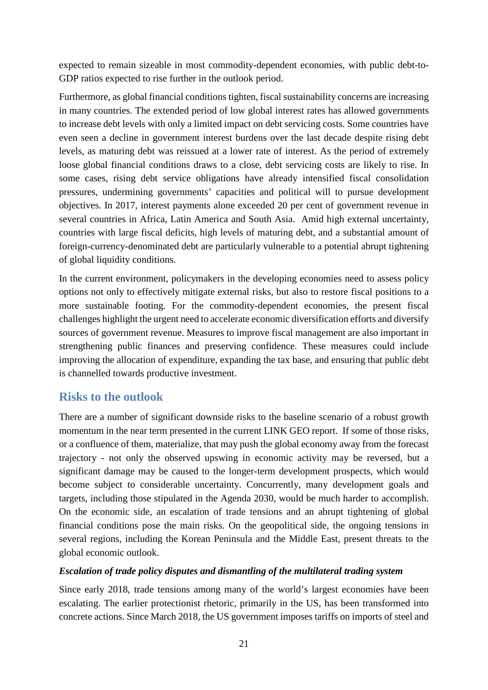expected to remain sizeable in most commodity-dependent economies, with public debt-to-GDP ratios expected to rise further in the outlook period.

Furthermore, as global financial conditions tighten, fiscal sustainability concerns are increasing in many countries. The extended period of low global interest rates has allowed governments to increase debt levels with only a limited impact on debt servicing costs. Some countries have even seen a decline in government interest burdens over the last decade despite rising debt levels, as maturing debt was reissued at a lower rate of interest. As the period of extremely loose global financial conditions draws to a close, debt servicing costs are likely to rise. In some cases, rising debt service obligations have already intensified fiscal consolidation pressures, undermining governments' capacities and political will to pursue development objectives. In 2017, interest payments alone exceeded 20 per cent of government revenue in several countries in Africa, Latin America and South Asia. Amid high external uncertainty, countries with large fiscal deficits, high levels of maturing debt, and a substantial amount of foreign-currency-denominated debt are particularly vulnerable to a potential abrupt tightening of global liquidity conditions.

In the current environment, policymakers in the developing economies need to assess policy options not only to effectively mitigate external risks, but also to restore fiscal positions to a more sustainable footing. For the commodity-dependent economies, the present fiscal challenges highlight the urgent need to accelerate economic diversification efforts and diversify sources of government revenue. Measures to improve fiscal management are also important in strengthening public finances and preserving confidence. These measures could include improving the allocation of expenditure, expanding the tax base, and ensuring that public debt is channelled towards productive investment.

## <span id="page-20-0"></span>**Risks to the outlook**

There are a number of significant downside risks to the baseline scenario of a robust growth momentum in the near term presented in the current LINK GEO report. If some of those risks, or a confluence of them, materialize, that may push the global economy away from the forecast trajectory - not only the observed upswing in economic activity may be reversed, but a significant damage may be caused to the longer-term development prospects, which would become subject to considerable uncertainty. Concurrently, many development goals and targets, including those stipulated in the Agenda 2030, would be much harder to accomplish. On the economic side, an escalation of trade tensions and an abrupt tightening of global financial conditions pose the main risks. On the geopolitical side, the ongoing tensions in several regions, including the Korean Peninsula and the Middle East, present threats to the global economic outlook.

### *Escalation of trade policy disputes and dismantling of the multilateral trading system*

Since early 2018, trade tensions among many of the world's largest economies have been escalating. The earlier protectionist rhetoric, primarily in the US, has been transformed into concrete actions. Since March 2018, the US government imposes tariffs on imports of steel and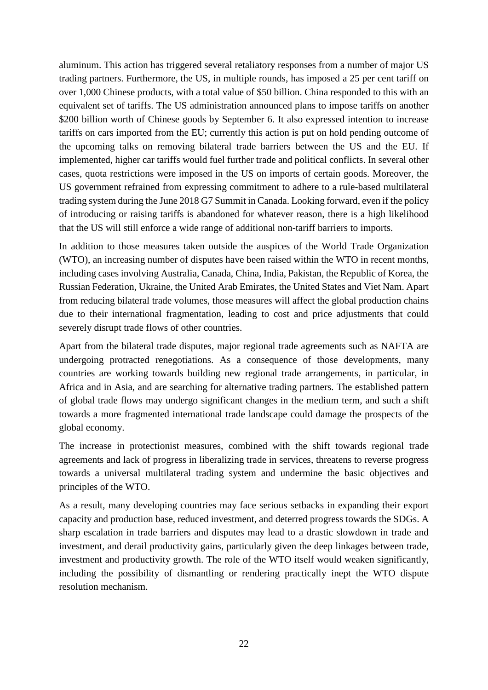aluminum. This action has triggered several retaliatory responses from a number of major US trading partners. Furthermore, the US, in multiple rounds, has imposed a 25 per cent tariff on over 1,000 Chinese products, with a total value of \$50 billion. China responded to this with an equivalent set of tariffs. The US administration announced plans to impose tariffs on another \$200 billion worth of Chinese goods by September 6. It also expressed intention to increase tariffs on cars imported from the EU; currently this action is put on hold pending outcome of the upcoming talks on removing bilateral trade barriers between the US and the EU. If implemented, higher car tariffs would fuel further trade and political conflicts. In several other cases, quota restrictions were imposed in the US on imports of certain goods. Moreover, the US government refrained from expressing commitment to adhere to a rule-based multilateral trading system during the June 2018 G7 Summit in Canada. Looking forward, even if the policy of introducing or raising tariffs is abandoned for whatever reason, there is a high likelihood that the US will still enforce a wide range of additional non-tariff barriers to imports.

In addition to those measures taken outside the auspices of the World Trade Organization (WTO), an increasing number of disputes have been raised within the WTO in recent months, including cases involving Australia, Canada, China, India, Pakistan, the Republic of Korea, the Russian Federation, Ukraine, the United Arab Emirates, the United States and Viet Nam. Apart from reducing bilateral trade volumes, those measures will affect the global production chains due to their international fragmentation, leading to cost and price adjustments that could severely disrupt trade flows of other countries.

Apart from the bilateral trade disputes, major regional trade agreements such as NAFTA are undergoing protracted renegotiations. As a consequence of those developments, many countries are working towards building new regional trade arrangements, in particular, in Africa and in Asia, and are searching for alternative trading partners. The established pattern of global trade flows may undergo significant changes in the medium term, and such a shift towards a more fragmented international trade landscape could damage the prospects of the global economy.

The increase in protectionist measures, combined with the shift towards regional trade agreements and lack of progress in liberalizing trade in services, threatens to reverse progress towards a universal multilateral trading system and undermine the basic objectives and principles of the WTO.

As a result, many developing countries may face serious setbacks in expanding their export capacity and production base, reduced investment, and deterred progress towards the SDGs. A sharp escalation in trade barriers and disputes may lead to a drastic slowdown in trade and investment, and derail productivity gains, particularly given the deep linkages between trade, investment and productivity growth. The role of the WTO itself would weaken significantly, including the possibility of dismantling or rendering practically inept the WTO dispute resolution mechanism.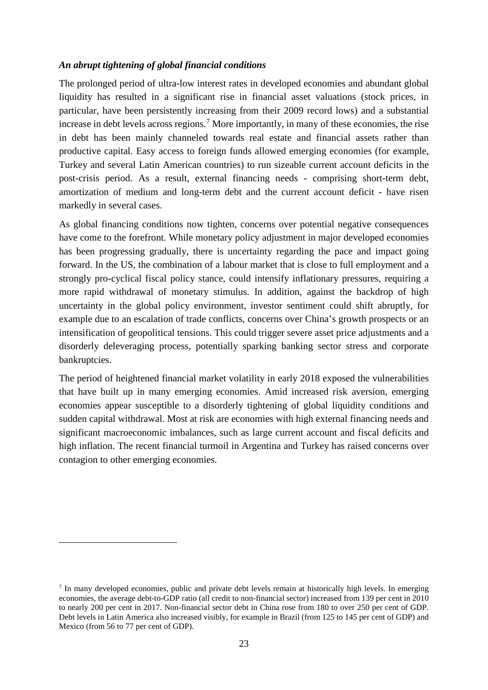#### *An abrupt tightening of global financial conditions*

The prolonged period of ultra-low interest rates in developed economies and abundant global liquidity has resulted in a significant rise in financial asset valuations (stock prices, in particular, have been persistently increasing from their 2009 record lows) and a substantial increase in debt levels across regions.<sup>[7](#page-22-0)</sup> More importantly, in many of these economies, the rise in debt has been mainly channeled towards real estate and financial assets rather than productive capital. Easy access to foreign funds allowed emerging economies (for example, Turkey and several Latin American countries) to run sizeable current account deficits in the post-crisis period. As a result, external financing needs - comprising short-term debt, amortization of medium and long-term debt and the current account deficit - have risen markedly in several cases.

As global financing conditions now tighten, concerns over potential negative consequences have come to the forefront. While monetary policy adjustment in major developed economies has been progressing gradually, there is uncertainty regarding the pace and impact going forward. In the US, the combination of a labour market that is close to full employment and a strongly pro-cyclical fiscal policy stance, could intensify inflationary pressures, requiring a more rapid withdrawal of monetary stimulus. In addition, against the backdrop of high uncertainty in the global policy environment, investor sentiment could shift abruptly, for example due to an escalation of trade conflicts, concerns over China's growth prospects or an intensification of geopolitical tensions. This could trigger severe asset price adjustments and a disorderly deleveraging process, potentially sparking banking sector stress and corporate bankruptcies.

The period of heightened financial market volatility in early 2018 exposed the vulnerabilities that have built up in many emerging economies. Amid increased risk aversion, emerging economies appear susceptible to a disorderly tightening of global liquidity conditions and sudden capital withdrawal. Most at risk are economies with high external financing needs and significant macroeconomic imbalances, such as large current account and fiscal deficits and high inflation. The recent financial turmoil in Argentina and Turkey has raised concerns over contagion to other emerging economies.

<u>.</u>

<span id="page-22-0"></span><sup>7</sup> In many developed economies, public and private debt levels remain at historically high levels. In emerging economies, the average debt-to-GDP ratio (all credit to non-financial sector) increased from 139 per cent in 2010 to nearly 200 per cent in 2017. Non-financial sector debt in China rose from 180 to over 250 per cent of GDP. Debt levels in Latin America also increased visibly, for example in Brazil (from 125 to 145 per cent of GDP) and Mexico (from 56 to 77 per cent of GDP).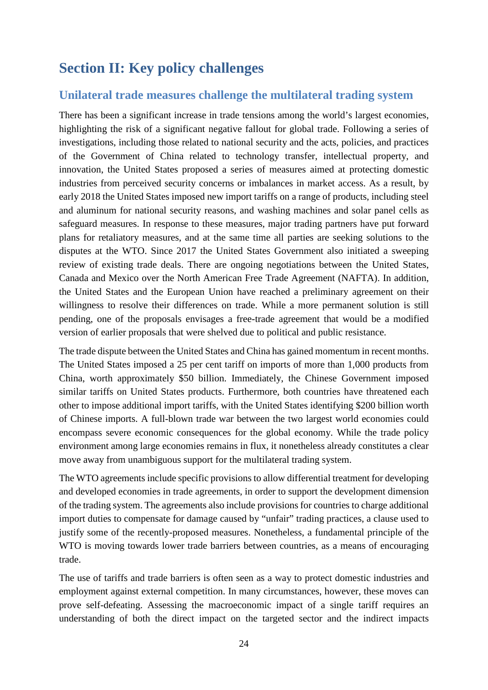# <span id="page-23-0"></span>**Section II: Key policy challenges**

## <span id="page-23-1"></span>**Unilateral trade measures challenge the multilateral trading system**

There has been a significant increase in trade tensions among the world's largest economies, highlighting the risk of a significant negative fallout for global trade. Following a series of investigations, including those related to national security and the acts, policies, and practices of the Government of China related to technology transfer, intellectual property, and innovation, the United States proposed a series of measures aimed at protecting domestic industries from perceived security concerns or imbalances in market access. As a result, by early 2018 the United States imposed new import tariffs on a range of products, including steel and aluminum for national security reasons, and washing machines and solar panel cells as safeguard measures. In response to these measures, major trading partners have put forward plans for retaliatory measures, and at the same time all parties are seeking solutions to the disputes at the WTO. Since 2017 the United States Government also initiated a sweeping review of existing trade deals. There are ongoing negotiations between the United States, Canada and Mexico over the North American Free Trade Agreement (NAFTA). In addition, the United States and the European Union have reached a preliminary agreement on their willingness to resolve their differences on trade. While a more permanent solution is still pending, one of the proposals envisages a free-trade agreement that would be a modified version of earlier proposals that were shelved due to political and public resistance.

The trade dispute between the United States and China has gained momentum in recent months. The United States imposed a 25 per cent tariff on imports of more than 1,000 products from China, worth approximately \$50 billion. Immediately, the Chinese Government imposed similar tariffs on United States products. Furthermore, both countries have threatened each other to impose additional import tariffs, with the United States identifying \$200 billion worth of Chinese imports. A full-blown trade war between the two largest world economies could encompass severe economic consequences for the global economy. While the trade policy environment among large economies remains in flux, it nonetheless already constitutes a clear move away from unambiguous support for the multilateral trading system.

The WTO agreements include specific provisions to allow differential treatment for developing and developed economies in trade agreements, in order to support the development dimension of the trading system. The agreements also include provisions for countries to charge additional import duties to compensate for damage caused by "unfair" trading practices, a clause used to justify some of the recently-proposed measures. Nonetheless, a fundamental principle of the WTO is moving towards lower trade barriers between countries, as a means of encouraging trade.

The use of tariffs and trade barriers is often seen as a way to protect domestic industries and employment against external competition. In many circumstances, however, these moves can prove self-defeating. Assessing the macroeconomic impact of a single tariff requires an understanding of both the direct impact on the targeted sector and the indirect impacts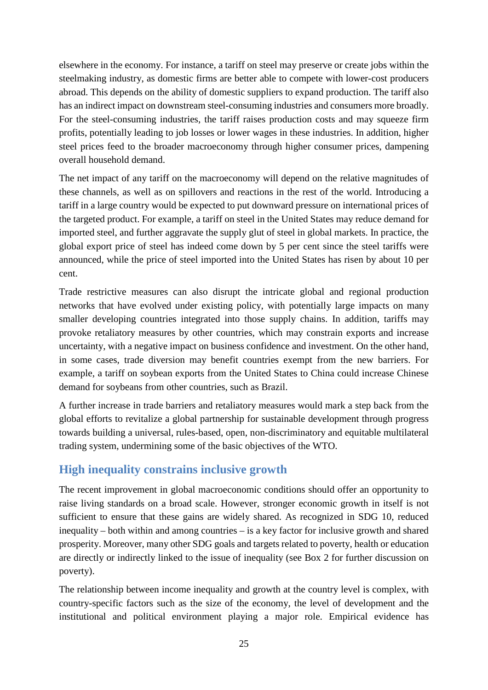elsewhere in the economy. For instance, a tariff on steel may preserve or create jobs within the steelmaking industry, as domestic firms are better able to compete with lower-cost producers abroad. This depends on the ability of domestic suppliers to expand production. The tariff also has an indirect impact on downstream steel-consuming industries and consumers more broadly. For the steel-consuming industries, the tariff raises production costs and may squeeze firm profits, potentially leading to job losses or lower wages in these industries. In addition, higher steel prices feed to the broader macroeconomy through higher consumer prices, dampening overall household demand.

The net impact of any tariff on the macroeconomy will depend on the relative magnitudes of these channels, as well as on spillovers and reactions in the rest of the world. Introducing a tariff in a large country would be expected to put downward pressure on international prices of the targeted product. For example, a tariff on steel in the United States may reduce demand for imported steel, and further aggravate the supply glut of steel in global markets. In practice, the global export price of steel has indeed come down by 5 per cent since the steel tariffs were announced, while the price of steel imported into the United States has risen by about 10 per cent.

Trade restrictive measures can also disrupt the intricate global and regional production networks that have evolved under existing policy, with potentially large impacts on many smaller developing countries integrated into those supply chains. In addition, tariffs may provoke retaliatory measures by other countries, which may constrain exports and increase uncertainty, with a negative impact on business confidence and investment. On the other hand, in some cases, trade diversion may benefit countries exempt from the new barriers. For example, a tariff on soybean exports from the United States to China could increase Chinese demand for soybeans from other countries, such as Brazil.

A further increase in trade barriers and retaliatory measures would mark a step back from the global efforts to revitalize a global partnership for sustainable development through progress towards building a universal, rules-based, open, non-discriminatory and equitable multilateral trading system, undermining some of the basic objectives of the WTO.

# <span id="page-24-0"></span>**High inequality constrains inclusive growth**

The recent improvement in global macroeconomic conditions should offer an opportunity to raise living standards on a broad scale. However, stronger economic growth in itself is not sufficient to ensure that these gains are widely shared. As recognized in SDG 10, reduced inequality – both within and among countries – is a key factor for inclusive growth and shared prosperity. Moreover, many other SDG goals and targets related to poverty, health or education are directly or indirectly linked to the issue of inequality (see Box 2 for further discussion on poverty).

The relationship between income inequality and growth at the country level is complex, with country-specific factors such as the size of the economy, the level of development and the institutional and political environment playing a major role. Empirical evidence has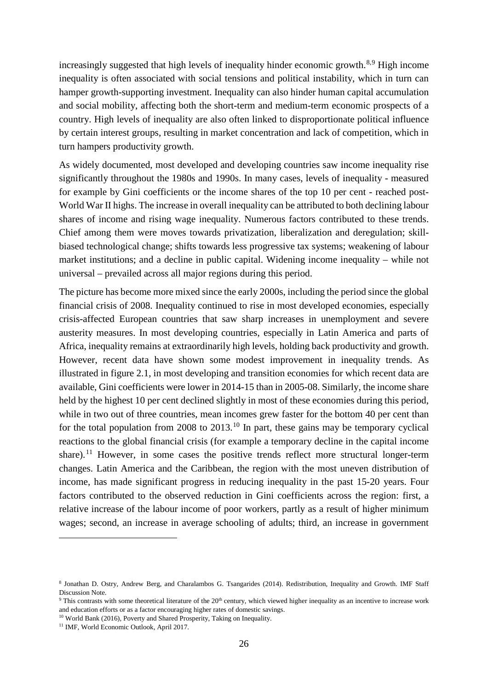increasingly suggested that high levels of inequality hinder economic growth.<sup>[8](#page-25-0),[9](#page-25-1)</sup> High income inequality is often associated with social tensions and political instability, which in turn can hamper growth-supporting investment. Inequality can also hinder human capital accumulation and social mobility, affecting both the short-term and medium-term economic prospects of a country. High levels of inequality are also often linked to disproportionate political influence by certain interest groups, resulting in market concentration and lack of competition, which in turn hampers productivity growth.

As widely documented, most developed and developing countries saw income inequality rise significantly throughout the 1980s and 1990s. In many cases, levels of inequality - measured for example by Gini coefficients or the income shares of the top 10 per cent - reached post-World War II highs. The increase in overall inequality can be attributed to both declining labour shares of income and rising wage inequality. Numerous factors contributed to these trends. Chief among them were moves towards privatization, liberalization and deregulation; skillbiased technological change; shifts towards less progressive tax systems; weakening of labour market institutions; and a decline in public capital. Widening income inequality – while not universal – prevailed across all major regions during this period.

The picture has become more mixed since the early 2000s, including the period since the global financial crisis of 2008. Inequality continued to rise in most developed economies, especially crisis-affected European countries that saw sharp increases in unemployment and severe austerity measures. In most developing countries, especially in Latin America and parts of Africa, inequality remains at extraordinarily high levels, holding back productivity and growth. However, recent data have shown some modest improvement in inequality trends. As illustrated in figure 2.1, in most developing and transition economies for which recent data are available, Gini coefficients were lower in 2014-15 than in 2005-08. Similarly, the income share held by the highest 10 per cent declined slightly in most of these economies during this period, while in two out of three countries, mean incomes grew faster for the bottom 40 per cent than for the total population from 2008 to 2013.<sup>[10](#page-25-2)</sup> In part, these gains may be temporary cyclical reactions to the global financial crisis (for example a temporary decline in the capital income share).<sup>[11](#page-25-3)</sup> However, in some cases the positive trends reflect more structural longer-term changes. Latin America and the Caribbean, the region with the most uneven distribution of income, has made significant progress in reducing inequality in the past 15-20 years. Four factors contributed to the observed reduction in Gini coefficients across the region: first, a relative increase of the labour income of poor workers, partly as a result of higher minimum wages; second, an increase in average schooling of adults; third, an increase in government

<u>.</u>

<span id="page-25-0"></span><sup>8</sup> Jonathan D. Ostry, Andrew Berg, and Charalambos G. Tsangarides (2014). Redistribution, Inequality and Growth. IMF Staff Discussion Note.

<span id="page-25-1"></span><sup>&</sup>lt;sup>9</sup> This contrasts with some theoretical literature of the 20<sup>th</sup> century, which viewed higher inequality as an incentive to increase work and education efforts or as a factor encouraging higher rates of domestic savings.

<span id="page-25-3"></span><span id="page-25-2"></span><sup>&</sup>lt;sup>10</sup> World Bank (2016), Poverty and Shared Prosperity, Taking on Inequality. <sup>11</sup> IMF, World Economic Outlook, April 2017.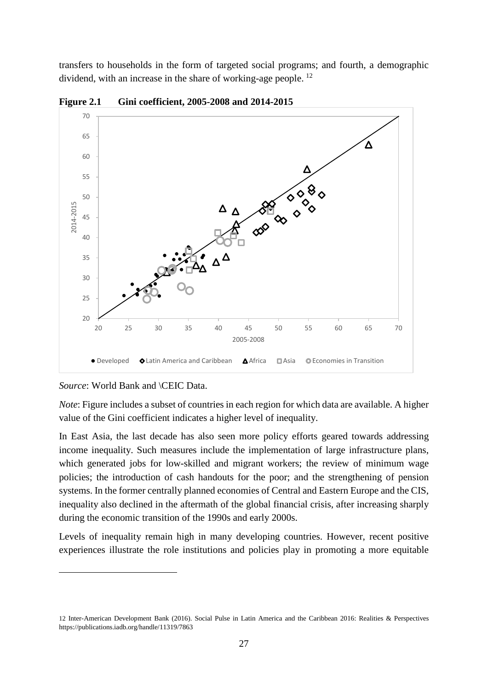transfers to households in the form of targeted social programs; and fourth, a demographic dividend, with an increase in the share of working-age people. [12](#page-26-0)



**Figure 2.1 Gini coefficient, 2005-2008 and 2014-2015**

*Source*: World Bank and \CEIC Data.

<u>.</u>

*Note*: Figure includes a subset of countries in each region for which data are available. A higher value of the Gini coefficient indicates a higher level of inequality.

In East Asia, the last decade has also seen more policy efforts geared towards addressing income inequality. Such measures include the implementation of large infrastructure plans, which generated jobs for low-skilled and migrant workers; the review of minimum wage policies; the introduction of cash handouts for the poor; and the strengthening of pension systems. In the former centrally planned economies of Central and Eastern Europe and the CIS, inequality also declined in the aftermath of the global financial crisis, after increasing sharply during the economic transition of the 1990s and early 2000s.

Levels of inequality remain high in many developing countries. However, recent positive experiences illustrate the role institutions and policies play in promoting a more equitable

<span id="page-26-0"></span><sup>12</sup> Inter-American Development Bank (2016). Social Pulse in Latin America and the Caribbean 2016: Realities & Perspectives <https://publications.iadb.org/handle/11319/7863>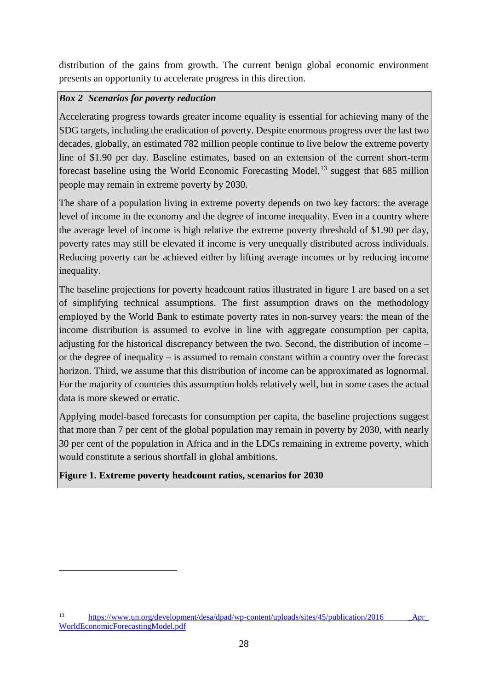distribution of the gains from growth. The current benign global economic environment presents an opportunity to accelerate progress in this direction.

### *Box 2 Scenarios for poverty reduction*

Accelerating progress towards greater income equality is essential for achieving many of the SDG targets, including the eradication of poverty. Despite enormous progress over the last two decades, globally, an estimated 782 million people continue to live below the extreme poverty line of \$1.90 per day. Baseline estimates, based on an extension of the current short-term forecast baseline using the World Economic Forecasting Model,<sup>[13](#page-27-0)</sup> suggest that 685 million people may remain in extreme poverty by 2030.

The share of a population living in extreme poverty depends on two key factors: the average level of income in the economy and the degree of income inequality. Even in a country where the average level of income is high relative the extreme poverty threshold of \$1.90 per day, poverty rates may still be elevated if income is very unequally distributed across individuals. Reducing poverty can be achieved either by lifting average incomes or by reducing income inequality.

The baseline projections for poverty headcount ratios illustrated in figure 1 are based on a set of simplifying technical assumptions. The first assumption draws on the methodology employed by the World Bank to estimate poverty rates in non-survey years: the mean of the income distribution is assumed to evolve in line with aggregate consumption per capita, adjusting for the historical discrepancy between the two. Second, the distribution of income – or the degree of inequality – is assumed to remain constant within a country over the forecast horizon. Third, we assume that this distribution of income can be approximated as lognormal. For the majority of countries this assumption holds relatively well, but in some cases the actual data is more skewed or erratic.

Applying model-based forecasts for consumption per capita, the baseline projections suggest that more than 7 per cent of the global population may remain in poverty by 2030, with nearly 30 per cent of the population in Africa and in the LDCs remaining in extreme poverty, which would constitute a serious shortfall in global ambitions.

### **Figure 1. Extreme poverty headcount ratios, scenarios for 2030**

<u>.</u>

<span id="page-27-0"></span><sup>&</sup>lt;sup>13</sup> [https://www.un.org/development/desa/dpad/wp-content/uploads/sites/45/publication/2016](https://www.un.org/development/desa/dpad/wp-content/uploads/sites/45/publication/2016%20_Apr_%20WorldEconomicForecastingModel.pdf) Apr [WorldEconomicForecastingModel.pdf](https://www.un.org/development/desa/dpad/wp-content/uploads/sites/45/publication/2016%20_Apr_%20WorldEconomicForecastingModel.pdf)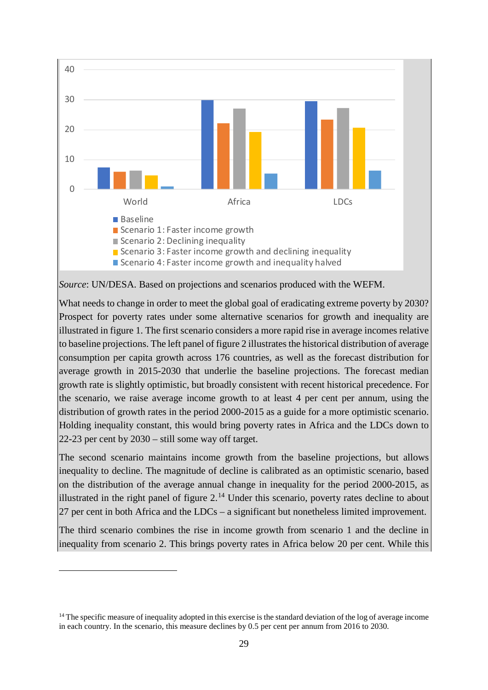

*Source*: UN/DESA. Based on projections and scenarios produced with the WEFM.

What needs to change in order to meet the global goal of eradicating extreme poverty by 2030? Prospect for poverty rates under some alternative scenarios for growth and inequality are illustrated in figure 1. The first scenario considers a more rapid rise in average incomes relative to baseline projections. The left panel of figure 2 illustrates the historical distribution of average consumption per capita growth across 176 countries, as well as the forecast distribution for average growth in 2015-2030 that underlie the baseline projections. The forecast median growth rate is slightly optimistic, but broadly consistent with recent historical precedence. For the scenario, we raise average income growth to at least 4 per cent per annum, using the distribution of growth rates in the period 2000-2015 as a guide for a more optimistic scenario. Holding inequality constant, this would bring poverty rates in Africa and the LDCs down to 22-23 per cent by 2030 – still some way off target.

The second scenario maintains income growth from the baseline projections, but allows inequality to decline. The magnitude of decline is calibrated as an optimistic scenario, based on the distribution of the average annual change in inequality for the period 2000-2015, as illustrated in the right panel of figure  $2<sup>14</sup>$  $2<sup>14</sup>$  $2<sup>14</sup>$  Under this scenario, poverty rates decline to about 27 per cent in both Africa and the LDCs – a significant but nonetheless limited improvement.

The third scenario combines the rise in income growth from scenario 1 and the decline in inequality from scenario 2. This brings poverty rates in Africa below 20 per cent. While this

<u>.</u>

<span id="page-28-0"></span><sup>&</sup>lt;sup>14</sup> The specific measure of inequality adopted in this exercise is the standard deviation of the log of average income in each country. In the scenario, this measure declines by 0.5 per cent per annum from 2016 to 2030.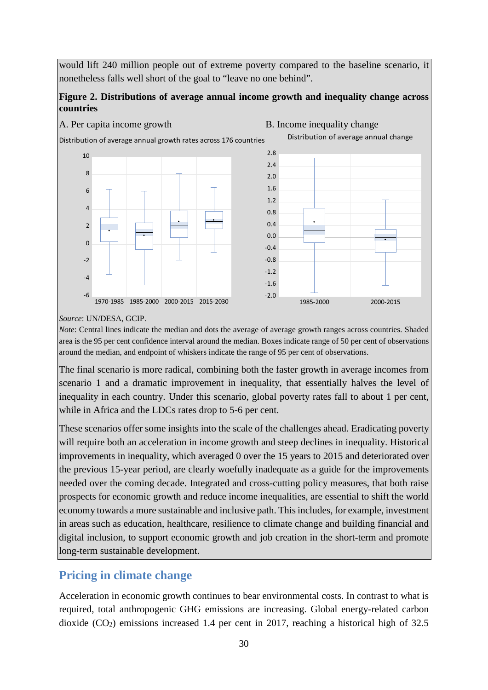would lift 240 million people out of extreme poverty compared to the baseline scenario, it nonetheless falls well short of the goal to "leave no one behind".

### **Figure 2. Distributions of average annual income growth and inequality change across countries**

A. Per capita income growth B. Income inequality change -6 -4 -2  $\Omega$  $\overline{\phantom{0}}$  $\overline{A}$ 6 8  $10$ 1970-1985 1985-2000 2000-2015 2015-2030 Distribution of average annual growth rates across 176 countries -2.0 -1.6  $-1.2$ -0.8 -0.4  $0.0$ 0.4 0.8 1.2 1.6 2.0 2.4 2.8 1985-2000 2000-2015 Distribution of average annual change

*Source*: UN/DESA, GCIP.

*Note*: Central lines indicate the median and dots the average of average growth ranges across countries. Shaded area is the 95 per cent confidence interval around the median. Boxes indicate range of 50 per cent of observations around the median, and endpoint of whiskers indicate the range of 95 per cent of observations.

The final scenario is more radical, combining both the faster growth in average incomes from scenario 1 and a dramatic improvement in inequality, that essentially halves the level of inequality in each country. Under this scenario, global poverty rates fall to about 1 per cent, while in Africa and the LDCs rates drop to 5-6 per cent.

These scenarios offer some insights into the scale of the challenges ahead. Eradicating poverty will require both an acceleration in income growth and steep declines in inequality. Historical improvements in inequality, which averaged 0 over the 15 years to 2015 and deteriorated over the previous 15-year period, are clearly woefully inadequate as a guide for the improvements needed over the coming decade. Integrated and cross-cutting policy measures, that both raise prospects for economic growth and reduce income inequalities, are essential to shift the world economy towards a more sustainable and inclusive path. This includes, for example, investment in areas such as education, healthcare, resilience to climate change and building financial and digital inclusion, to support economic growth and job creation in the short-term and promote long-term sustainable development.

# <span id="page-29-0"></span>**Pricing in climate change**

Acceleration in economic growth continues to bear environmental costs. In contrast to what is required, total anthropogenic GHG emissions are increasing. Global energy-related carbon dioxide  $(CO<sub>2</sub>)$  emissions increased 1.4 per cent in 2017, reaching a historical high of 32.5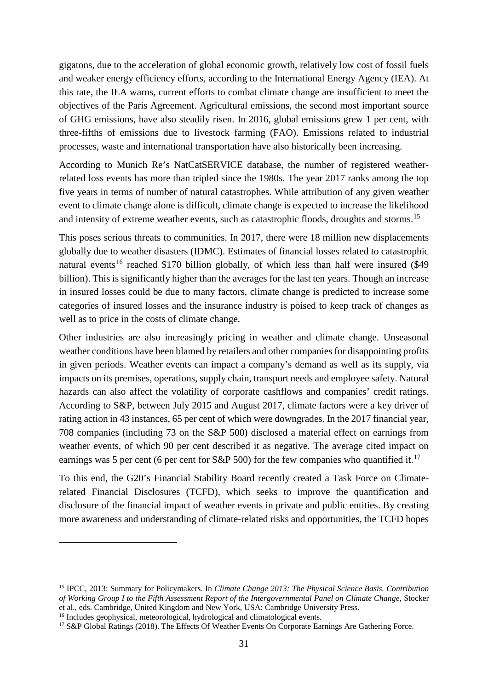gigatons, due to the acceleration of global economic growth, relatively low cost of fossil fuels and weaker energy efficiency efforts, according to the International Energy Agency (IEA). At this rate, the IEA warns, current efforts to combat climate change are insufficient to meet the objectives of the Paris Agreement. Agricultural emissions, the second most important source of GHG emissions, have also steadily risen. In 2016, global emissions grew 1 per cent, with three-fifths of emissions due to livestock farming (FAO). Emissions related to industrial processes, waste and international transportation have also historically been increasing.

According to Munich Re's NatCatSERVICE database, the number of registered weatherrelated loss events has more than tripled since the 1980s. The year 2017 ranks among the top five years in terms of number of natural catastrophes. While attribution of any given weather event to climate change alone is difficult, climate change is expected to increase the likelihood and intensity of extreme weather events, such as catastrophic floods, droughts and storms.<sup>[15](#page-30-0)</sup>

This poses serious threats to communities. In 2017, there were 18 million new displacements globally due to weather disasters (IDMC). Estimates of financial losses related to catastrophic natural events<sup>[16](#page-30-1)</sup> reached \$170 billion globally, of which less than half were insured  $(\$49$ billion). This is significantly higher than the averages for the last ten years. Though an increase in insured losses could be due to many factors, climate change is predicted to increase some categories of insured losses and the insurance industry is poised to keep track of changes as well as to price in the costs of climate change.

Other industries are also increasingly pricing in weather and climate change. Unseasonal weather conditions have been blamed by retailers and other companies for disappointing profits in given periods. Weather events can impact a company's demand as well as its supply, via impacts on its premises, operations, supply chain, transport needs and employee safety. Natural hazards can also affect the volatility of corporate cashflows and companies' credit ratings. According to S&P, between July 2015 and August 2017, climate factors were a key driver of rating action in 43 instances, 65 per cent of which were downgrades. In the 2017 financial year, 708 companies (including 73 on the S&P 500) disclosed a material effect on earnings from weather events, of which 90 per cent described it as negative. The average cited impact on earnings was 5 per cent (6 per cent for S&P 500) for the few companies who quantified it.<sup>[17](#page-30-2)</sup>

To this end, the G20's Financial Stability Board recently created a Task Force on Climaterelated Financial Disclosures (TCFD), which seeks to improve the quantification and disclosure of the financial impact of weather events in private and public entities. By creating more awareness and understanding of climate-related risks and opportunities, the TCFD hopes

<u>.</u>

<span id="page-30-0"></span><sup>15</sup> IPCC, 2013: Summary for Policymakers. In *Climate Change 2013: The Physical Science Basis. Contribution of Working Group I to the Fifth Assessment Report of the Intergovernmental Panel on Climate Change*, Stocker et al., eds. Cambridge, United Kingdom and New York, USA: Cambridge University Press.

<span id="page-30-1"></span><sup>&</sup>lt;sup>16</sup> Includes geophysical, meteorological, hydrological and climatological events.

<span id="page-30-2"></span><sup>&</sup>lt;sup>17</sup> S&P Global Ratings (2018). The Effects Of Weather Events On Corporate Earnings Are Gathering Force.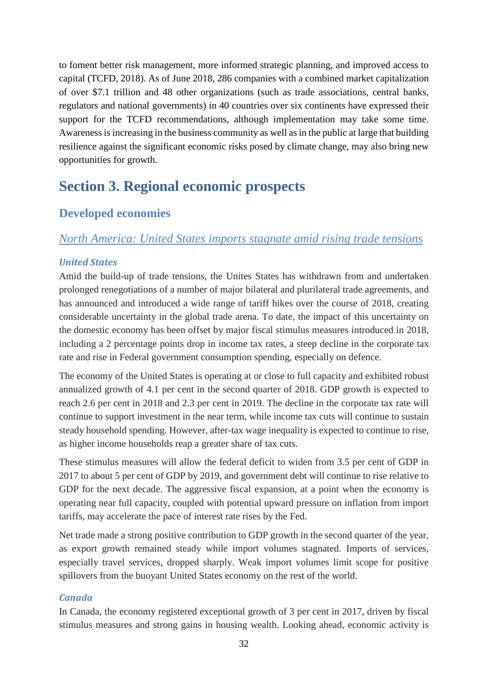to foment better risk management, more informed strategic planning, and improved access to capital (TCFD, 2018). As of June 2018, 286 companies with a combined market capitalization of over \$7.1 trillion and 48 other organizations (such as trade associations, central banks, regulators and national governments) in 40 countries over six continents have expressed their support for the TCFD recommendations, although implementation may take some time. Awareness is increasing in the business community as well as in the public at large that building resilience against the significant economic risks posed by climate change, may also bring new opportunities for growth.

# <span id="page-31-0"></span>**Section 3. Regional economic prospects**

# <span id="page-31-1"></span>**Developed economies**

## <span id="page-31-2"></span>*North America: United States imports stagnate amid rising trade tensions*

### *United States*

Amid the build-up of trade tensions, the Unites States has withdrawn from and undertaken prolonged renegotiations of a number of major bilateral and plurilateral trade agreements, and has announced and introduced a wide range of tariff hikes over the course of 2018, creating considerable uncertainty in the global trade arena. To date, the impact of this uncertainty on the domestic economy has been offset by major fiscal stimulus measures introduced in 2018, including a 2 percentage points drop in income tax rates, a steep decline in the corporate tax rate and rise in Federal government consumption spending, especially on defence.

The economy of the United States is operating at or close to full capacity and exhibited robust annualized growth of 4.1 per cent in the second quarter of 2018. GDP growth is expected to reach 2.6 per cent in 2018 and 2.3 per cent in 2019. The decline in the corporate tax rate will continue to support investment in the near term, while income tax cuts will continue to sustain steady household spending. However, after-tax wage inequality is expected to continue to rise, as higher income households reap a greater share of tax cuts.

These stimulus measures will allow the federal deficit to widen from 3.5 per cent of GDP in 2017 to about 5 per cent of GDP by 2019, and government debt will continue to rise relative to GDP for the next decade. The aggressive fiscal expansion, at a point when the economy is operating near full capacity, coupled with potential upward pressure on inflation from import tariffs, may accelerate the pace of interest rate rises by the Fed.

Net trade made a strong positive contribution to GDP growth in the second quarter of the year, as export growth remained steady while import volumes stagnated. Imports of services, especially travel services, dropped sharply. Weak import volumes limit scope for positive spillovers from the buoyant United States economy on the rest of the world.

#### *Canada*

In Canada, the economy registered exceptional growth of 3 per cent in 2017, driven by fiscal stimulus measures and strong gains in housing wealth. Looking ahead, economic activity is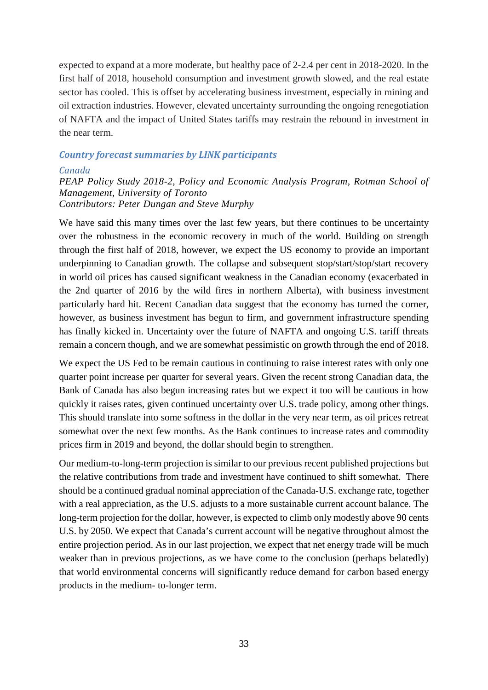expected to expand at a more moderate, but healthy pace of 2-2.4 per cent in 2018-2020. In the first half of 2018, household consumption and investment growth slowed, and the real estate sector has cooled. This is offset by accelerating business investment, especially in mining and oil extraction industries. However, elevated uncertainty surrounding the ongoing renegotiation of NAFTA and the impact of United States tariffs may restrain the rebound in investment in the near term.

#### *Country forecast summaries by LINK participants*

#### <span id="page-32-0"></span>*Canada*

### *PEAP Policy Study 2018-2, Policy and Economic Analysis Program, Rotman School of Management, University of Toronto Contributors: Peter Dungan and Steve Murphy*

We have said this many times over the last few years, but there continues to be uncertainty over the robustness in the economic recovery in much of the world. Building on strength through the first half of 2018, however, we expect the US economy to provide an important underpinning to Canadian growth. The collapse and subsequent stop/start/stop/start recovery in world oil prices has caused significant weakness in the Canadian economy (exacerbated in the 2nd quarter of 2016 by the wild fires in northern Alberta), with business investment particularly hard hit. Recent Canadian data suggest that the economy has turned the corner, however, as business investment has begun to firm, and government infrastructure spending has finally kicked in. Uncertainty over the future of NAFTA and ongoing U.S. tariff threats remain a concern though, and we are somewhat pessimistic on growth through the end of 2018.

We expect the US Fed to be remain cautious in continuing to raise interest rates with only one quarter point increase per quarter for several years. Given the recent strong Canadian data, the Bank of Canada has also begun increasing rates but we expect it too will be cautious in how quickly it raises rates, given continued uncertainty over U.S. trade policy, among other things. This should translate into some softness in the dollar in the very near term, as oil prices retreat somewhat over the next few months. As the Bank continues to increase rates and commodity prices firm in 2019 and beyond, the dollar should begin to strengthen.

Our medium-to-long-term projection is similar to our previous recent published projections but the relative contributions from trade and investment have continued to shift somewhat. There should be a continued gradual nominal appreciation of the Canada-U.S. exchange rate, together with a real appreciation, as the U.S. adjusts to a more sustainable current account balance. The long-term projection for the dollar, however, is expected to climb only modestly above 90 cents U.S. by 2050. We expect that Canada's current account will be negative throughout almost the entire projection period. As in our last projection, we expect that net energy trade will be much weaker than in previous projections, as we have come to the conclusion (perhaps belatedly) that world environmental concerns will significantly reduce demand for carbon based energy products in the medium- to-longer term.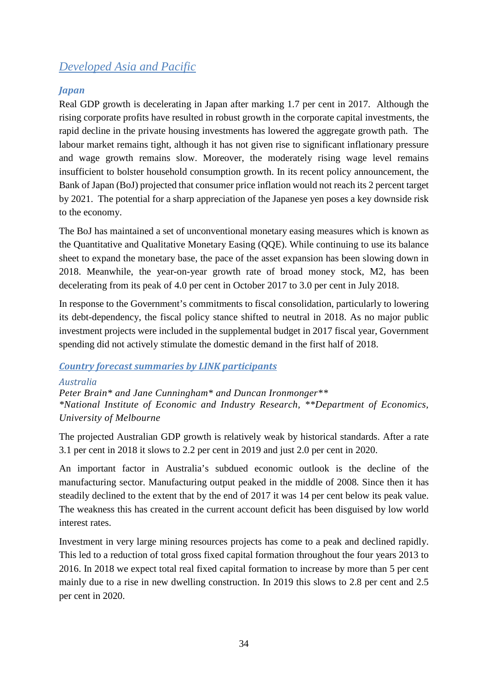# <span id="page-33-0"></span>*Developed Asia and Pacific*

### *Japan*

Real GDP growth is decelerating in Japan after marking 1.7 per cent in 2017. Although the rising corporate profits have resulted in robust growth in the corporate capital investments, the rapid decline in the private housing investments has lowered the aggregate growth path. The labour market remains tight, although it has not given rise to significant inflationary pressure and wage growth remains slow. Moreover, the moderately rising wage level remains insufficient to bolster household consumption growth. In its recent policy announcement, the Bank of Japan (BoJ) projected that consumer price inflation would not reach its 2 percent target by 2021. The potential for a sharp appreciation of the Japanese yen poses a key downside risk to the economy.

The BoJ has maintained a set of unconventional monetary easing measures which is known as the Quantitative and Qualitative Monetary Easing (QQE). While continuing to use its balance sheet to expand the monetary base, the pace of the asset expansion has been slowing down in 2018. Meanwhile, the year-on-year growth rate of broad money stock, M2, has been decelerating from its peak of 4.0 per cent in October 2017 to 3.0 per cent in July 2018.

In response to the Government's commitments to fiscal consolidation, particularly to lowering its debt-dependency, the fiscal policy stance shifted to neutral in 2018. As no major public investment projects were included in the supplemental budget in 2017 fiscal year, Government spending did not actively stimulate the domestic demand in the first half of 2018.

### *Country forecast summaries by LINK participants*

<span id="page-33-1"></span>*Australia Peter Brain\* and Jane Cunningham\* and Duncan Ironmonger\*\* \*National Institute of Economic and Industry Research, \*\*Department of Economics, University of Melbourne*

The projected Australian GDP growth is relatively weak by historical standards. After a rate 3.1 per cent in 2018 it slows to 2.2 per cent in 2019 and just 2.0 per cent in 2020.

An important factor in Australia's subdued economic outlook is the decline of the manufacturing sector. Manufacturing output peaked in the middle of 2008. Since then it has steadily declined to the extent that by the end of 2017 it was 14 per cent below its peak value. The weakness this has created in the current account deficit has been disguised by low world interest rates.

Investment in very large mining resources projects has come to a peak and declined rapidly. This led to a reduction of total gross fixed capital formation throughout the four years 2013 to 2016. In 2018 we expect total real fixed capital formation to increase by more than 5 per cent mainly due to a rise in new dwelling construction. In 2019 this slows to 2.8 per cent and 2.5 per cent in 2020.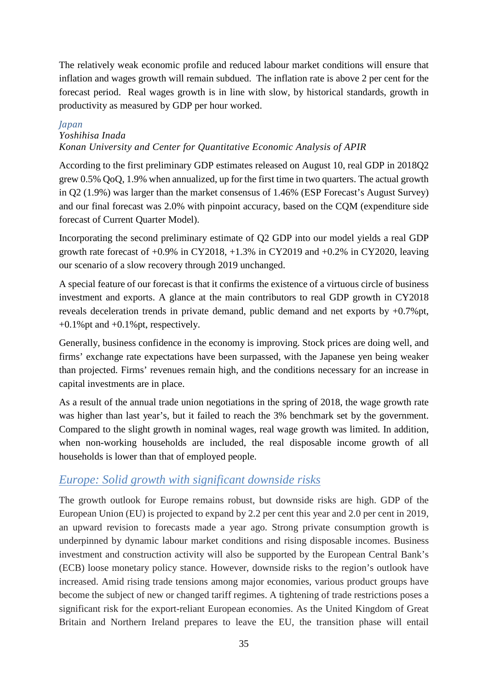The relatively weak economic profile and reduced labour market conditions will ensure that inflation and wages growth will remain subdued. The inflation rate is above 2 per cent for the forecast period. Real wages growth is in line with slow, by historical standards, growth in productivity as measured by GDP per hour worked.

#### <span id="page-34-0"></span>*Japan*

### *Yoshihisa Inada*

### *Konan University and Center for Quantitative Economic Analysis of APIR*

According to the first preliminary GDP estimates released on August 10, real GDP in 2018Q2 grew 0.5% QoQ, 1.9% when annualized, up for the first time in two quarters. The actual growth in Q2 (1.9%) was larger than the market consensus of 1.46% (ESP Forecast's August Survey) and our final forecast was 2.0% with pinpoint accuracy, based on the CQM (expenditure side forecast of Current Quarter Model).

Incorporating the second preliminary estimate of Q2 GDP into our model yields a real GDP growth rate forecast of  $+0.9\%$  in CY2018,  $+1.3\%$  in CY2019 and  $+0.2\%$  in CY2020, leaving our scenario of a slow recovery through 2019 unchanged.

A special feature of our forecast is that it confirms the existence of a virtuous circle of business investment and exports. A glance at the main contributors to real GDP growth in CY2018 reveals deceleration trends in private demand, public demand and net exports by +0.7%pt,  $+0.1\%$  pt and  $+0.1\%$  pt, respectively.

Generally, business confidence in the economy is improving. Stock prices are doing well, and firms' exchange rate expectations have been surpassed, with the Japanese yen being weaker than projected. Firms' revenues remain high, and the conditions necessary for an increase in capital investments are in place.

As a result of the annual trade union negotiations in the spring of 2018, the wage growth rate was higher than last year's, but it failed to reach the 3% benchmark set by the government. Compared to the slight growth in nominal wages, real wage growth was limited. In addition, when non-working households are included, the real disposable income growth of all households is lower than that of employed people.

## <span id="page-34-1"></span>*Europe: Solid growth with significant downside risks*

The growth outlook for Europe remains robust, but downside risks are high. GDP of the European Union (EU) is projected to expand by 2.2 per cent this year and 2.0 per cent in 2019, an upward revision to forecasts made a year ago. Strong private consumption growth is underpinned by dynamic labour market conditions and rising disposable incomes. Business investment and construction activity will also be supported by the European Central Bank's (ECB) loose monetary policy stance. However, downside risks to the region's outlook have increased. Amid rising trade tensions among major economies, various product groups have become the subject of new or changed tariff regimes. A tightening of trade restrictions poses a significant risk for the export-reliant European economies. As the United Kingdom of Great Britain and Northern Ireland prepares to leave the EU, the transition phase will entail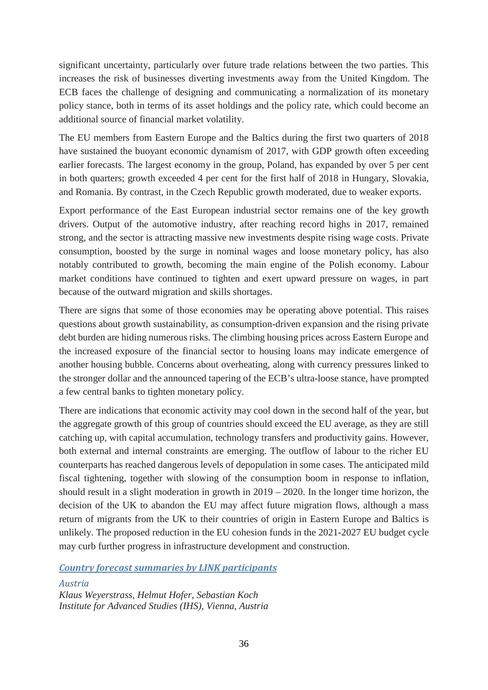significant uncertainty, particularly over future trade relations between the two parties. This increases the risk of businesses diverting investments away from the United Kingdom. The ECB faces the challenge of designing and communicating a normalization of its monetary policy stance, both in terms of its asset holdings and the policy rate, which could become an additional source of financial market volatility.

The EU members from Eastern Europe and the Baltics during the first two quarters of 2018 have sustained the buoyant economic dynamism of 2017, with GDP growth often exceeding earlier forecasts. The largest economy in the group, Poland, has expanded by over 5 per cent in both quarters; growth exceeded 4 per cent for the first half of 2018 in Hungary, Slovakia, and Romania. By contrast, in the Czech Republic growth moderated, due to weaker exports.

Export performance of the East European industrial sector remains one of the key growth drivers. Output of the automotive industry, after reaching record highs in 2017, remained strong, and the sector is attracting massive new investments despite rising wage costs. Private consumption, boosted by the surge in nominal wages and loose monetary policy, has also notably contributed to growth, becoming the main engine of the Polish economy. Labour market conditions have continued to tighten and exert upward pressure on wages, in part because of the outward migration and skills shortages.

There are signs that some of those economies may be operating above potential. This raises questions about growth sustainability, as consumption-driven expansion and the rising private debt burden are hiding numerous risks. The climbing housing prices across Eastern Europe and the increased exposure of the financial sector to housing loans may indicate emergence of another housing bubble. Concerns about overheating, along with currency pressures linked to the stronger dollar and the announced tapering of the ECB's ultra-loose stance, have prompted a few central banks to tighten monetary policy.

There are indications that economic activity may cool down in the second half of the year, but the aggregate growth of this group of countries should exceed the EU average, as they are still catching up, with capital accumulation, technology transfers and productivity gains. However, both external and internal constraints are emerging. The outflow of labour to the richer EU counterparts has reached dangerous levels of depopulation in some cases. The anticipated mild fiscal tightening, together with slowing of the consumption boom in response to inflation, should result in a slight moderation in growth in 2019 – 2020. In the longer time horizon, the decision of the UK to abandon the EU may affect future migration flows, although a mass return of migrants from the UK to their countries of origin in Eastern Europe and Baltics is unlikely. The proposed reduction in the EU cohesion funds in the 2021-2027 EU budget cycle may curb further progress in infrastructure development and construction.

*Country forecast summaries by LINK participants*

<span id="page-35-0"></span>*Austria Klaus Weyerstrass, Helmut Hofer, Sebastian Koch Institute for Advanced Studies (IHS), Vienna, Austria*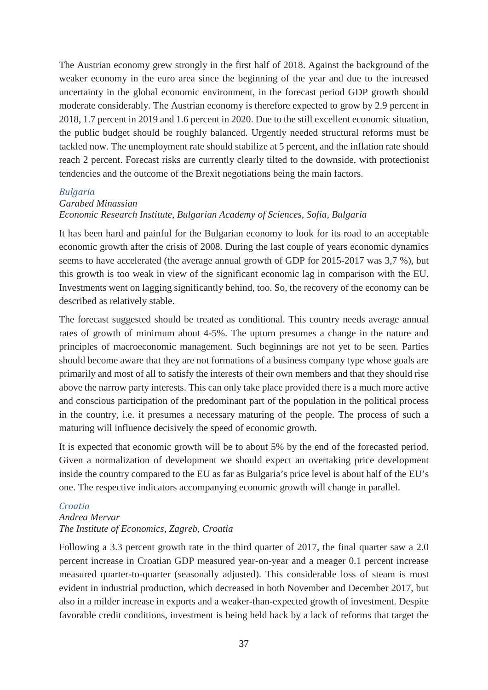The Austrian economy grew strongly in the first half of 2018. Against the background of the weaker economy in the euro area since the beginning of the year and due to the increased uncertainty in the global economic environment, in the forecast period GDP growth should moderate considerably. The Austrian economy is therefore expected to grow by 2.9 percent in 2018, 1.7 percent in 2019 and 1.6 percent in 2020. Due to the still excellent economic situation, the public budget should be roughly balanced. Urgently needed structural reforms must be tackled now. The unemployment rate should stabilize at 5 percent, and the inflation rate should reach 2 percent. Forecast risks are currently clearly tilted to the downside, with protectionist tendencies and the outcome of the Brexit negotiations being the main factors.

#### *Bulgaria*

# *Garabed Minassian*

## *Economic Research Institute, Bulgarian Academy of Sciences, Sofia, Bulgaria*

It has been hard and painful for the Bulgarian economy to look for its road to an acceptable economic growth after the crisis of 2008. During the last couple of years economic dynamics seems to have accelerated (the average annual growth of GDP for 2015-2017 was 3,7 %), but this growth is too weak in view of the significant economic lag in comparison with the EU. Investments went on lagging significantly behind, too. So, the recovery of the economy can be described as relatively stable.

The forecast suggested should be treated as conditional. This country needs average annual rates of growth of minimum about 4-5%. The upturn presumes a change in the nature and principles of macroeconomic management. Such beginnings are not yet to be seen. Parties should become aware that they are not formations of a business company type whose goals are primarily and most of all to satisfy the interests of their own members and that they should rise above the narrow party interests. This can only take place provided there is a much more active and conscious participation of the predominant part of the population in the political process in the country, i.e. it presumes a necessary maturing of the people. The process of such a maturing will influence decisively the speed of economic growth.

It is expected that economic growth will be to about 5% by the end of the forecasted period. Given a normalization of development we should expect an overtaking price development inside the country compared to the EU as far as Bulgaria's price level is about half of the EU's one. The respective indicators accompanying economic growth will change in parallel.

## *Croatia*

## *Andrea Mervar The Institute of Economics, Zagreb, Croatia*

Following a 3.3 percent growth rate in the third quarter of 2017, the final quarter saw a 2.0 percent increase in Croatian GDP measured year-on-year and a meager 0.1 percent increase measured quarter-to-quarter (seasonally adjusted). This considerable loss of steam is most evident in industrial production, which decreased in both November and December 2017, but also in a milder increase in exports and a weaker-than-expected growth of investment. Despite favorable credit conditions, investment is being held back by a lack of reforms that target the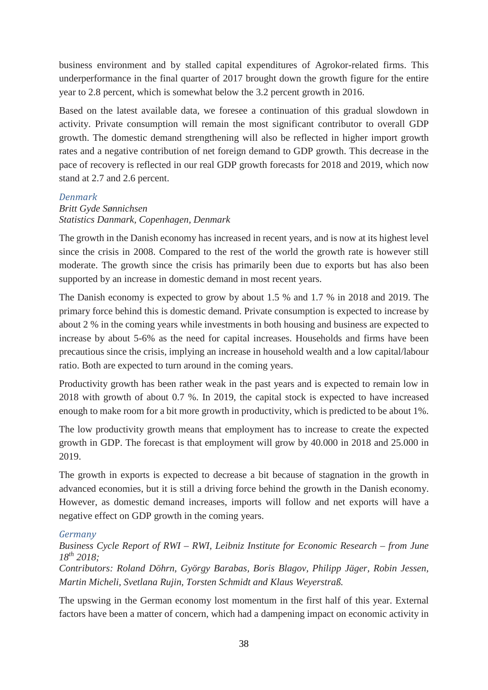business environment and by stalled capital expenditures of Agrokor-related firms. This underperformance in the final quarter of 2017 brought down the growth figure for the entire year to 2.8 percent, which is somewhat below the 3.2 percent growth in 2016.

Based on the latest available data, we foresee a continuation of this gradual slowdown in activity. Private consumption will remain the most significant contributor to overall GDP growth. The domestic demand strengthening will also be reflected in higher import growth rates and a negative contribution of net foreign demand to GDP growth. This decrease in the pace of recovery is reflected in our real GDP growth forecasts for 2018 and 2019, which now stand at 2.7 and 2.6 percent.

## *Denmark*

# *Britt Gyde Sønnichsen Statistics Danmark, Copenhagen, Denmark*

The growth in the Danish economy has increased in recent years, and is now at its highest level since the crisis in 2008. Compared to the rest of the world the growth rate is however still moderate. The growth since the crisis has primarily been due to exports but has also been supported by an increase in domestic demand in most recent years.

The Danish economy is expected to grow by about 1.5 % and 1.7 % in 2018 and 2019. The primary force behind this is domestic demand. Private consumption is expected to increase by about 2 % in the coming years while investments in both housing and business are expected to increase by about 5-6% as the need for capital increases. Households and firms have been precautious since the crisis, implying an increase in household wealth and a low capital/labour ratio. Both are expected to turn around in the coming years.

Productivity growth has been rather weak in the past years and is expected to remain low in 2018 with growth of about 0.7 %. In 2019, the capital stock is expected to have increased enough to make room for a bit more growth in productivity, which is predicted to be about 1%.

The low productivity growth means that employment has to increase to create the expected growth in GDP. The forecast is that employment will grow by 40.000 in 2018 and 25.000 in 2019.

The growth in exports is expected to decrease a bit because of stagnation in the growth in advanced economies, but it is still a driving force behind the growth in the Danish economy. However, as domestic demand increases, imports will follow and net exports will have a negative effect on GDP growth in the coming years.

## *Germany*

# *Business Cycle Report of RWI – RWI, Leibniz Institute for Economic Research – from June 18th 2018;*

*Contributors: Roland Döhrn, György Barabas, Boris Blagov, Philipp Jäger, Robin Jessen, Martin Micheli, Svetlana Rujin, Torsten Schmidt and Klaus Weyerstraß.*

The upswing in the German economy lost momentum in the first half of this year. External factors have been a matter of concern, which had a dampening impact on economic activity in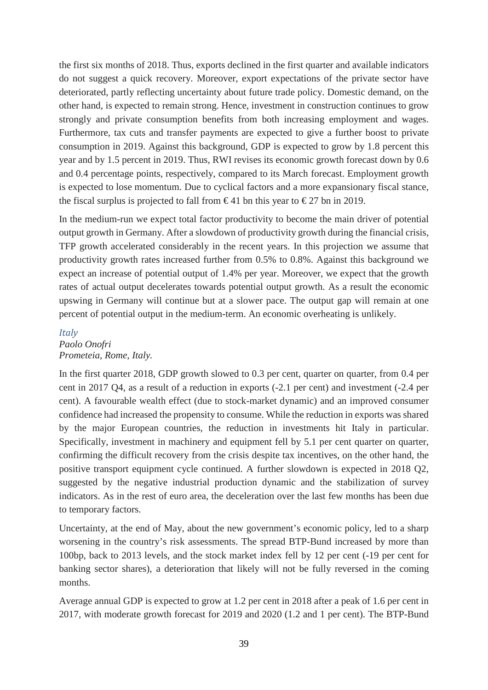the first six months of 2018. Thus, exports declined in the first quarter and available indicators do not suggest a quick recovery. Moreover, export expectations of the private sector have deteriorated, partly reflecting uncertainty about future trade policy. Domestic demand, on the other hand, is expected to remain strong. Hence, investment in construction continues to grow strongly and private consumption benefits from both increasing employment and wages. Furthermore, tax cuts and transfer payments are expected to give a further boost to private consumption in 2019. Against this background, GDP is expected to grow by 1.8 percent this year and by 1.5 percent in 2019. Thus, RWI revises its economic growth forecast down by 0.6 and 0.4 percentage points, respectively, compared to its March forecast. Employment growth is expected to lose momentum. Due to cyclical factors and a more expansionary fiscal stance, the fiscal surplus is projected to fall from  $\epsilon$ 41 bn this year to  $\epsilon$ 27 bn in 2019.

In the medium-run we expect total factor productivity to become the main driver of potential output growth in Germany. After a slowdown of productivity growth during the financial crisis, TFP growth accelerated considerably in the recent years. In this projection we assume that productivity growth rates increased further from 0.5% to 0.8%. Against this background we expect an increase of potential output of 1.4% per year. Moreover, we expect that the growth rates of actual output decelerates towards potential output growth. As a result the economic upswing in Germany will continue but at a slower pace. The output gap will remain at one percent of potential output in the medium-term. An economic overheating is unlikely.

#### *Italy*

## *Paolo Onofri Prometeia, Rome, Italy.*

In the first quarter 2018, GDP growth slowed to 0.3 per cent, quarter on quarter, from 0.4 per cent in 2017 Q4, as a result of a reduction in exports (-2.1 per cent) and investment (-2.4 per cent). A favourable wealth effect (due to stock-market dynamic) and an improved consumer confidence had increased the propensity to consume. While the reduction in exports was shared by the major European countries, the reduction in investments hit Italy in particular. Specifically, investment in machinery and equipment fell by 5.1 per cent quarter on quarter, confirming the difficult recovery from the crisis despite tax incentives, on the other hand, the positive transport equipment cycle continued. A further slowdown is expected in 2018 Q2, suggested by the negative industrial production dynamic and the stabilization of survey indicators. As in the rest of euro area, the deceleration over the last few months has been due to temporary factors.

Uncertainty, at the end of May, about the new government's economic policy, led to a sharp worsening in the country's risk assessments. The spread BTP-Bund increased by more than 100bp, back to 2013 levels, and the stock market index fell by 12 per cent (-19 per cent for banking sector shares), a deterioration that likely will not be fully reversed in the coming months.

Average annual GDP is expected to grow at 1.2 per cent in 2018 after a peak of 1.6 per cent in 2017, with moderate growth forecast for 2019 and 2020 (1.2 and 1 per cent). The BTP-Bund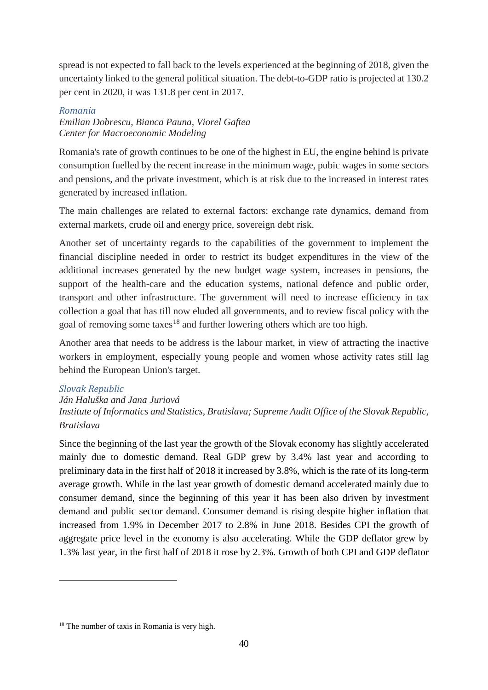spread is not expected to fall back to the levels experienced at the beginning of 2018, given the uncertainty linked to the general political situation. The debt-to-GDP ratio is projected at 130.2 per cent in 2020, it was 131.8 per cent in 2017.

## *Romania*

*Emilian Dobrescu, Bianca Pauna, Viorel Gaftea Center for Macroeconomic Modeling*

Romania's rate of growth continues to be one of the highest in EU, the engine behind is private consumption fuelled by the recent increase in the minimum wage, pubic wages in some sectors and pensions, and the private investment, which is at risk due to the increased in interest rates generated by increased inflation.

The main challenges are related to external factors: exchange rate dynamics, demand from external markets, crude oil and energy price, sovereign debt risk.

Another set of uncertainty regards to the capabilities of the government to implement the financial discipline needed in order to restrict its budget expenditures in the view of the additional increases generated by the new budget wage system, increases in pensions, the support of the health-care and the education systems, national defence and public order, transport and other infrastructure. The government will need to increase efficiency in tax collection a goal that has till now eluded all governments, and to review fiscal policy with the goal of removing some taxes<sup>[18](#page-39-0)</sup> and further lowering others which are too high.

Another area that needs to be address is the labour market, in view of attracting the inactive workers in employment, especially young people and women whose activity rates still lag behind the European Union's target.

# *Slovak Republic*

-

## *Ján Haluška and Jana Juriová*

*Institute of Informatics and Statistics, Bratislava; Supreme Audit Office of the Slovak Republic, Bratislava*

Since the beginning of the last year the growth of the Slovak economy has slightly accelerated mainly due to domestic demand. Real GDP grew by 3.4% last year and according to preliminary data in the first half of 2018 it increased by 3.8%, which is the rate of its long-term average growth. While in the last year growth of domestic demand accelerated mainly due to consumer demand, since the beginning of this year it has been also driven by investment demand and public sector demand. Consumer demand is rising despite higher inflation that increased from 1.9% in December 2017 to 2.8% in June 2018. Besides CPI the growth of aggregate price level in the economy is also accelerating. While the GDP deflator grew by 1.3% last year, in the first half of 2018 it rose by 2.3%. Growth of both CPI and GDP deflator

<span id="page-39-0"></span><sup>&</sup>lt;sup>18</sup> The number of taxis in Romania is very high.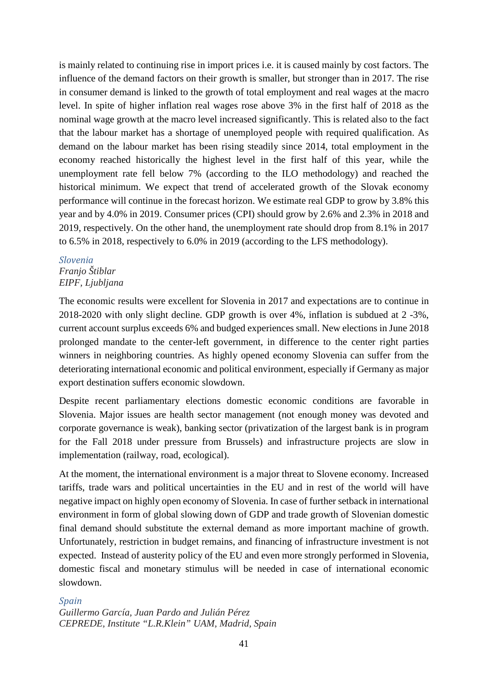is mainly related to continuing rise in import prices i.e. it is caused mainly by cost factors. The influence of the demand factors on their growth is smaller, but stronger than in 2017. The rise in consumer demand is linked to the growth of total employment and real wages at the macro level. In spite of higher inflation real wages rose above 3% in the first half of 2018 as the nominal wage growth at the macro level increased significantly. This is related also to the fact that the labour market has a shortage of unemployed people with required qualification. As demand on the labour market has been rising steadily since 2014, total employment in the economy reached historically the highest level in the first half of this year, while the unemployment rate fell below 7% (according to the ILO methodology) and reached the historical minimum. We expect that trend of accelerated growth of the Slovak economy performance will continue in the forecast horizon. We estimate real GDP to grow by 3.8% this year and by 4.0% in 2019. Consumer prices (CPI) should grow by 2.6% and 2.3% in 2018 and 2019, respectively. On the other hand, the unemployment rate should drop from 8.1% in 2017 to 6.5% in 2018, respectively to 6.0% in 2019 (according to the LFS methodology).

### *Slovenia Franjo Štiblar EIPF, Ljubljana*

The economic results were excellent for Slovenia in 2017 and expectations are to continue in 2018-2020 with only slight decline. GDP growth is over 4%, inflation is subdued at 2 -3%, current account surplus exceeds 6% and budged experiences small. New elections in June 2018 prolonged mandate to the center-left government, in difference to the center right parties winners in neighboring countries. As highly opened economy Slovenia can suffer from the deteriorating international economic and political environment, especially if Germany as major export destination suffers economic slowdown.

Despite recent parliamentary elections domestic economic conditions are favorable in Slovenia. Major issues are health sector management (not enough money was devoted and corporate governance is weak), banking sector (privatization of the largest bank is in program for the Fall 2018 under pressure from Brussels) and infrastructure projects are slow in implementation (railway, road, ecological).

At the moment, the international environment is a major threat to Slovene economy. Increased tariffs, trade wars and political uncertainties in the EU and in rest of the world will have negative impact on highly open economy of Slovenia. In case of further setback in international environment in form of global slowing down of GDP and trade growth of Slovenian domestic final demand should substitute the external demand as more important machine of growth. Unfortunately, restriction in budget remains, and financing of infrastructure investment is not expected. Instead of austerity policy of the EU and even more strongly performed in Slovenia, domestic fiscal and monetary stimulus will be needed in case of international economic slowdown.

## *Spain*

*Guillermo García, Juan Pardo and Julián Pérez CEPREDE, Institute "L.R.Klein" UAM, Madrid, Spain*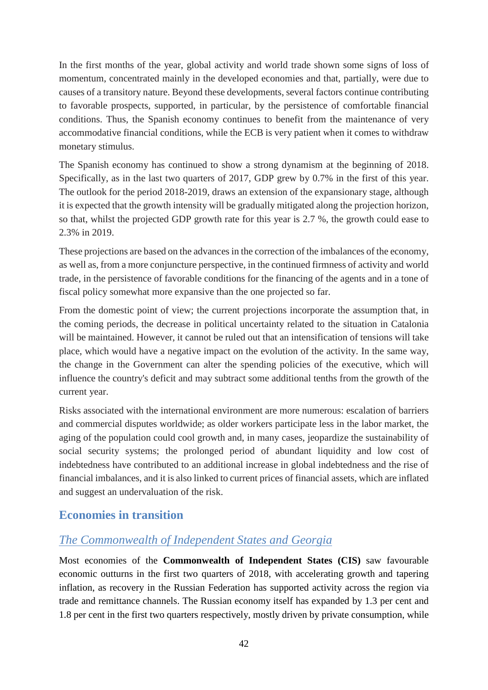In the first months of the year, global activity and world trade shown some signs of loss of momentum, concentrated mainly in the developed economies and that, partially, were due to causes of a transitory nature. Beyond these developments, several factors continue contributing to favorable prospects, supported, in particular, by the persistence of comfortable financial conditions. Thus, the Spanish economy continues to benefit from the maintenance of very accommodative financial conditions, while the ECB is very patient when it comes to withdraw monetary stimulus.

The Spanish economy has continued to show a strong dynamism at the beginning of 2018. Specifically, as in the last two quarters of 2017, GDP grew by 0.7% in the first of this year. The outlook for the period 2018-2019, draws an extension of the expansionary stage, although it is expected that the growth intensity will be gradually mitigated along the projection horizon, so that, whilst the projected GDP growth rate for this year is 2.7 %, the growth could ease to 2.3% in 2019.

These projections are based on the advances in the correction of the imbalances of the economy, as well as, from a more conjuncture perspective, in the continued firmness of activity and world trade, in the persistence of favorable conditions for the financing of the agents and in a tone of fiscal policy somewhat more expansive than the one projected so far.

From the domestic point of view; the current projections incorporate the assumption that, in the coming periods, the decrease in political uncertainty related to the situation in Catalonia will be maintained. However, it cannot be ruled out that an intensification of tensions will take place, which would have a negative impact on the evolution of the activity. In the same way, the change in the Government can alter the spending policies of the executive, which will influence the country's deficit and may subtract some additional tenths from the growth of the current year.

Risks associated with the international environment are more numerous: escalation of barriers and commercial disputes worldwide; as older workers participate less in the labor market, the aging of the population could cool growth and, in many cases, jeopardize the sustainability of social security systems; the prolonged period of abundant liquidity and low cost of indebtedness have contributed to an additional increase in global indebtedness and the rise of financial imbalances, and it is also linked to current prices of financial assets, which are inflated and suggest an undervaluation of the risk.

# **Economies in transition**

# *The Commonwealth of Independent States and Georgia*

Most economies of the **Commonwealth of Independent States (CIS)** saw favourable economic outturns in the first two quarters of 2018, with accelerating growth and tapering inflation, as recovery in the Russian Federation has supported activity across the region via trade and remittance channels. The Russian economy itself has expanded by 1.3 per cent and 1.8 per cent in the first two quarters respectively, mostly driven by private consumption, while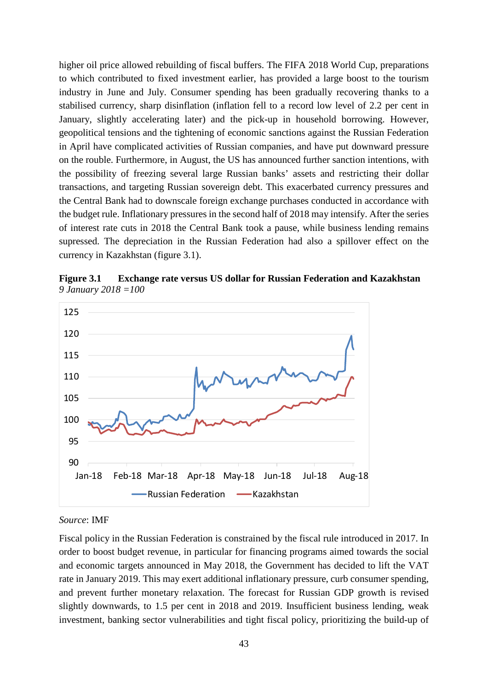higher oil price allowed rebuilding of fiscal buffers. The FIFA 2018 World Cup, preparations to which contributed to fixed investment earlier, has provided a large boost to the tourism industry in June and July. Consumer spending has been gradually recovering thanks to a stabilised currency, sharp disinflation (inflation fell to a record low level of 2.2 per cent in January, slightly accelerating later) and the pick-up in household borrowing. However, geopolitical tensions and the tightening of economic sanctions against the Russian Federation in April have complicated activities of Russian companies, and have put downward pressure on the rouble. Furthermore, in August, the US has announced further sanction intentions, with the possibility of freezing several large Russian banks' assets and restricting their dollar transactions, and targeting Russian sovereign debt. This exacerbated currency pressures and the Central Bank had to downscale foreign exchange purchases conducted in accordance with the budget rule. Inflationary pressures in the second half of 2018 may intensify. After the series of interest rate cuts in 2018 the Central Bank took a pause, while business lending remains supressed. The depreciation in the Russian Federation had also a spillover effect on the currency in Kazakhstan (figure 3.1).

**Figure 3.1 Exchange rate versus US dollar for Russian Federation and Kazakhstan**  *9 January 2018 =100*



#### *Source*: IMF

Fiscal policy in the Russian Federation is constrained by the fiscal rule introduced in 2017. In order to boost budget revenue, in particular for financing programs aimed towards the social and economic targets announced in May 2018, the Government has decided to lift the VAT rate in January 2019. This may exert additional inflationary pressure, curb consumer spending, and prevent further monetary relaxation. The forecast for Russian GDP growth is revised slightly downwards, to 1.5 per cent in 2018 and 2019. Insufficient business lending, weak investment, banking sector vulnerabilities and tight fiscal policy, prioritizing the build-up of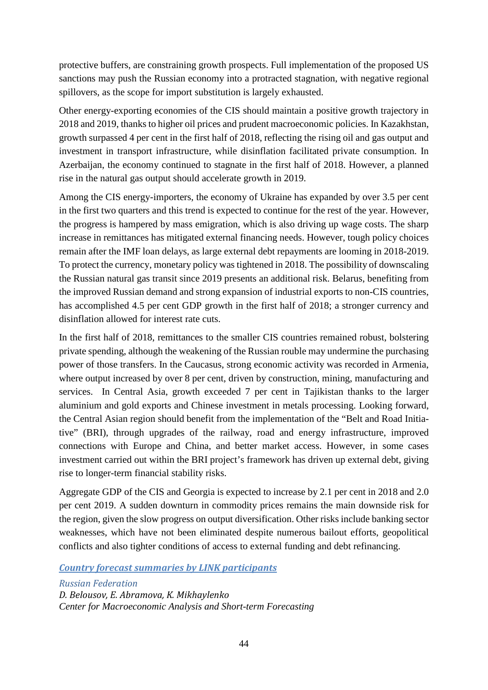protective buffers, are constraining growth prospects. Full implementation of the proposed US sanctions may push the Russian economy into a protracted stagnation, with negative regional spillovers, as the scope for import substitution is largely exhausted.

Other energy-exporting economies of the CIS should maintain a positive growth trajectory in 2018 and 2019, thanks to higher oil prices and prudent macroeconomic policies. In Kazakhstan, growth surpassed 4 per cent in the first half of 2018, reflecting the rising oil and gas output and investment in transport infrastructure, while disinflation facilitated private consumption. In Azerbaijan, the economy continued to stagnate in the first half of 2018. However, a planned rise in the natural gas output should accelerate growth in 2019.

Among the CIS energy-importers, the economy of Ukraine has expanded by over 3.5 per cent in the first two quarters and this trend is expected to continue for the rest of the year. However, the progress is hampered by mass emigration, which is also driving up wage costs. The sharp increase in remittances has mitigated external financing needs. However, tough policy choices remain after the IMF loan delays, as large external debt repayments are looming in 2018-2019. To protect the currency, monetary policy was tightened in 2018. The possibility of downscaling the Russian natural gas transit since 2019 presents an additional risk. Belarus, benefiting from the improved Russian demand and strong expansion of industrial exports to non-CIS countries, has accomplished 4.5 per cent GDP growth in the first half of 2018; a stronger currency and disinflation allowed for interest rate cuts.

In the first half of 2018, remittances to the smaller CIS countries remained robust, bolstering private spending, although the weakening of the Russian rouble may undermine the purchasing power of those transfers. In the Caucasus, strong economic activity was recorded in Armenia, where output increased by over 8 per cent, driven by construction, mining, manufacturing and services. In Central Asia, growth exceeded 7 per cent in Tajikistan thanks to the larger aluminium and gold exports and Chinese investment in metals processing. Looking forward, the Central Asian region should benefit from the implementation of the "Belt and Road Initiative" (BRI), through upgrades of the railway, road and energy infrastructure, improved connections with Europe and China, and better market access. However, in some cases investment carried out within the BRI project's framework has driven up external debt, giving rise to longer-term financial stability risks.

Aggregate GDP of the CIS and Georgia is expected to increase by 2.1 per cent in 2018 and 2.0 per cent 2019. A sudden downturn in commodity prices remains the main downside risk for the region, given the slow progress on output diversification. Other risks include banking sector weaknesses, which have not been eliminated despite numerous bailout efforts, geopolitical conflicts and also tighter conditions of access to external funding and debt refinancing.

*Country forecast summaries by LINK participants*

*Russian Federation D. Belousov, E. Abramova, K. Mikhaylenko Center for Macroeconomic Analysis and Short-term Forecasting*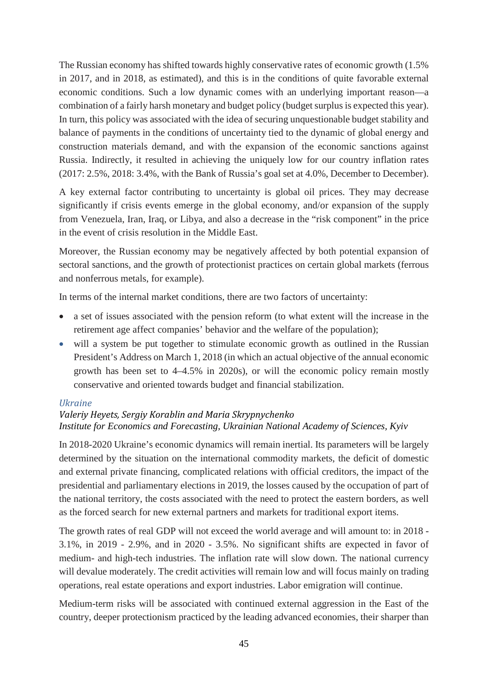The Russian economy has shifted towards highly conservative rates of economic growth (1.5% in 2017, and in 2018, as estimated), and this is in the conditions of quite favorable external economic conditions. Such a low dynamic comes with an underlying important reason—a combination of a fairly harsh monetary and budget policy (budget surplus is expected this year). In turn, this policy was associated with the idea of securing unquestionable budget stability and balance of payments in the conditions of uncertainty tied to the dynamic of global energy and construction materials demand, and with the expansion of the economic sanctions against Russia. Indirectly, it resulted in achieving the uniquely low for our country inflation rates (2017: 2.5%, 2018: 3.4%, with the Bank of Russia's goal set at 4.0%, December to December).

A key external factor contributing to uncertainty is global oil prices. They may decrease significantly if crisis events emerge in the global economy, and/or expansion of the supply from Venezuela, Iran, Iraq, or Libya, and also a decrease in the "risk component" in the price in the event of crisis resolution in the Middle East.

Moreover, the Russian economy may be negatively affected by both potential expansion of sectoral sanctions, and the growth of protectionist practices on certain global markets (ferrous and nonferrous metals, for example).

In terms of the internal market conditions, there are two factors of uncertainty:

- a set of issues associated with the pension reform (to what extent will the increase in the retirement age affect companies' behavior and the welfare of the population);
- will a system be put together to stimulate economic growth as outlined in the Russian President's Address on March 1, 2018 (in which an actual objective of the annual economic growth has been set to 4–4.5% in 2020s), or will the economic policy remain mostly conservative and oriented towards budget and financial stabilization.

# *Ukraine*

# *Valeriy Heyets, Sergiy Korablin and Maria Skrypnychenko Institute for Economics and Forecasting, Ukrainian National Academy of Sciences, Kyiv*

In 2018-2020 Ukraine's economic dynamics will remain inertial. Its parameters will be largely determined by the situation on the international commodity markets, the deficit of domestic and external private financing, complicated relations with official creditors, the impact of the presidential and parliamentary elections in 2019, the losses caused by the occupation of part of the national territory, the costs associated with the need to protect the eastern borders, as well as the forced search for new external partners and markets for traditional export items.

The growth rates of real GDP will not exceed the world average and will amount to: in 2018 - 3.1%, in 2019 - 2.9%, and in 2020 - 3.5%. No significant shifts are expected in favor of medium- and high-tech industries. The inflation rate will slow down. The national currency will devalue moderately. The credit activities will remain low and will focus mainly on trading operations, real estate operations and export industries. Labor emigration will continue.

Medium-term risks will be associated with continued external aggression in the East of the country, deeper protectionism practiced by the leading advanced economies, their sharper than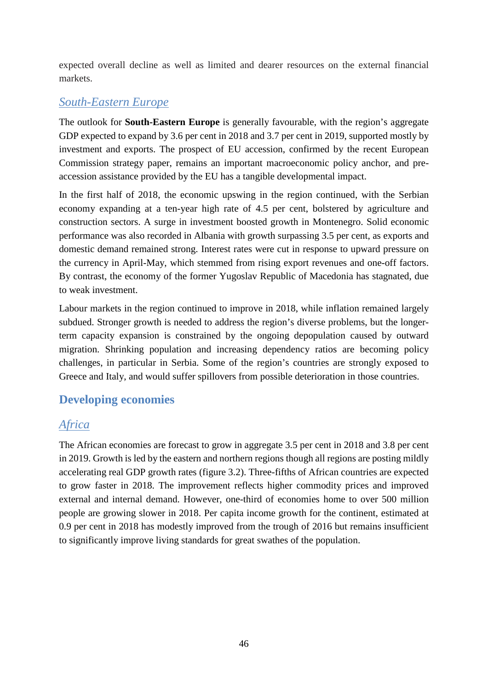expected overall decline as well as limited and dearer resources on the external financial markets.

# *South-Eastern Europe*

The outlook for **South-Eastern Europe** is generally favourable, with the region's aggregate GDP expected to expand by 3.6 per cent in 2018 and 3.7 per cent in 2019, supported mostly by investment and exports. The prospect of EU accession, confirmed by the recent European Commission strategy paper, remains an important macroeconomic policy anchor, and preaccession assistance provided by the EU has a tangible developmental impact.

In the first half of 2018, the economic upswing in the region continued, with the Serbian economy expanding at a ten-year high rate of 4.5 per cent, bolstered by agriculture and construction sectors. A surge in investment boosted growth in Montenegro. Solid economic performance was also recorded in Albania with growth surpassing 3.5 per cent, as exports and domestic demand remained strong. Interest rates were cut in response to upward pressure on the currency in April-May, which stemmed from rising export revenues and one-off factors. By contrast, the economy of the former Yugoslav Republic of Macedonia has stagnated, due to weak investment.

Labour markets in the region continued to improve in 2018, while inflation remained largely subdued. Stronger growth is needed to address the region's diverse problems, but the longerterm capacity expansion is constrained by the ongoing depopulation caused by outward migration. Shrinking population and increasing dependency ratios are becoming policy challenges, in particular in Serbia. Some of the region's countries are strongly exposed to Greece and Italy, and would suffer spillovers from possible deterioration in those countries.

# **Developing economies**

# *Africa*

The African economies are forecast to grow in aggregate 3.5 per cent in 2018 and 3.8 per cent in 2019. Growth is led by the eastern and northern regions though all regions are posting mildly accelerating real GDP growth rates (figure 3.2). Three-fifths of African countries are expected to grow faster in 2018. The improvement reflects higher commodity prices and improved external and internal demand. However, one-third of economies home to over 500 million people are growing slower in 2018. Per capita income growth for the continent, estimated at 0.9 per cent in 2018 has modestly improved from the trough of 2016 but remains insufficient to significantly improve living standards for great swathes of the population.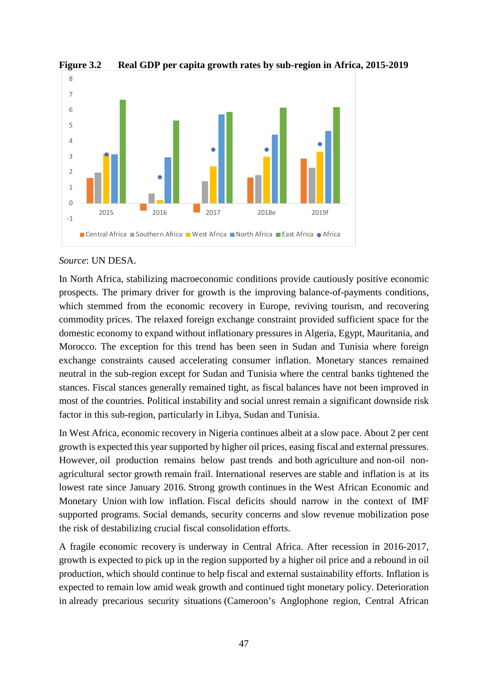

**Figure 3.2 Real GDP per capita growth rates by sub-region in Africa, 2015-2019**

## *Source*: UN DESA.

In North Africa, stabilizing macroeconomic conditions provide cautiously positive economic prospects. The primary driver for growth is the improving balance-of-payments conditions, which stemmed from the economic recovery in Europe, reviving tourism, and recovering commodity prices. The relaxed foreign exchange constraint provided sufficient space for the domestic economy to expand without inflationary pressures in Algeria, Egypt, Mauritania, and Morocco. The exception for this trend has been seen in Sudan and Tunisia where foreign exchange constraints caused accelerating consumer inflation. Monetary stances remained neutral in the sub-region except for Sudan and Tunisia where the central banks tightened the stances. Fiscal stances generally remained tight, as fiscal balances have not been improved in most of the countries. Political instability and social unrest remain a significant downside risk factor in this sub-region, particularly in Libya, Sudan and Tunisia.

In West Africa, economic recovery in Nigeria continues albeit at a slow pace. About 2 per cent growth is expected this year supported by higher oil prices, easing fiscal and external pressures. However, oil production remains below past trends and both agriculture and non-oil nonagricultural sector growth remain frail. International reserves are stable and inflation is at its lowest rate since January 2016. Strong growth continues in the West African Economic and Monetary Union with low inflation. Fiscal deficits should narrow in the context of IMF supported programs. Social demands, security concerns and slow revenue mobilization pose the risk of destabilizing crucial fiscal consolidation efforts.

A fragile economic recovery is underway in Central Africa. After recession in 2016-2017, growth is expected to pick up in the region supported by a higher oil price and a rebound in oil production, which should continue to help fiscal and external sustainability efforts. Inflation is expected to remain low amid weak growth and continued tight monetary policy. Deterioration in already precarious security situations (Cameroon's Anglophone region, Central African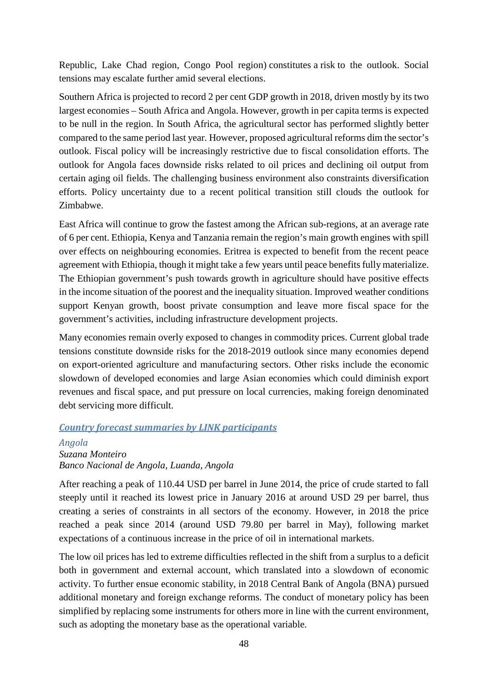Republic, Lake Chad region, Congo Pool region) constitutes a risk to the outlook. Social tensions may escalate further amid several elections.

Southern Africa is projected to record 2 per cent GDP growth in 2018, driven mostly by its two largest economies – South Africa and Angola. However, growth in per capita terms is expected to be null in the region. In South Africa, the agricultural sector has performed slightly better compared to the same period last year. However, proposed agricultural reforms dim the sector's outlook. Fiscal policy will be increasingly restrictive due to fiscal consolidation efforts. The outlook for Angola faces downside risks related to oil prices and declining oil output from certain aging oil fields. The challenging business environment also constraints diversification efforts. Policy uncertainty due to a recent political transition still clouds the outlook for Zimbabwe.

East Africa will continue to grow the fastest among the African sub-regions, at an average rate of 6 per cent. Ethiopia, Kenya and Tanzania remain the region's main growth engines with spill over effects on neighbouring economies. Eritrea is expected to benefit from the recent peace agreement with Ethiopia, though it might take a few years until peace benefits fully materialize. The Ethiopian government's push towards growth in agriculture should have positive effects in the income situation of the poorest and the inequality situation. Improved weather conditions support Kenyan growth, boost private consumption and leave more fiscal space for the government's activities, including infrastructure development projects.

Many economies remain overly exposed to changes in commodity prices. Current global trade tensions constitute downside risks for the 2018-2019 outlook since many economies depend on export-oriented agriculture and manufacturing sectors. Other risks include the economic slowdown of developed economies and large Asian economies which could diminish export revenues and fiscal space, and put pressure on local currencies, making foreign denominated debt servicing more difficult.

# *Country forecast summaries by LINK participants*

# *Angola Suzana Monteiro Banco Nacional de Angola, Luanda, Angola*

After reaching a peak of 110.44 USD per barrel in June 2014, the price of crude started to fall steeply until it reached its lowest price in January 2016 at around USD 29 per barrel, thus creating a series of constraints in all sectors of the economy. However, in 2018 the price reached a peak since 2014 (around USD 79.80 per barrel in May), following market expectations of a continuous increase in the price of oil in international markets.

The low oil prices has led to extreme difficulties reflected in the shift from a surplus to a deficit both in government and external account, which translated into a slowdown of economic activity. To further ensue economic stability, in 2018 Central Bank of Angola (BNA) pursued additional monetary and foreign exchange reforms. The conduct of monetary policy has been simplified by replacing some instruments for others more in line with the current environment, such as adopting the monetary base as the operational variable.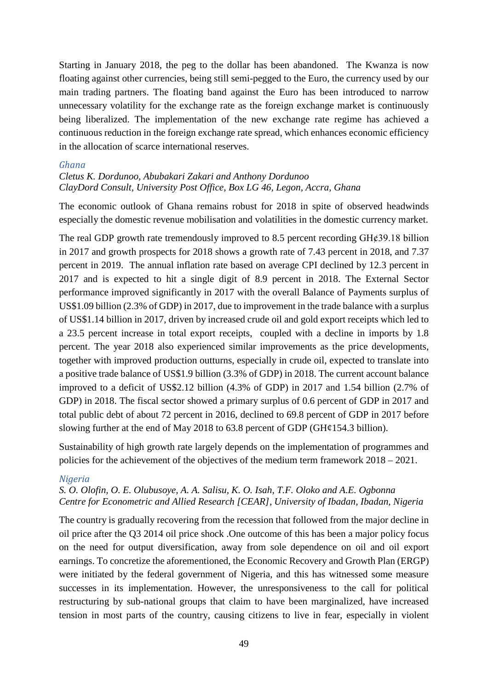Starting in January 2018, the peg to the dollar has been abandoned. The Kwanza is now floating against other currencies, being still semi-pegged to the Euro, the currency used by our main trading partners. The floating band against the Euro has been introduced to narrow unnecessary volatility for the exchange rate as the foreign exchange market is continuously being liberalized. The implementation of the new exchange rate regime has achieved a continuous reduction in the foreign exchange rate spread, which enhances economic efficiency in the allocation of scarce international reserves.

#### *Ghana*

## *Cletus K. Dordunoo, Abubakari Zakari and Anthony Dordunoo ClayDord Consult, University Post Office, Box LG 46, Legon, Accra, Ghana*

The economic outlook of Ghana remains robust for 2018 in spite of observed headwinds especially the domestic revenue mobilisation and volatilities in the domestic currency market.

The real GDP growth rate tremendously improved to 8.5 percent recording  $GH¢39.18$  billion in 2017 and growth prospects for 2018 shows a growth rate of 7.43 percent in 2018, and 7.37 percent in 2019. The annual inflation rate based on average CPI declined by 12.3 percent in 2017 and is expected to hit a single digit of 8.9 percent in 2018. The External Sector performance improved significantly in 2017 with the overall Balance of Payments surplus of US\$1.09 billion (2.3% of GDP) in 2017, due to improvement in the trade balance with a surplus of US\$1.14 billion in 2017, driven by increased crude oil and gold export receipts which led to a 23.5 percent increase in total export receipts, coupled with a decline in imports by 1.8 percent. The year 2018 also experienced similar improvements as the price developments, together with improved production outturns, especially in crude oil, expected to translate into a positive trade balance of US\$1.9 billion (3.3% of GDP) in 2018. The current account balance improved to a deficit of US\$2.12 billion (4.3% of GDP) in 2017 and 1.54 billion (2.7% of GDP) in 2018. The fiscal sector showed a primary surplus of 0.6 percent of GDP in 2017 and total public debt of about 72 percent in 2016, declined to 69.8 percent of GDP in 2017 before slowing further at the end of May 2018 to  $63.8$  percent of GDP (GH $\ell$ 154.3 billion).

Sustainability of high growth rate largely depends on the implementation of programmes and policies for the achievement of the objectives of the medium term framework 2018 – 2021.

#### *Nigeria*

# *S. O. Olofin, O. E. Olubusoye, A. A. Salisu, K. O. Isah, T.F. Oloko and A.E. Ogbonna Centre for Econometric and Allied Research [CEAR], University of Ibadan, Ibadan, Nigeria*

The country is gradually recovering from the recession that followed from the major decline in oil price after the Q3 2014 oil price shock .One outcome of this has been a major policy focus on the need for output diversification, away from sole dependence on oil and oil export earnings. To concretize the aforementioned, the Economic Recovery and Growth Plan (ERGP) were initiated by the federal government of Nigeria, and this has witnessed some measure successes in its implementation. However, the unresponsiveness to the call for political restructuring by sub-national groups that claim to have been marginalized, have increased tension in most parts of the country, causing citizens to live in fear, especially in violent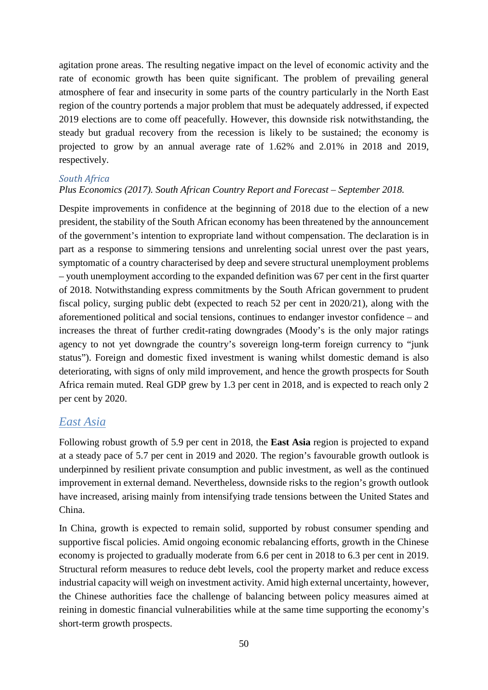agitation prone areas. The resulting negative impact on the level of economic activity and the rate of economic growth has been quite significant. The problem of prevailing general atmosphere of fear and insecurity in some parts of the country particularly in the North East region of the country portends a major problem that must be adequately addressed, if expected 2019 elections are to come off peacefully. However, this downside risk notwithstanding, the steady but gradual recovery from the recession is likely to be sustained; the economy is projected to grow by an annual average rate of 1.62% and 2.01% in 2018 and 2019, respectively.

## *South Africa*

# *Plus Economics (2017). South African Country Report and Forecast – September 2018.*

Despite improvements in confidence at the beginning of 2018 due to the election of a new president, the stability of the South African economy has been threatened by the announcement of the government's intention to expropriate land without compensation. The declaration is in part as a response to simmering tensions and unrelenting social unrest over the past years, symptomatic of a country characterised by deep and severe structural unemployment problems – youth unemployment according to the expanded definition was 67 per cent in the first quarter of 2018. Notwithstanding express commitments by the South African government to prudent fiscal policy, surging public debt (expected to reach 52 per cent in 2020/21), along with the aforementioned political and social tensions, continues to endanger investor confidence – and increases the threat of further credit-rating downgrades (Moody's is the only major ratings agency to not yet downgrade the country's sovereign long-term foreign currency to "junk status"). Foreign and domestic fixed investment is waning whilst domestic demand is also deteriorating, with signs of only mild improvement, and hence the growth prospects for South Africa remain muted. Real GDP grew by 1.3 per cent in 2018, and is expected to reach only 2 per cent by 2020.

# *East Asia*

Following robust growth of 5.9 per cent in 2018, the **East Asia** region is projected to expand at a steady pace of 5.7 per cent in 2019 and 2020. The region's favourable growth outlook is underpinned by resilient private consumption and public investment, as well as the continued improvement in external demand. Nevertheless, downside risks to the region's growth outlook have increased, arising mainly from intensifying trade tensions between the United States and China.

In China, growth is expected to remain solid, supported by robust consumer spending and supportive fiscal policies. Amid ongoing economic rebalancing efforts, growth in the Chinese economy is projected to gradually moderate from 6.6 per cent in 2018 to 6.3 per cent in 2019. Structural reform measures to reduce debt levels, cool the property market and reduce excess industrial capacity will weigh on investment activity. Amid high external uncertainty, however, the Chinese authorities face the challenge of balancing between policy measures aimed at reining in domestic financial vulnerabilities while at the same time supporting the economy's short-term growth prospects.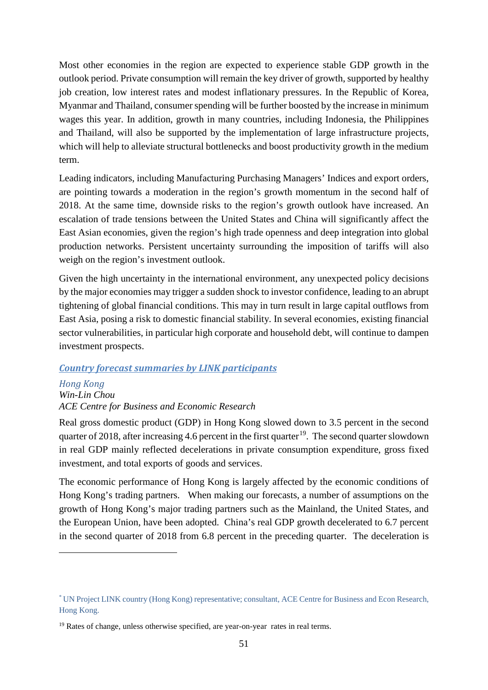Most other economies in the region are expected to experience stable GDP growth in the outlook period. Private consumption will remain the key driver of growth, supported by healthy job creation, low interest rates and modest inflationary pressures. In the Republic of Korea, Myanmar and Thailand, consumer spending will be further boosted by the increase in minimum wages this year. In addition, growth in many countries, including Indonesia, the Philippines and Thailand, will also be supported by the implementation of large infrastructure projects, which will help to alleviate structural bottlenecks and boost productivity growth in the medium term.

Leading indicators, including Manufacturing Purchasing Managers' Indices and export orders, are pointing towards a moderation in the region's growth momentum in the second half of 2018. At the same time, downside risks to the region's growth outlook have increased. An escalation of trade tensions between the United States and China will significantly affect the East Asian economies, given the region's high trade openness and deep integration into global production networks. Persistent uncertainty surrounding the imposition of tariffs will also weigh on the region's investment outlook.

Given the high uncertainty in the international environment, any unexpected policy decisions by the major economies may trigger a sudden shock to investor confidence, leading to an abrupt tightening of global financial conditions. This may in turn result in large capital outflows from East Asia, posing a risk to domestic financial stability. In several economies, existing financial sector vulnerabilities, in particular high corporate and household debt, will continue to dampen investment prospects.

#### *Country forecast summaries by LINK participants*

# *Hong Kong Win-Lin Chou ACE Centre for Business and Economic Research*

<u>.</u>

Real gross domestic product (GDP) in Hong Kong slowed down to 3.5 percent in the second quarter of 2018, after increasing 4.6 percent in the first quarter<sup>19</sup>. The second quarter slowdown in real GDP mainly reflected decelerations in private consumption expenditure, gross fixed investment, and total exports of goods and services.

The economic performance of Hong Kong is largely affected by the economic conditions of Hong Kong's trading partners. When making our forecasts, a number of assumptions on the growth of Hong Kong's major trading partners such as the Mainland, the United States, and the European Union, have been adopted. China's real GDP growth decelerated to 6.7 percent in the second quarter of 2018 from 6.8 percent in the preceding quarter. The deceleration is

<span id="page-50-0"></span><sup>\*</sup> UN Project LINK country (Hong Kong) representative; consultant, ACE Centre for Business and Econ Research, Hong Kong.

 $19$  Rates of change, unless otherwise specified, are year-on-year rates in real terms.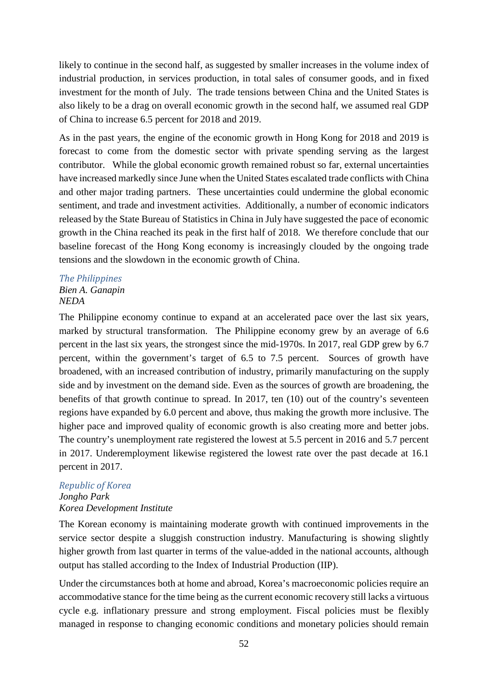likely to continue in the second half, as suggested by smaller increases in the volume index of industrial production, in services production, in total sales of consumer goods, and in fixed investment for the month of July. The trade tensions between China and the United States is also likely to be a drag on overall economic growth in the second half, we assumed real GDP of China to increase 6.5 percent for 2018 and 2019.

As in the past years, the engine of the economic growth in Hong Kong for 2018 and 2019 is forecast to come from the domestic sector with private spending serving as the largest contributor. While the global economic growth remained robust so far, external uncertainties have increased markedly since June when the United States escalated trade conflicts with China and other major trading partners. These uncertainties could undermine the global economic sentiment, and trade and investment activities. Additionally, a number of economic indicators released by the State Bureau of Statistics in China in July have suggested the pace of economic growth in the China reached its peak in the first half of 2018. We therefore conclude that our baseline forecast of the Hong Kong economy is increasingly clouded by the ongoing trade tensions and the slowdown in the economic growth of China.

## *The Philippines Bien A. Ganapin NEDA*

The Philippine economy continue to expand at an accelerated pace over the last six years, marked by structural transformation. The Philippine economy grew by an average of 6.6 percent in the last six years, the strongest since the mid-1970s. In 2017, real GDP grew by 6.7 percent, within the government's target of 6.5 to 7.5 percent. Sources of growth have broadened, with an increased contribution of industry, primarily manufacturing on the supply side and by investment on the demand side. Even as the sources of growth are broadening, the benefits of that growth continue to spread. In 2017, ten (10) out of the country's seventeen regions have expanded by 6.0 percent and above, thus making the growth more inclusive. The higher pace and improved quality of economic growth is also creating more and better jobs. The country's unemployment rate registered the lowest at 5.5 percent in 2016 and 5.7 percent in 2017. Underemployment likewise registered the lowest rate over the past decade at 16.1 percent in 2017.

# *Republic of Korea Jongho Park Korea Development Institute*

The Korean economy is maintaining moderate growth with continued improvements in the service sector despite a sluggish construction industry. Manufacturing is showing slightly higher growth from last quarter in terms of the value-added in the national accounts, although output has stalled according to the Index of Industrial Production (IIP).

Under the circumstances both at home and abroad, Korea's macroeconomic policies require an accommodative stance for the time being as the current economic recovery still lacks a virtuous cycle e.g. inflationary pressure and strong employment. Fiscal policies must be flexibly managed in response to changing economic conditions and monetary policies should remain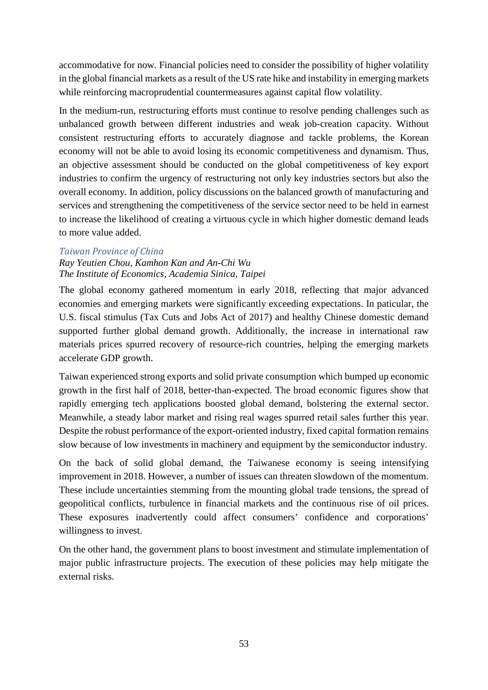accommodative for now. Financial policies need to consider the possibility of higher volatility in the global financial markets as a result of the US rate hike and instability in emerging markets while reinforcing macroprudential countermeasures against capital flow volatility.

In the medium-run, restructuring efforts must continue to resolve pending challenges such as unbalanced growth between different industries and weak job-creation capacity. Without consistent restructuring efforts to accurately diagnose and tackle problems, the Korean economy will not be able to avoid losing its economic competitiveness and dynamism. Thus, an objective assessment should be conducted on the global competitiveness of key export industries to confirm the urgency of restructuring not only key industries sectors but also the overall economy. In addition, policy discussions on the balanced growth of manufacturing and services and strengthening the competitiveness of the service sector need to be held in earnest to increase the likelihood of creating a virtuous cycle in which higher domestic demand leads to more value added.

## *Taiwan Province of China*

*Ray Yeutien Chou, Kamhon Kan and An-Chi Wu The Institute of Economics, Academia Sinica, Taipei*

The global economy gathered momentum in early 2018, reflecting that major advanced economies and emerging markets were significantly exceeding expectations. In paticular, the U.S. fiscal stimulus (Tax Cuts and Jobs Act of 2017) and healthy Chinese domestic demand supported further global demand growth. Additionally, the increase in international raw materials prices spurred recovery of resource-rich countries, helping the emerging markets accelerate GDP growth.

Taiwan experienced strong exports and solid private consumption which bumped up economic growth in the first half of 2018, better-than-expected. The broad economic figures show that rapidly emerging tech applications boosted global demand, bolstering the external sector. Meanwhile, a steady labor market and rising real wages spurred retail sales further this year. Despite the robust performance of the export-oriented industry, fixed capital formation remains slow because of low investments in machinery and equipment by the semiconductor industry.

On the back of solid global demand, the Taiwanese economy is seeing intensifying improvement in 2018. However, a number of issues can threaten slowdown of the momentum. These include uncertainties stemming from the mounting global trade tensions, the spread of geopolitical conflicts, turbulence in financial markets and the continuous rise of oil prices. These exposures inadvertently could affect consumers' confidence and corporations' willingness to invest.

On the other hand, the government plans to boost investment and stimulate implementation of major public infrastructure projects. The execution of these policies may help mitigate the external risks.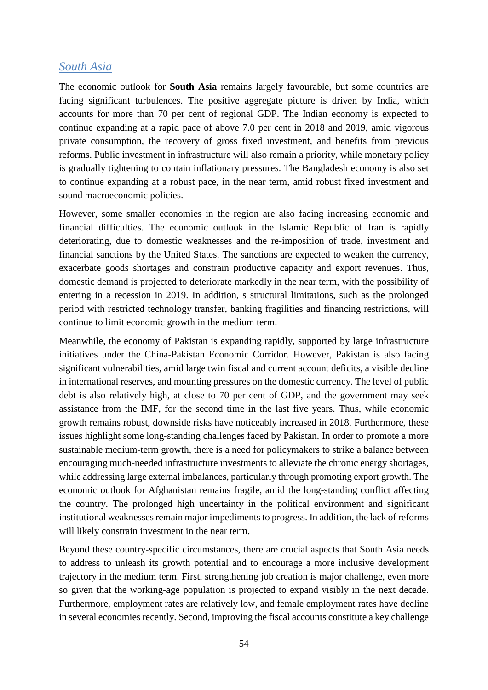# *South Asia*

The economic outlook for **South Asia** remains largely favourable, but some countries are facing significant turbulences. The positive aggregate picture is driven by India, which accounts for more than 70 per cent of regional GDP. The Indian economy is expected to continue expanding at a rapid pace of above 7.0 per cent in 2018 and 2019, amid vigorous private consumption, the recovery of gross fixed investment, and benefits from previous reforms. Public investment in infrastructure will also remain a priority, while monetary policy is gradually tightening to contain inflationary pressures. The Bangladesh economy is also set to continue expanding at a robust pace, in the near term, amid robust fixed investment and sound macroeconomic policies.

However, some smaller economies in the region are also facing increasing economic and financial difficulties. The economic outlook in the Islamic Republic of Iran is rapidly deteriorating, due to domestic weaknesses and the re-imposition of trade, investment and financial sanctions by the United States. The sanctions are expected to weaken the currency, exacerbate goods shortages and constrain productive capacity and export revenues. Thus, domestic demand is projected to deteriorate markedly in the near term, with the possibility of entering in a recession in 2019. In addition, s structural limitations, such as the prolonged period with restricted technology transfer, banking fragilities and financing restrictions, will continue to limit economic growth in the medium term.

Meanwhile, the economy of Pakistan is expanding rapidly, supported by large infrastructure initiatives under the China-Pakistan Economic Corridor. However, Pakistan is also facing significant vulnerabilities, amid large twin fiscal and current account deficits, a visible decline in international reserves, and mounting pressures on the domestic currency. The level of public debt is also relatively high, at close to 70 per cent of GDP, and the government may seek assistance from the IMF, for the second time in the last five years. Thus, while economic growth remains robust, downside risks have noticeably increased in 2018. Furthermore, these issues highlight some long-standing challenges faced by Pakistan. In order to promote a more sustainable medium-term growth, there is a need for policymakers to strike a balance between encouraging much-needed infrastructure investments to alleviate the chronic energy shortages, while addressing large external imbalances, particularly through promoting export growth. The economic outlook for Afghanistan remains fragile, amid the long-standing conflict affecting the country. The prolonged high uncertainty in the political environment and significant institutional weaknesses remain major impediments to progress. In addition, the lack of reforms will likely constrain investment in the near term.

Beyond these country-specific circumstances, there are crucial aspects that South Asia needs to address to unleash its growth potential and to encourage a more inclusive development trajectory in the medium term. First, strengthening job creation is major challenge, even more so given that the working-age population is projected to expand visibly in the next decade. Furthermore, employment rates are relatively low, and female employment rates have decline in several economies recently. Second, improving the fiscal accounts constitute a key challenge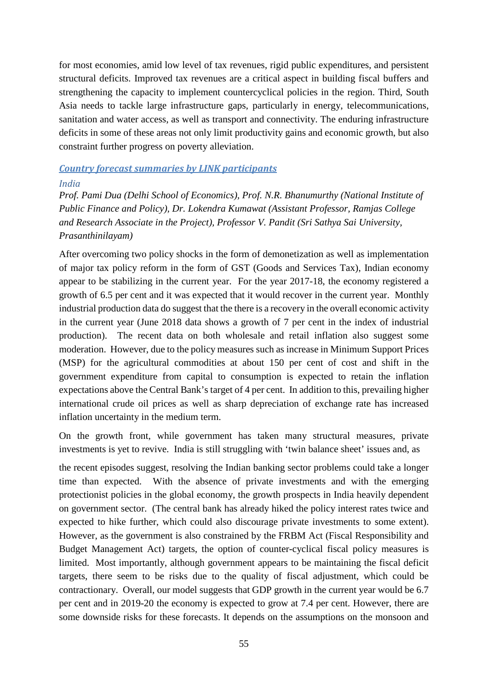for most economies, amid low level of tax revenues, rigid public expenditures, and persistent structural deficits. Improved tax revenues are a critical aspect in building fiscal buffers and strengthening the capacity to implement countercyclical policies in the region. Third, South Asia needs to tackle large infrastructure gaps, particularly in energy, telecommunications, sanitation and water access, as well as transport and connectivity. The enduring infrastructure deficits in some of these areas not only limit productivity gains and economic growth, but also constraint further progress on poverty alleviation.

# *Country forecast summaries by LINK participants*

#### *India*

*Prof. Pami Dua (Delhi School of Economics), Prof. N.R. Bhanumurthy (National Institute of Public Finance and Policy), Dr. Lokendra Kumawat (Assistant Professor, Ramjas College and Research Associate in the Project), Professor V. Pandit (Sri Sathya Sai University, Prasanthinilayam)*

After overcoming two policy shocks in the form of demonetization as well as implementation of major tax policy reform in the form of GST (Goods and Services Tax), Indian economy appear to be stabilizing in the current year. For the year 2017-18, the economy registered a growth of 6.5 per cent and it was expected that it would recover in the current year. Monthly industrial production data do suggest that the there is a recovery in the overall economic activity in the current year (June 2018 data shows a growth of 7 per cent in the index of industrial production). The recent data on both wholesale and retail inflation also suggest some moderation. However, due to the policy measures such as increase in Minimum Support Prices (MSP) for the agricultural commodities at about 150 per cent of cost and shift in the government expenditure from capital to consumption is expected to retain the inflation expectations above the Central Bank's target of 4 per cent. In addition to this, prevailing higher international crude oil prices as well as sharp depreciation of exchange rate has increased inflation uncertainty in the medium term.

On the growth front, while government has taken many structural measures, private investments is yet to revive. India is still struggling with 'twin balance sheet' issues and, as

the recent episodes suggest, resolving the Indian banking sector problems could take a longer time than expected. With the absence of private investments and with the emerging protectionist policies in the global economy, the growth prospects in India heavily dependent on government sector. (The central bank has already hiked the policy interest rates twice and expected to hike further, which could also discourage private investments to some extent). However, as the government is also constrained by the FRBM Act (Fiscal Responsibility and Budget Management Act) targets, the option of counter-cyclical fiscal policy measures is limited. Most importantly, although government appears to be maintaining the fiscal deficit targets, there seem to be risks due to the quality of fiscal adjustment, which could be contractionary. Overall, our model suggests that GDP growth in the current year would be 6.7 per cent and in 2019-20 the economy is expected to grow at 7.4 per cent. However, there are some downside risks for these forecasts. It depends on the assumptions on the monsoon and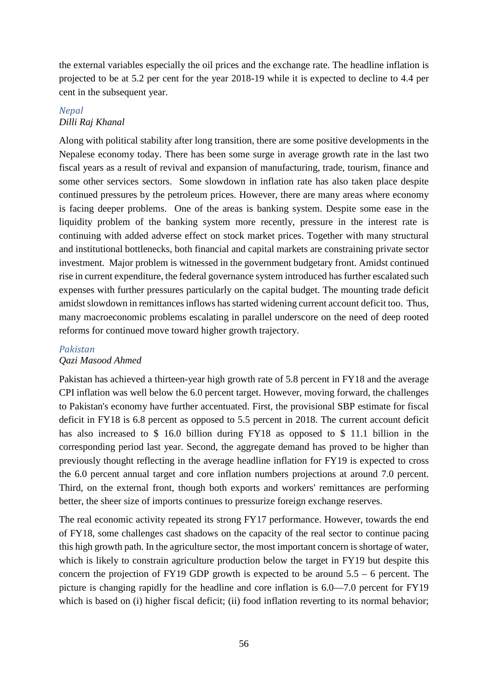the external variables especially the oil prices and the exchange rate. The headline inflation is projected to be at 5.2 per cent for the year 2018-19 while it is expected to decline to 4.4 per cent in the subsequent year.

# *Nepal Dilli Raj Khanal*

Along with political stability after long transition, there are some positive developments in the Nepalese economy today. There has been some surge in average growth rate in the last two fiscal years as a result of revival and expansion of manufacturing, trade, tourism, finance and some other services sectors. Some slowdown in inflation rate has also taken place despite continued pressures by the petroleum prices. However, there are many areas where economy is facing deeper problems. One of the areas is banking system. Despite some ease in the liquidity problem of the banking system more recently, pressure in the interest rate is continuing with added adverse effect on stock market prices. Together with many structural and institutional bottlenecks, both financial and capital markets are constraining private sector investment. Major problem is witnessed in the government budgetary front. Amidst continued rise in current expenditure, the federal governance system introduced has further escalated such expenses with further pressures particularly on the capital budget. The mounting trade deficit amidst slowdown in remittances inflows has started widening current account deficit too. Thus, many macroeconomic problems escalating in parallel underscore on the need of deep rooted reforms for continued move toward higher growth trajectory.

# *Pakistan*

## *Qazi Masood Ahmed*

Pakistan has achieved a thirteen-year high growth rate of 5.8 percent in FY18 and the average CPI inflation was well below the 6.0 percent target. However, moving forward, the challenges to Pakistan's economy have further accentuated. First, the provisional SBP estimate for fiscal deficit in FY18 is 6.8 percent as opposed to 5.5 percent in 2018. The current account deficit has also increased to \$ 16.0 billion during FY18 as opposed to \$ 11.1 billion in the corresponding period last year. Second, the aggregate demand has proved to be higher than previously thought reflecting in the average headline inflation for FY19 is expected to cross the 6.0 percent annual target and core inflation numbers projections at around 7.0 percent. Third, on the external front, though both exports and workers' remittances are performing better, the sheer size of imports continues to pressurize foreign exchange reserves.

The real economic activity repeated its strong FY17 performance. However, towards the end of FY18, some challenges cast shadows on the capacity of the real sector to continue pacing this high growth path. In the agriculture sector, the most important concern is shortage of water, which is likely to constrain agriculture production below the target in FY19 but despite this concern the projection of FY19 GDP growth is expected to be around  $5.5 - 6$  percent. The picture is changing rapidly for the headline and core inflation is 6.0—7.0 percent for FY19 which is based on (i) higher fiscal deficit; (ii) food inflation reverting to its normal behavior;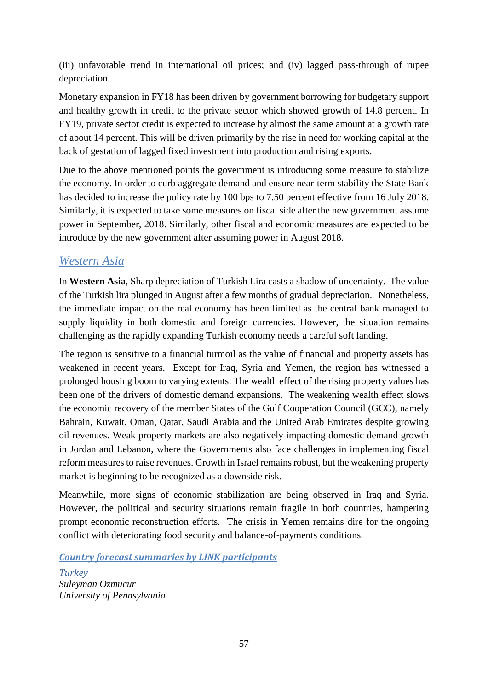(iii) unfavorable trend in international oil prices; and (iv) lagged pass-through of rupee depreciation.

Monetary expansion in FY18 has been driven by government borrowing for budgetary support and healthy growth in credit to the private sector which showed growth of 14.8 percent. In FY19, private sector credit is expected to increase by almost the same amount at a growth rate of about 14 percent. This will be driven primarily by the rise in need for working capital at the back of gestation of lagged fixed investment into production and rising exports.

Due to the above mentioned points the government is introducing some measure to stabilize the economy. In order to curb aggregate demand and ensure near-term stability the State Bank has decided to increase the policy rate by 100 bps to 7.50 percent effective from 16 July 2018. Similarly, it is expected to take some measures on fiscal side after the new government assume power in September, 2018. Similarly, other fiscal and economic measures are expected to be introduce by the new government after assuming power in August 2018.

# *Western Asia*

In **Western Asia**, Sharp depreciation of Turkish Lira casts a shadow of uncertainty. The value of the Turkish lira plunged in August after a few months of gradual depreciation. Nonetheless, the immediate impact on the real economy has been limited as the central bank managed to supply liquidity in both domestic and foreign currencies. However, the situation remains challenging as the rapidly expanding Turkish economy needs a careful soft landing.

The region is sensitive to a financial turmoil as the value of financial and property assets has weakened in recent years. Except for Iraq, Syria and Yemen, the region has witnessed a prolonged housing boom to varying extents. The wealth effect of the rising property values has been one of the drivers of domestic demand expansions. The weakening wealth effect slows the economic recovery of the member States of the Gulf Cooperation Council (GCC), namely Bahrain, Kuwait, Oman, Qatar, Saudi Arabia and the United Arab Emirates despite growing oil revenues. Weak property markets are also negatively impacting domestic demand growth in Jordan and Lebanon, where the Governments also face challenges in implementing fiscal reform measures to raise revenues. Growth in Israel remains robust, but the weakening property market is beginning to be recognized as a downside risk.

Meanwhile, more signs of economic stabilization are being observed in Iraq and Syria. However, the political and security situations remain fragile in both countries, hampering prompt economic reconstruction efforts. The crisis in Yemen remains dire for the ongoing conflict with deteriorating food security and balance-of-payments conditions.

*Country forecast summaries by LINK participants*

*Turkey Suleyman Ozmucur University of Pennsylvania*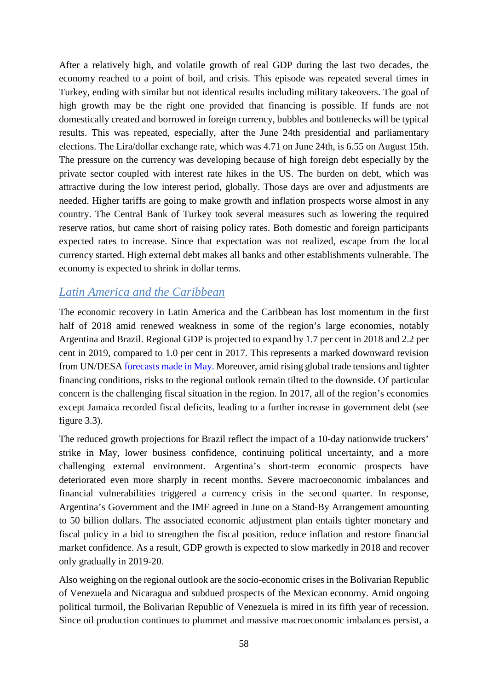After a relatively high, and volatile growth of real GDP during the last two decades, the economy reached to a point of boil, and crisis. This episode was repeated several times in Turkey, ending with similar but not identical results including military takeovers. The goal of high growth may be the right one provided that financing is possible. If funds are not domestically created and borrowed in foreign currency, bubbles and bottlenecks will be typical results. This was repeated, especially, after the June 24th presidential and parliamentary elections. The Lira/dollar exchange rate, which was 4.71 on June 24th, is 6.55 on August 15th. The pressure on the currency was developing because of high foreign debt especially by the private sector coupled with interest rate hikes in the US. The burden on debt, which was attractive during the low interest period, globally. Those days are over and adjustments are needed. Higher tariffs are going to make growth and inflation prospects worse almost in any country. The Central Bank of Turkey took several measures such as lowering the required reserve ratios, but came short of raising policy rates. Both domestic and foreign participants expected rates to increase. Since that expectation was not realized, escape from the local currency started. High external debt makes all banks and other establishments vulnerable. The economy is expected to shrink in dollar terms.

# *Latin America and the Caribbean*

The economic recovery in Latin America and the Caribbean has lost momentum in the first half of 2018 amid renewed weakness in some of the region's large economies, notably Argentina and Brazil. Regional GDP is projected to expand by 1.7 per cent in 2018 and 2.2 per cent in 2019, compared to 1.0 per cent in 2017. This represents a marked downward revision from UN/DESA [forecasts made in May.](https://www.un.org/development/desa/dpad/document_gem/global-economic-monitoring-unit/world-economic-situation-and-prospects-wesp-report/world-economic-situation-and-prospects-wesp-mid-year-update/) Moreover, amid rising global trade tensions and tighter financing conditions, risks to the regional outlook remain tilted to the downside. Of particular concern is the challenging fiscal situation in the region. In 2017, all of the region's economies except Jamaica recorded fiscal deficits, leading to a further increase in government debt (see figure 3.3).

The reduced growth projections for Brazil reflect the impact of a 10-day nationwide truckers' strike in May, lower business confidence, continuing political uncertainty, and a more challenging external environment. Argentina's short-term economic prospects have deteriorated even more sharply in recent months. Severe macroeconomic imbalances and financial vulnerabilities triggered a currency crisis in the second quarter. In response, Argentina's Government and the IMF agreed in June on a Stand-By Arrangement amounting to 50 billion dollars. The associated economic adjustment plan entails tighter monetary and fiscal policy in a bid to strengthen the fiscal position, reduce inflation and restore financial market confidence. As a result, GDP growth is expected to slow markedly in 2018 and recover only gradually in 2019-20.

Also weighing on the regional outlook are the socio-economic crises in the Bolivarian Republic of Venezuela and Nicaragua and subdued prospects of the Mexican economy. Amid ongoing political turmoil, the Bolivarian Republic of Venezuela is mired in its fifth year of recession. Since oil production continues to plummet and massive macroeconomic imbalances persist, a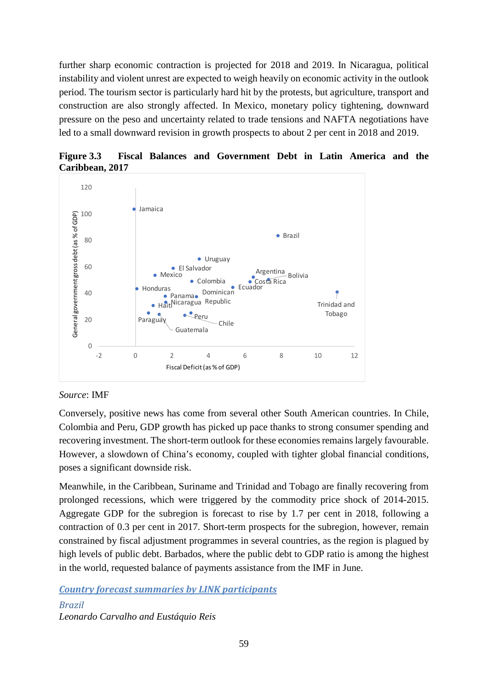further sharp economic contraction is projected for 2018 and 2019. In Nicaragua, political instability and violent unrest are expected to weigh heavily on economic activity in the outlook period. The tourism sector is particularly hard hit by the protests, but agriculture, transport and construction are also strongly affected. In Mexico, monetary policy tightening, downward pressure on the peso and uncertainty related to trade tensions and NAFTA negotiations have led to a small downward revision in growth prospects to about 2 per cent in 2018 and 2019.



**Figure 3.3 Fiscal Balances and Government Debt in Latin America and the Caribbean, 2017**

# *Source*: IMF

Conversely, positive news has come from several other South American countries. In Chile, Colombia and Peru, GDP growth has picked up pace thanks to strong consumer spending and recovering investment. The short-term outlook for these economies remains largely favourable. However, a slowdown of China's economy, coupled with tighter global financial conditions, poses a significant downside risk.

Meanwhile, in the Caribbean, Suriname and Trinidad and Tobago are finally recovering from prolonged recessions, which were triggered by the commodity price shock of 2014-2015. Aggregate GDP for the subregion is forecast to rise by 1.7 per cent in 2018, following a contraction of 0.3 per cent in 2017. Short-term prospects for the subregion, however, remain constrained by fiscal adjustment programmes in several countries, as the region is plagued by high levels of public debt. Barbados, where the public debt to GDP ratio is among the highest in the world, requested balance of payments assistance from the IMF in June.

*Country forecast summaries by LINK participants*

*Brazil Leonardo Carvalho and Eustáquio Reis*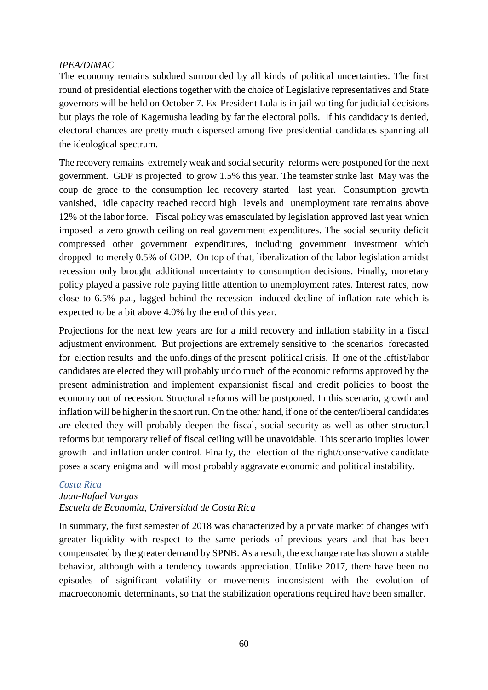## *IPEA/DIMAC*

The economy remains subdued surrounded by all kinds of political uncertainties. The first round of presidential elections together with the choice of Legislative representatives and State governors will be held on October 7. Ex-President Lula is in jail waiting for judicial decisions but plays the role of Kagemusha leading by far the electoral polls. If his candidacy is denied, electoral chances are pretty much dispersed among five presidential candidates spanning all the ideological spectrum.

The recovery remains extremely weak and social security reforms were postponed for the next government. GDP is projected to grow 1.5% this year. The teamster strike last May was the coup de grace to the consumption led recovery started last year. Consumption growth vanished, idle capacity reached record high levels and unemployment rate remains above 12% of the labor force. Fiscal policy was emasculated by legislation approved last year which imposed a zero growth ceiling on real government expenditures. The social security deficit compressed other government expenditures, including government investment which dropped to merely 0.5% of GDP. On top of that, liberalization of the labor legislation amidst recession only brought additional uncertainty to consumption decisions. Finally, monetary policy played a passive role paying little attention to unemployment rates. Interest rates, now close to 6.5% p.a., lagged behind the recession induced decline of inflation rate which is expected to be a bit above 4.0% by the end of this year.

Projections for the next few years are for a mild recovery and inflation stability in a fiscal adjustment environment. But projections are extremely sensitive to the scenarios forecasted for election results and the unfoldings of the present political crisis. If one of the leftist/labor candidates are elected they will probably undo much of the economic reforms approved by the present administration and implement expansionist fiscal and credit policies to boost the economy out of recession. Structural reforms will be postponed. In this scenario, growth and inflation will be higher in the short run. On the other hand, if one of the center/liberal candidates are elected they will probably deepen the fiscal, social security as well as other structural reforms but temporary relief of fiscal ceiling will be unavoidable. This scenario implies lower growth and inflation under control. Finally, the election of the right/conservative candidate poses a scary enigma and will most probably aggravate economic and political instability.

## *Costa Rica*

# *Juan-Rafael Vargas Escuela de Economía, Universidad de Costa Rica*

In summary, the first semester of 2018 was characterized by a private market of changes with greater liquidity with respect to the same periods of previous years and that has been compensated by the greater demand by SPNB. As a result, the exchange rate has shown a stable behavior, although with a tendency towards appreciation. Unlike 2017, there have been no episodes of significant volatility or movements inconsistent with the evolution of macroeconomic determinants, so that the stabilization operations required have been smaller.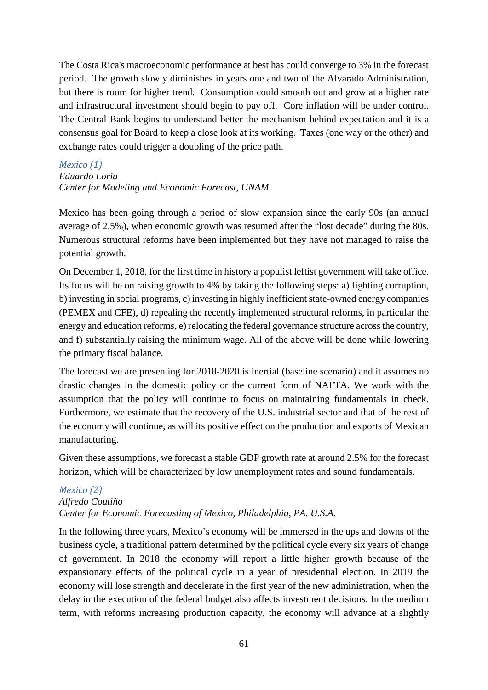The Costa Rica's macroeconomic performance at best has could converge to 3% in the forecast period. The growth slowly diminishes in years one and two of the Alvarado Administration, but there is room for higher trend. Consumption could smooth out and grow at a higher rate and infrastructural investment should begin to pay off. Core inflation will be under control. The Central Bank begins to understand better the mechanism behind expectation and it is a consensus goal for Board to keep a close look at its working. Taxes (one way or the other) and exchange rates could trigger a doubling of the price path.

# *Mexico (1) Eduardo Loria Center for Modeling and Economic Forecast, UNAM*

Mexico has been going through a period of slow expansion since the early 90s (an annual average of 2.5%), when economic growth was resumed after the "lost decade" during the 80s. Numerous structural reforms have been implemented but they have not managed to raise the potential growth.

On December 1, 2018, for the first time in history a populist leftist government will take office. Its focus will be on raising growth to 4% by taking the following steps: a) fighting corruption, b) investing in social programs, c) investing in highly inefficient state-owned energy companies (PEMEX and CFE), d) repealing the recently implemented structural reforms, in particular the energy and education reforms, e) relocating the federal governance structure across the country, and f) substantially raising the minimum wage. All of the above will be done while lowering the primary fiscal balance.

The forecast we are presenting for 2018-2020 is inertial (baseline scenario) and it assumes no drastic changes in the domestic policy or the current form of NAFTA. We work with the assumption that the policy will continue to focus on maintaining fundamentals in check. Furthermore, we estimate that the recovery of the U.S. industrial sector and that of the rest of the economy will continue, as will its positive effect on the production and exports of Mexican manufacturing.

Given these assumptions, we forecast a stable GDP growth rate at around 2.5% for the forecast horizon, which will be characterized by low unemployment rates and sound fundamentals.

# *Mexico (2)*

# *Alfredo Coutiño Center for Economic Forecasting of Mexico, Philadelphia, PA. U.S.A.*

In the following three years, Mexico's economy will be immersed in the ups and downs of the business cycle, a traditional pattern determined by the political cycle every six years of change of government. In 2018 the economy will report a little higher growth because of the expansionary effects of the political cycle in a year of presidential election. In 2019 the economy will lose strength and decelerate in the first year of the new administration, when the delay in the execution of the federal budget also affects investment decisions. In the medium term, with reforms increasing production capacity, the economy will advance at a slightly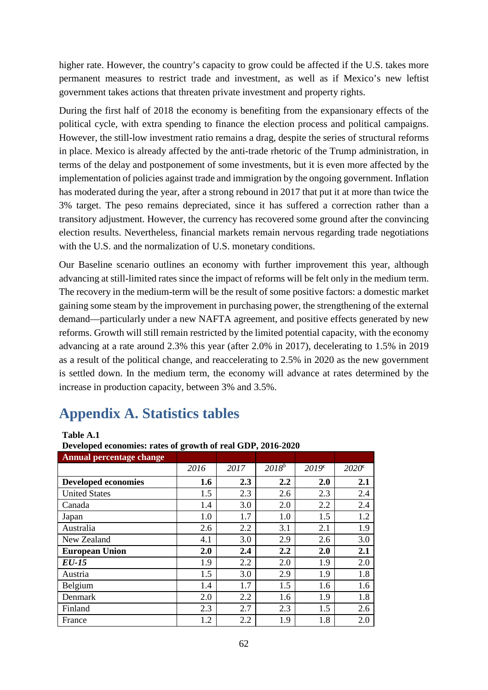higher rate. However, the country's capacity to grow could be affected if the U.S. takes more permanent measures to restrict trade and investment, as well as if Mexico's new leftist government takes actions that threaten private investment and property rights.

During the first half of 2018 the economy is benefiting from the expansionary effects of the political cycle, with extra spending to finance the election process and political campaigns. However, the still-low investment ratio remains a drag, despite the series of structural reforms in place. Mexico is already affected by the anti-trade rhetoric of the Trump administration, in terms of the delay and postponement of some investments, but it is even more affected by the implementation of policies against trade and immigration by the ongoing government. Inflation has moderated during the year, after a strong rebound in 2017 that put it at more than twice the 3% target. The peso remains depreciated, since it has suffered a correction rather than a transitory adjustment. However, the currency has recovered some ground after the convincing election results. Nevertheless, financial markets remain nervous regarding trade negotiations with the U.S. and the normalization of U.S. monetary conditions.

Our Baseline scenario outlines an economy with further improvement this year, although advancing at still-limited rates since the impact of reforms will be felt only in the medium term. The recovery in the medium-term will be the result of some positive factors: a domestic market gaining some steam by the improvement in purchasing power, the strengthening of the external demand––particularly under a new NAFTA agreement, and positive effects generated by new reforms. Growth will still remain restricted by the limited potential capacity, with the economy advancing at a rate around 2.3% this year (after 2.0% in 2017), decelerating to 1.5% in 2019 as a result of the political change, and reaccelerating to 2.5% in 2020 as the new government is settled down. In the medium term, the economy will advance at rates determined by the increase in production capacity, between 3% and 3.5%.

# **Appendix A. Statistics tables**

#### **Table A.1**

**Developed economies: rates of growth of real GDP, 2016-2020**

| <b>Annual percentage change</b> |      |      |            |                   |                   |
|---------------------------------|------|------|------------|-------------------|-------------------|
|                                 | 2016 | 2017 | $2018^{b}$ | 2019 <sup>c</sup> | 2020 <sup>c</sup> |
| <b>Developed economies</b>      | 1.6  | 2.3  | 2.2        | 2.0               | 2.1               |
| <b>United States</b>            | 1.5  | 2.3  | 2.6        | 2.3               | 2.4               |
| Canada                          | 1.4  | 3.0  | 2.0        | 2.2               | 2.4               |
| Japan                           | 1.0  | 1.7  | 1.0        | 1.5               | 1.2               |
| Australia                       | 2.6  | 2.2  | 3.1        | 2.1               | 1.9               |
| New Zealand                     | 4.1  | 3.0  | 2.9        | 2.6               | 3.0               |
| <b>European Union</b>           | 2.0  | 2.4  | 2.2        | 2.0               | 2.1               |
| EU-15                           | 1.9  | 2.2  | 2.0        | 1.9               | 2.0               |
| Austria                         | 1.5  | 3.0  | 2.9        | 1.9               | 1.8               |
| Belgium                         | 1.4  | 1.7  | 1.5        | 1.6               | 1.6               |
| Denmark                         | 2.0  | 2.2  | 1.6        | 1.9               | 1.8               |
| Finland                         | 2.3  | 2.7  | 2.3        | 1.5               | 2.6               |
| France                          | 1.2  | 2.2  | 1.9        | 1.8               | 2.0               |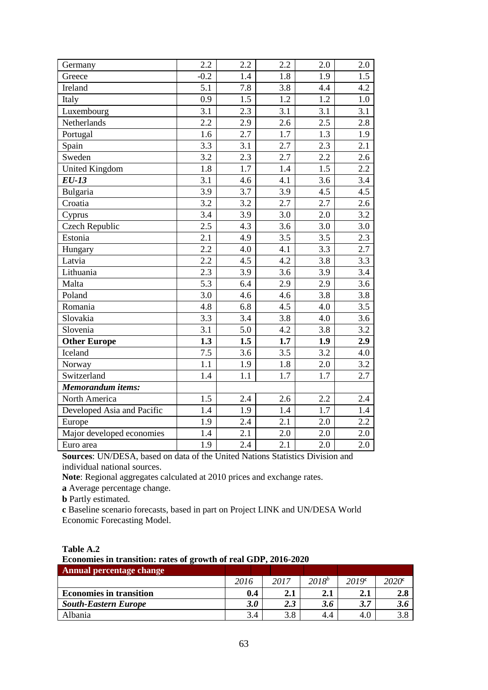| Germany                    | 2.2              | 2.2 | 2.2              | 2.0              | 2.0 |
|----------------------------|------------------|-----|------------------|------------------|-----|
| Greece                     | $-0.2$           | 1.4 | 1.8              | 1.9              | 1.5 |
| Ireland                    | 5.1              | 7.8 | 3.8              | 4.4              | 4.2 |
| Italy                      | 0.9              | 1.5 | 1.2              | 1.2              | 1.0 |
| Luxembourg                 | 3.1              | 2.3 | 3.1              | 3.1              | 3.1 |
| Netherlands                | 2.2              | 2.9 | 2.6              | 2.5              | 2.8 |
| Portugal                   | 1.6              | 2.7 | 1.7              | 1.3              | 1.9 |
| Spain                      | $\overline{3.3}$ | 3.1 | 2.7              | $\overline{2.3}$ | 2.1 |
| Sweden                     | 3.2              | 2.3 | 2.7              | 2.2              | 2.6 |
| <b>United Kingdom</b>      | 1.8              | 1.7 | 1.4              | 1.5              | 2.2 |
| <b>EU-13</b>               | 3.1              | 4.6 | 4.1              | 3.6              | 3.4 |
| Bulgaria                   | 3.9              | 3.7 | 3.9              | 4.5              | 4.5 |
| Croatia                    | $\overline{3.2}$ | 3.2 | 2.7              | 2.7              | 2.6 |
| Cyprus                     | 3.4              | 3.9 | 3.0              | 2.0              | 3.2 |
| <b>Czech Republic</b>      | 2.5              | 4.3 | 3.6              | 3.0              | 3.0 |
| Estonia                    | 2.1              | 4.9 | 3.5              | 3.5              | 2.3 |
| Hungary                    | 2.2              | 4.0 | 4.1              | 3.3              | 2.7 |
| Latvia                     | 2.2              | 4.5 | 4.2              | 3.8              | 3.3 |
| Lithuania                  | $\overline{2.3}$ | 3.9 | $\overline{3.6}$ | 3.9              | 3.4 |
| Malta                      | $\overline{5.3}$ | 6.4 | 2.9              | 2.9              | 3.6 |
| Poland                     | 3.0              | 4.6 | 4.6              | 3.8              | 3.8 |
| Romania                    | 4.8              | 6.8 | 4.5              | 4.0              | 3.5 |
| Slovakia                   | 3.3              | 3.4 | 3.8              | 4.0              | 3.6 |
| Slovenia                   | 3.1              | 5.0 | 4.2              | 3.8              | 3.2 |
| <b>Other Europe</b>        | $\overline{1.3}$ | 1.5 | 1.7              | 1.9              | 2.9 |
| Iceland                    | 7.5              | 3.6 | 3.5              | 3.2              | 4.0 |
| Norway                     | 1.1              | 1.9 | 1.8              | 2.0              | 3.2 |
| Switzerland                | 1.4              | 1.1 | 1.7              | 1.7              | 2.7 |
| Memorandum items:          |                  |     |                  |                  |     |
| North America              | 1.5              | 2.4 | 2.6              | 2.2              | 2.4 |
| Developed Asia and Pacific | 1.4              | 1.9 | 1.4              | 1.7              | 1.4 |
| Europe                     | 1.9              | 2.4 | 2.1              | 2.0              | 2.2 |
| Major developed economies  | 1.4              | 2.1 | $2.0\,$          | 2.0              | 2.0 |
| Euro area                  | 1.9              | 2.4 | 2.1              | 2.0              | 2.0 |

**Sources**: UN/DESA, based on data of the United Nations Statistics Division and individual national sources.

**Note**: Regional aggregates calculated at 2010 prices and exchange rates.

**a** Average percentage change.

**b** Partly estimated.

**c** Baseline scenario forecasts, based in part on Project LINK and UN/DESA World Economic Forecasting Model.

**Table A.2**

**Economies in transition: rates of growth of real GDP, 2016-2020**

| Annual percentage change       |                  |      |            |                   |                   |
|--------------------------------|------------------|------|------------|-------------------|-------------------|
|                                | 2016             | 2017 | $2018^{b}$ | 2019 <sup>c</sup> | 2020 <sup>c</sup> |
| <b>Economies in transition</b> | 0.4              | 2.1  | 2.1        | 2.1               | 2.8               |
| <b>South-Eastern Europe</b>    | 3.0 <sub>2</sub> | 2.3  | 3.6        | 3.7               | J.O               |
| Albania                        | 3.4              | 3.8  | 4.4        | 4.0               | 3.8               |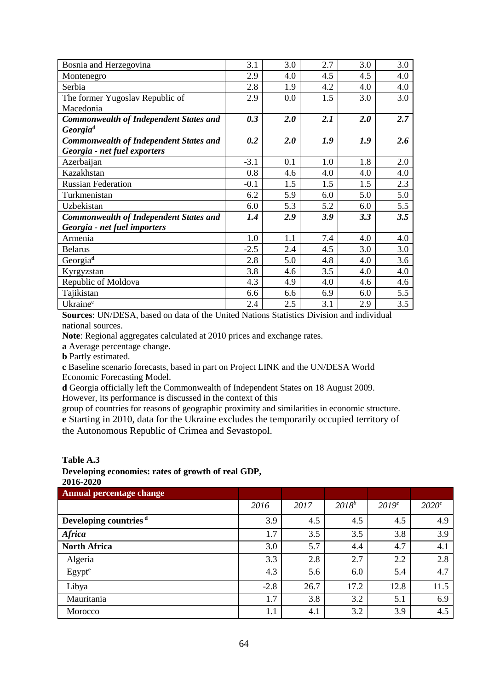| Bosnia and Herzegovina                        | 3.1    | 3.0 | 2.7 | 3.0 | 3.0 |
|-----------------------------------------------|--------|-----|-----|-----|-----|
| Montenegro                                    | 2.9    | 4.0 | 4.5 | 4.5 | 4.0 |
| Serbia                                        | 2.8    | 1.9 | 4.2 | 4.0 | 4.0 |
| The former Yugoslav Republic of               | 2.9    | 0.0 | 1.5 | 3.0 | 3.0 |
| Macedonia                                     |        |     |     |     |     |
| <b>Commonwealth of Independent States and</b> | 0.3    | 2.0 | 2.1 | 2.0 | 2.7 |
| Georgia <sup>d</sup>                          |        |     |     |     |     |
| <b>Commonwealth of Independent States and</b> | 0.2    | 2.0 | 1.9 | 1.9 | 2.6 |
| Georgia - net fuel exporters                  |        |     |     |     |     |
| Azerbaijan                                    | $-3.1$ | 0.1 | 1.0 | 1.8 | 2.0 |
| Kazakhstan                                    | 0.8    | 4.6 | 4.0 | 4.0 | 4.0 |
| <b>Russian Federation</b>                     | $-0.1$ | 1.5 | 1.5 | 1.5 | 2.3 |
| Turkmenistan                                  | 6.2    | 5.9 | 6.0 | 5.0 | 5.0 |
| Uzbekistan                                    | 6.0    | 5.3 | 5.2 | 6.0 | 5.5 |
| <b>Commonwealth of Independent States and</b> | 1.4    | 2.9 | 3.9 | 3.3 | 3.5 |
| Georgia - net fuel importers                  |        |     |     |     |     |
| Armenia                                       | 1.0    | 1.1 | 7.4 | 4.0 | 4.0 |
| <b>Belarus</b>                                | $-2.5$ | 2.4 | 4.5 | 3.0 | 3.0 |
| Georgia <sup>d</sup>                          | 2.8    | 5.0 | 4.8 | 4.0 | 3.6 |
| Kyrgyzstan                                    | 3.8    | 4.6 | 3.5 | 4.0 | 4.0 |
| Republic of Moldova                           | 4.3    | 4.9 | 4.0 | 4.6 | 4.6 |
| Tajikistan                                    | 6.6    | 6.6 | 6.9 | 6.0 | 5.5 |
| Ukraine <sup>e</sup>                          | 2.4    | 2.5 | 3.1 | 2.9 | 3.5 |

**Sources**: UN/DESA, based on data of the United Nations Statistics Division and individual national sources.

**Note**: Regional aggregates calculated at 2010 prices and exchange rates.

**a** Average percentage change.

**b** Partly estimated.

**c** Baseline scenario forecasts, based in part on Project LINK and the UN/DESA World Economic Forecasting Model.

**d** Georgia officially left the Commonwealth of Independent States on 18 August 2009.

However, its performance is discussed in the context of this

group of countries for reasons of geographic proximity and similarities in economic structure. **e** Starting in 2010, data for the Ukraine excludes the temporarily occupied territory of the Autonomous Republic of Crimea and Sevastopol.

**Table A.3**

# **Developing economies: rates of growth of real GDP,**

**2016-2020 Annual percentage change** *2016 2017 2018<sup>b</sup> 2019***<sup>c</sup>** *2020***<sup>c</sup> Developing countries <sup>d</sup>** 3.9 4.5 4.5 4.5 4.9 *Africa* 1.7 3.5 3.8 3.8 3.9 **North Africa** 3.0 5.7 4.4 4.7 4.1 Algeria 2.8 2.8 2.7 2.2 2.8 Egypt<sup>e</sup> 1.3 4.3 5.6 6.0 5.4 4.7 Libya 11.5 12.8 12.8 12.8 12.8 11.5 Mauritania 1.7 3.8 3.2 5.1 6.9 Morocco 1.1 4.1 3.2 3.9 4.5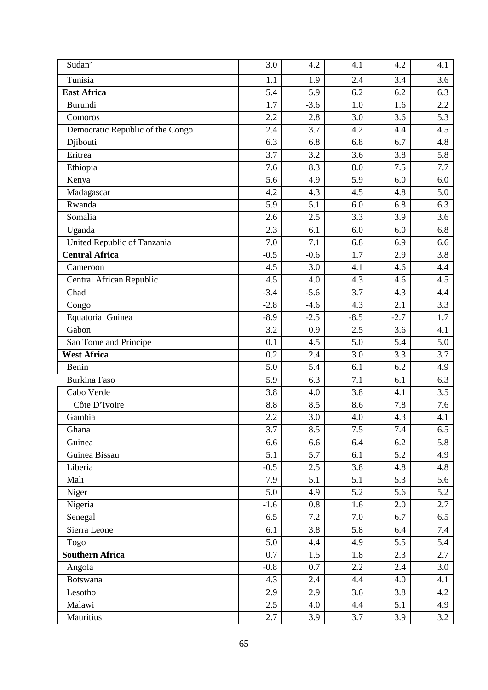| Sudane                           | 3.0    | 4.2    | 4.1    | 4.2    | 4.1 |
|----------------------------------|--------|--------|--------|--------|-----|
| Tunisia                          | 1.1    | 1.9    | 2.4    | 3.4    | 3.6 |
| <b>East Africa</b>               | 5.4    | 5.9    | 6.2    | 6.2    | 6.3 |
| Burundi                          | 1.7    | $-3.6$ | 1.0    | 1.6    | 2.2 |
| Comoros                          | 2.2    | 2.8    | 3.0    | 3.6    | 5.3 |
| Democratic Republic of the Congo | 2.4    | 3.7    | 4.2    | 4.4    | 4.5 |
| Djibouti                         | 6.3    | 6.8    | 6.8    | 6.7    | 4.8 |
| Eritrea                          | 3.7    | 3.2    | 3.6    | 3.8    | 5.8 |
| Ethiopia                         | 7.6    | 8.3    | 8.0    | 7.5    | 7.7 |
| Kenya                            | 5.6    | 4.9    | 5.9    | 6.0    | 6.0 |
| Madagascar                       | 4.2    | 4.3    | 4.5    | 4.8    | 5.0 |
| Rwanda                           | 5.9    | 5.1    | 6.0    | 6.8    | 6.3 |
| Somalia                          | 2.6    | 2.5    | 3.3    | 3.9    | 3.6 |
| Uganda                           | 2.3    | 6.1    | 6.0    | 6.0    | 6.8 |
| United Republic of Tanzania      | 7.0    | 7.1    | 6.8    | 6.9    | 6.6 |
| <b>Central Africa</b>            | $-0.5$ | $-0.6$ | 1.7    | 2.9    | 3.8 |
| Cameroon                         | 4.5    | 3.0    | 4.1    | 4.6    | 4.4 |
| Central African Republic         | 4.5    | 4.0    | 4.3    | 4.6    | 4.5 |
| Chad                             | $-3.4$ | $-5.6$ | 3.7    | 4.3    | 4.4 |
| Congo                            | $-2.8$ | $-4.6$ | 4.3    | 2.1    | 3.3 |
| <b>Equatorial Guinea</b>         | $-8.9$ | $-2.5$ | $-8.5$ | $-2.7$ | 1.7 |
| Gabon                            | 3.2    | 0.9    | 2.5    | 3.6    | 4.1 |
| Sao Tome and Principe            | 0.1    | 4.5    | 5.0    | 5.4    | 5.0 |
| <b>West Africa</b>               | 0.2    | 2.4    | 3.0    | 3.3    | 3.7 |
| Benin                            | 5.0    | 5.4    | 6.1    | 6.2    | 4.9 |
| <b>Burkina Faso</b>              | 5.9    | 6.3    | 7.1    | 6.1    | 6.3 |
| Cabo Verde                       | 3.8    | 4.0    | 3.8    | 4.1    | 3.5 |
| Côte D'Ivoire                    | 8.8    | 8.5    | 8.6    | 7.8    | 7.6 |
| Gambia                           | 2.2    | 3.0    | 4.0    | 4.3    | 4.1 |
| Ghana                            | 3.7    | 8.5    | 7.5    | 7.4    | 6.5 |
| Guinea                           | 6.6    | 6.6    | 6.4    | 6.2    | 5.8 |
| Guinea Bissau                    | 5.1    | 5.7    | 6.1    | 5.2    | 4.9 |
| Liberia                          | $-0.5$ | 2.5    | 3.8    | 4.8    | 4.8 |
| Mali                             | 7.9    | 5.1    | 5.1    | 5.3    | 5.6 |
| Niger                            | 5.0    | 4.9    | 5.2    | 5.6    | 5.2 |
| Nigeria                          | $-1.6$ | 0.8    | 1.6    | 2.0    | 2.7 |
| Senegal                          | 6.5    | 7.2    | 7.0    | 6.7    | 6.5 |
| Sierra Leone                     | 6.1    | 3.8    | 5.8    | 6.4    | 7.4 |
| Togo                             | 5.0    | 4.4    | 4.9    | 5.5    | 5.4 |
| <b>Southern Africa</b>           | 0.7    | 1.5    | 1.8    | 2.3    | 2.7 |
| Angola                           | $-0.8$ | 0.7    | 2.2    | 2.4    | 3.0 |
| Botswana                         | 4.3    | 2.4    | 4.4    | 4.0    | 4.1 |
| Lesotho                          | 2.9    | 2.9    | 3.6    | 3.8    | 4.2 |
| Malawi                           | 2.5    | 4.0    | 4.4    | 5.1    | 4.9 |
| Mauritius                        | 2.7    | 3.9    | 3.7    | 3.9    | 3.2 |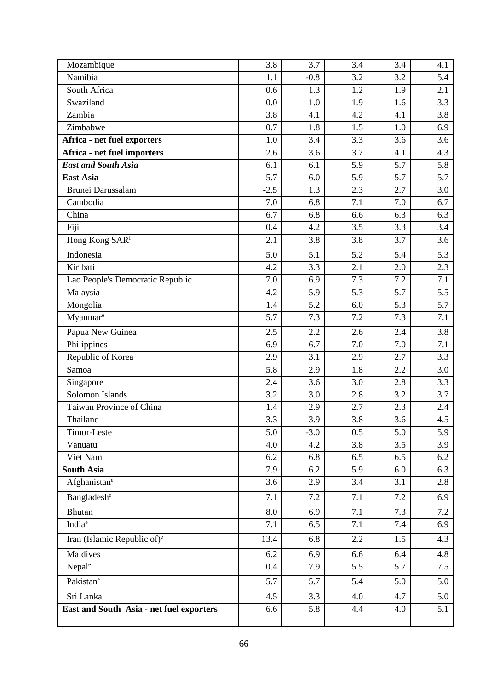| Mozambique                               | 3.8    | 3.7    | 3.4 | 3.4 | 4.1 |
|------------------------------------------|--------|--------|-----|-----|-----|
| Namibia                                  | 1.1    | $-0.8$ | 3.2 | 3.2 | 5.4 |
| South Africa                             | 0.6    | 1.3    | 1.2 | 1.9 | 2.1 |
| Swaziland                                | 0.0    | 1.0    | 1.9 | 1.6 | 3.3 |
| Zambia                                   | 3.8    | 4.1    | 4.2 | 4.1 | 3.8 |
| Zimbabwe                                 | 0.7    | 1.8    | 1.5 | 1.0 | 6.9 |
| Africa - net fuel exporters              | 1.0    | 3.4    | 3.3 | 3.6 | 3.6 |
| Africa - net fuel importers              | 2.6    | 3.6    | 3.7 | 4.1 | 4.3 |
| <b>East and South Asia</b>               | 6.1    | 6.1    | 5.9 | 5.7 | 5.8 |
| <b>East Asia</b>                         | 5.7    | 6.0    | 5.9 | 5.7 | 5.7 |
| <b>Brunei Darussalam</b>                 | $-2.5$ | 1.3    | 2.3 | 2.7 | 3.0 |
| Cambodia                                 | 7.0    | 6.8    | 7.1 | 7.0 | 6.7 |
| China                                    | 6.7    | 6.8    | 6.6 | 6.3 | 6.3 |
| Fiji                                     | 0.4    | 4.2    | 3.5 | 3.3 | 3.4 |
| Hong Kong SARf                           | 2.1    | 3.8    | 3.8 | 3.7 | 3.6 |
| Indonesia                                | 5.0    | 5.1    | 5.2 | 5.4 | 5.3 |
| Kiribati                                 | 4.2    | 3.3    | 2.1 | 2.0 | 2.3 |
| Lao People's Democratic Republic         | 7.0    | 6.9    | 7.3 | 7.2 | 7.1 |
| Malaysia                                 | 4.2    | 5.9    | 5.3 | 5.7 | 5.5 |
| Mongolia                                 | 1.4    | 5.2    | 6.0 | 5.3 | 5.7 |
| Myanmare                                 | 5.7    | 7.3    | 7.2 | 7.3 | 7.1 |
| Papua New Guinea                         | 2.5    | 2.2    | 2.6 | 2.4 | 3.8 |
| Philippines                              | 6.9    | 6.7    | 7.0 | 7.0 | 7.1 |
| Republic of Korea                        | 2.9    | 3.1    | 2.9 | 2.7 | 3.3 |
| Samoa                                    | 5.8    | 2.9    | 1.8 | 2.2 | 3.0 |
| Singapore                                | 2.4    | 3.6    | 3.0 | 2.8 | 3.3 |
| Solomon Islands                          | 3.2    | 3.0    | 2.8 | 3.2 | 3.7 |
| Taiwan Province of China                 | 1.4    | 2.9    | 2.7 | 2.3 | 2.4 |
| Thailand                                 | 3.3    | 3.9    | 3.8 | 3.6 | 4.5 |
| Timor-Leste                              | 5.0    | $-3.0$ | 0.5 | 5.0 | 5.9 |
| Vanuatu                                  | 4.0    | 4.2    | 3.8 | 3.5 | 3.9 |
| Viet Nam                                 | 6.2    | 6.8    | 6.5 | 6.5 | 6.2 |
| <b>South Asia</b>                        | 7.9    | 6.2    | 5.9 | 6.0 | 6.3 |
| Afghanistane                             | 3.6    | 2.9    | 3.4 | 3.1 | 2.8 |
| Bangladesh <sup>e</sup>                  | 7.1    | 7.2    | 7.1 | 7.2 | 6.9 |
| Bhutan                                   | 8.0    | 6.9    | 7.1 | 7.3 | 7.2 |
| India <sup>e</sup>                       | 7.1    | 6.5    | 7.1 | 7.4 | 6.9 |
| Iran (Islamic Republic of) <sup>e</sup>  | 13.4   | 6.8    | 2.2 | 1.5 | 4.3 |
| Maldives                                 | 6.2    | 6.9    | 6.6 | 6.4 | 4.8 |
| Nepale                                   | 0.4    | 7.9    | 5.5 | 5.7 | 7.5 |
| Pakistan <sup>e</sup>                    | 5.7    | 5.7    | 5.4 | 5.0 | 5.0 |
| Sri Lanka                                | 4.5    | 3.3    | 4.0 | 4.7 | 5.0 |
| East and South Asia - net fuel exporters | 6.6    | 5.8    | 4.4 | 4.0 | 5.1 |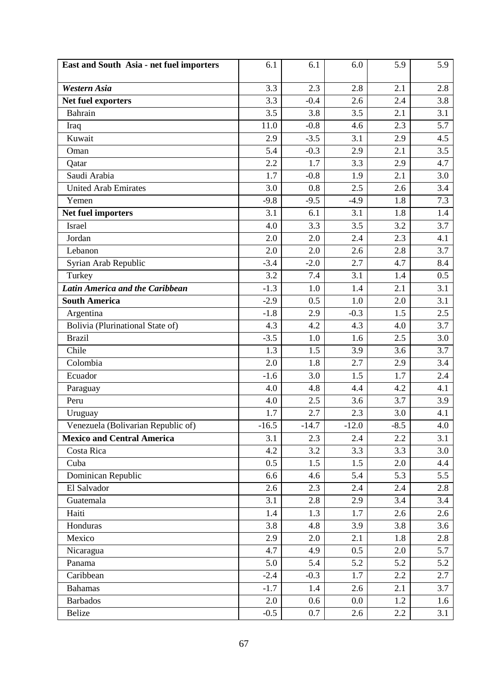| East and South Asia - net fuel importers | 6.1     | 6.1     | 6.0     | 5.9    | 5.9 |
|------------------------------------------|---------|---------|---------|--------|-----|
| <b>Western Asia</b>                      | 3.3     | 2.3     | 2.8     | 2.1    | 2.8 |
| Net fuel exporters                       | 3.3     | $-0.4$  | 2.6     | 2.4    | 3.8 |
| Bahrain                                  | 3.5     | 3.8     | 3.5     | 2.1    | 3.1 |
| Iraq                                     | 11.0    | $-0.8$  | 4.6     | 2.3    | 5.7 |
| Kuwait                                   | 2.9     | $-3.5$  | 3.1     | 2.9    | 4.5 |
| Oman                                     | 5.4     | $-0.3$  | 2.9     | 2.1    | 3.5 |
| Qatar                                    | 2.2     | 1.7     | 3.3     | 2.9    | 4.7 |
| Saudi Arabia                             | 1.7     | $-0.8$  | 1.9     | 2.1    | 3.0 |
| <b>United Arab Emirates</b>              | 3.0     | 0.8     | 2.5     | 2.6    | 3.4 |
| Yemen                                    | $-9.8$  | $-9.5$  | $-4.9$  | 1.8    | 7.3 |
| Net fuel importers                       | 3.1     | 6.1     | 3.1     | 1.8    | 1.4 |
| Israel                                   | 4.0     | 3.3     | 3.5     | 3.2    | 3.7 |
| Jordan                                   | 2.0     | 2.0     | 2.4     | 2.3    | 4.1 |
| Lebanon                                  | 2.0     | 2.0     | 2.6     | 2.8    | 3.7 |
| Syrian Arab Republic                     | $-3.4$  | $-2.0$  | 2.7     | 4.7    | 8.4 |
| Turkey                                   | 3.2     | 7.4     | 3.1     | 1.4    | 0.5 |
| <b>Latin America and the Caribbean</b>   | $-1.3$  | 1.0     | 1.4     | 2.1    | 3.1 |
| <b>South America</b>                     | $-2.9$  | 0.5     | 1.0     | 2.0    | 3.1 |
| Argentina                                | $-1.8$  | 2.9     | $-0.3$  | 1.5    | 2.5 |
| Bolivia (Plurinational State of)         | 4.3     | 4.2     | 4.3     | 4.0    | 3.7 |
| <b>Brazil</b>                            | $-3.5$  | 1.0     | 1.6     | 2.5    | 3.0 |
| Chile                                    | 1.3     | 1.5     | 3.9     | 3.6    | 3.7 |
| Colombia                                 | 2.0     | 1.8     | 2.7     | 2.9    | 3.4 |
| Ecuador                                  | $-1.6$  | 3.0     | 1.5     | 1.7    | 2.4 |
| Paraguay                                 | 4.0     | 4.8     | 4.4     | 4.2    | 4.1 |
| Peru                                     | 4.0     | 2.5     | 3.6     | 3.7    | 3.9 |
| Uruguay                                  | 1.7     | 2.7     | 2.3     | 3.0    | 4.1 |
| Venezuela (Bolivarian Republic of)       | $-16.5$ | $-14.7$ | $-12.0$ | $-8.5$ | 4.0 |
| <b>Mexico and Central America</b>        | 3.1     | 2.3     | 2.4     | 2.2    | 3.1 |
| Costa Rica                               | 4.2     | 3.2     | 3.3     | 3.3    | 3.0 |
| Cuba                                     | 0.5     | 1.5     | 1.5     | 2.0    | 4.4 |
| Dominican Republic                       | 6.6     | 4.6     | 5.4     | 5.3    | 5.5 |
| El Salvador                              | 2.6     | 2.3     | 2.4     | 2.4    | 2.8 |
| Guatemala                                | 3.1     | 2.8     | 2.9     | 3.4    | 3.4 |
| Haiti                                    | 1.4     | 1.3     | 1.7     | 2.6    | 2.6 |
| Honduras                                 | 3.8     | 4.8     | 3.9     | 3.8    | 3.6 |
| Mexico                                   | 2.9     | 2.0     | 2.1     | 1.8    | 2.8 |
| Nicaragua                                | 4.7     | 4.9     | 0.5     | 2.0    | 5.7 |
| Panama                                   | 5.0     | 5.4     | 5.2     | 5.2    | 5.2 |
| Caribbean                                | $-2.4$  | $-0.3$  | 1.7     | 2.2    | 2.7 |
| <b>Bahamas</b>                           | $-1.7$  | 1.4     | 2.6     | 2.1    | 3.7 |
| <b>Barbados</b>                          | 2.0     | 0.6     | 0.0     | 1.2    | 1.6 |
| Belize                                   | $-0.5$  | 0.7     | 2.6     | 2.2    | 3.1 |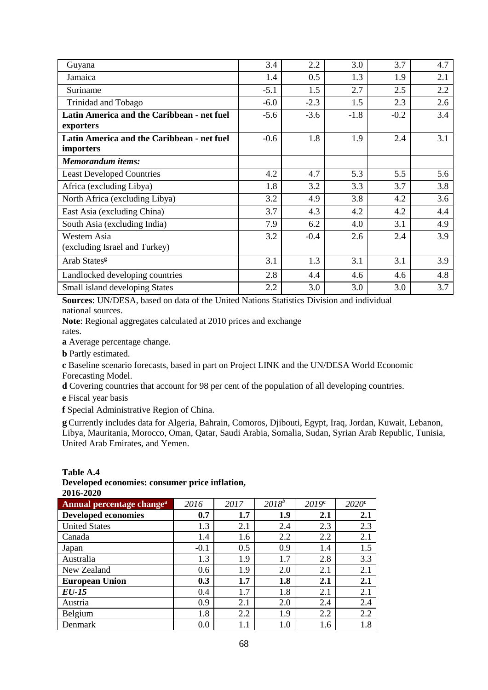| Guyana                                                  | 3.4    | 2.2    | 3.0    | 3.7    | 4.7 |
|---------------------------------------------------------|--------|--------|--------|--------|-----|
| Jamaica                                                 | 1.4    | 0.5    | 1.3    | 1.9    | 2.1 |
| Suriname                                                | $-5.1$ | 1.5    | 2.7    | 2.5    | 2.2 |
| Trinidad and Tobago                                     | $-6.0$ | $-2.3$ | 1.5    | 2.3    | 2.6 |
| Latin America and the Caribbean - net fuel<br>exporters | $-5.6$ | $-3.6$ | $-1.8$ | $-0.2$ | 3.4 |
| Latin America and the Caribbean - net fuel<br>importers | $-0.6$ | 1.8    | 1.9    | 2.4    | 3.1 |
| <b>Memorandum</b> items:                                |        |        |        |        |     |
| <b>Least Developed Countries</b>                        | 4.2    | 4.7    | 5.3    | 5.5    | 5.6 |
| Africa (excluding Libya)                                | 1.8    | 3.2    | 3.3    | 3.7    | 3.8 |
| North Africa (excluding Libya)                          | 3.2    | 4.9    | 3.8    | 4.2    | 3.6 |
| East Asia (excluding China)                             | 3.7    | 4.3    | 4.2    | 4.2    | 4.4 |
| South Asia (excluding India)                            | 7.9    | 6.2    | 4.0    | 3.1    | 4.9 |
| Western Asia<br>(excluding Israel and Turkey)           | 3.2    | $-0.4$ | 2.6    | 2.4    | 3.9 |
| Arab States <sup>g</sup>                                | 3.1    | 1.3    | 3.1    | 3.1    | 3.9 |
| Landlocked developing countries                         | 2.8    | 4.4    | 4.6    | 4.6    | 4.8 |
| Small island developing States                          | 2.2    | 3.0    | 3.0    | 3.0    | 3.7 |

**Sources**: UN/DESA, based on data of the United Nations Statistics Division and individual national sources.

**Note**: Regional aggregates calculated at 2010 prices and exchange

rates.

**a** Average percentage change.

**b** Partly estimated.

**c** Baseline scenario forecasts, based in part on Project LINK and the UN/DESA World Economic Forecasting Model.

**d** Covering countries that account for 98 per cent of the population of all developing countries.

**e** Fiscal year basis

**f** Special Administrative Region of China.

**g**Currently includes data for Algeria, Bahrain, Comoros, Djibouti, Egypt, Iraq, Jordan, Kuwait, Lebanon, Libya, Mauritania, Morocco, Oman, Qatar, Saudi Arabia, Somalia, Sudan, Syrian Arab Republic, Tunisia, United Arab Emirates, and Yemen.

#### **Table A.4 Developed economies: consumer price inflation, 2016-2020**

| AVIV AVAV                             |        |      |          |                   |                   |
|---------------------------------------|--------|------|----------|-------------------|-------------------|
| Annual percentage change <sup>a</sup> | 2016   | 2017 | $2018^b$ | 2019 <sup>c</sup> | 2020 <sup>c</sup> |
| <b>Developed economies</b>            | 0.7    | 1.7  | 1.9      | 2.1               | 2.1               |
| <b>United States</b>                  | 1.3    | 2.1  | 2.4      | 2.3               | 2.3               |
| Canada                                | 1.4    | 1.6  | 2.2      | 2.2               | 2.1               |
| Japan                                 | $-0.1$ | 0.5  | 0.9      | 1.4               | 1.5               |
| Australia                             | 1.3    | 1.9  | 1.7      | 2.8               | 3.3               |
| New Zealand                           | 0.6    | 1.9  | 2.0      | 2.1               | 2.1               |
| <b>European Union</b>                 | 0.3    | 1.7  | 1.8      | 2.1               | 2.1               |
| EU-15                                 | 0.4    | 1.7  | 1.8      | 2.1               | 2.1               |
| Austria                               | 0.9    | 2.1  | 2.0      | 2.4               | 2.4               |
| Belgium                               | 1.8    | 2.2  | 1.9      | 2.2               | 2.2               |
| Denmark                               | 0.0    | 1.1  | 1.0      | 1.6               | 1.8               |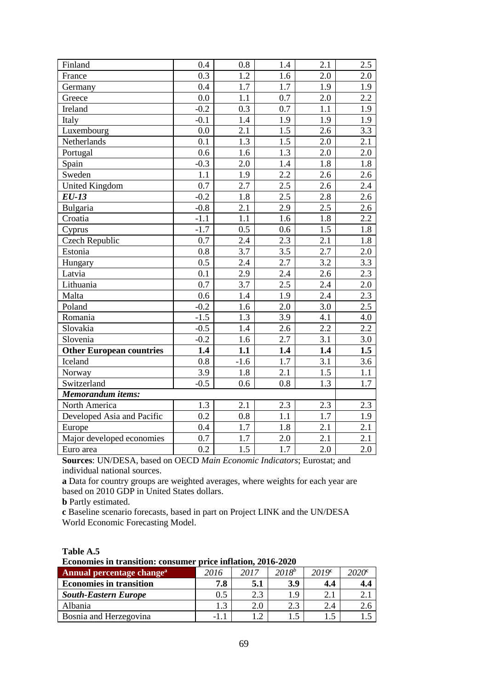| Finland                         | 0.4              | 0.8              | 1.4              | 2.1              | 2.5              |
|---------------------------------|------------------|------------------|------------------|------------------|------------------|
| France                          | 0.3              | 1.2              | 1.6              | 2.0              | 2.0              |
| Germany                         | 0.4              | 1.7              | 1.7              | 1.9              | 1.9              |
| Greece                          | 0.0              | 1.1              | 0.7              | 2.0              | 2.2              |
| Ireland                         | $-0.2$           | 0.3              | 0.7              | 1.1              | 1.9              |
| Italy                           | $-0.1$           | 1.4              | 1.9              | 1.9              | 1.9              |
| Luxembourg                      | 0.0              | 2.1              | $\overline{1.5}$ | 2.6              | 3.3              |
| Netherlands                     | 0.1              | 1.3              | 1.5              | 2.0              | 2.1              |
| Portugal                        | 0.6              | 1.6              | 1.3              | 2.0              | 2.0              |
| Spain                           | $-0.3$           | 2.0              | 1.4              | 1.8              | 1.8              |
| Sweden                          | 1.1              | 1.9              | 2.2              | 2.6              | 2.6              |
| <b>United Kingdom</b>           | 0.7              | 2.7              | 2.5              | 2.6              | 2.4              |
| $EU-13$                         | $-0.2$           | 1.8              | 2.5              | 2.8              | 2.6              |
| Bulgaria                        | $-0.8$           | 2.1              | 2.9              | 2.5              | 2.6              |
| Croatia                         | $-1.1$           | 1.1              | 1.6              | 1.8              | 2.2              |
| Cyprus                          | $-1.7$           | 0.5              | 0.6              | 1.5              | 1.8              |
| <b>Czech Republic</b>           | 0.7              | 2.4              | 2.3              | 2.1              | 1.8              |
| Estonia                         | 0.8              | 3.7              | 3.5              | 2.7              | 2.0              |
| Hungary                         | 0.5              | 2.4              | 2.7              | 3.2              | 3.3              |
| Latvia                          | 0.1              | 2.9              | 2.4              | 2.6              | 2.3              |
| Lithuania                       | 0.7              | 3.7              | $\overline{2.5}$ | 2.4              | 2.0              |
| Malta                           | 0.6              | 1.4              | 1.9              | 2.4              | 2.3              |
| Poland                          | $-0.2$           | 1.6              | 2.0              | 3.0              | 2.5              |
| Romania                         | $-1.5$           | 1.3              | 3.9              | 4.1              | 4.0              |
| Slovakia                        | $-0.5$           | 1.4              | 2.6              | 2.2              | 2.2              |
| Slovenia                        | $-0.2$           | 1.6              | 2.7              | 3.1              | 3.0              |
| <b>Other European countries</b> | 1.4              | 1.1              | 1.4              | 1.4              | 1.5              |
| Iceland                         | 0.8              | $-1.6$           | 1.7              | 3.1              | 3.6              |
| Norway                          | 3.9              | 1.8              | 2.1              | 1.5              | 1.1              |
| Switzerland                     | $-0.5$           | 0.6              | 0.8              | $1.\overline{3}$ | $\overline{1.7}$ |
| <b>Memorandum</b> items:        |                  |                  |                  |                  |                  |
| North America                   | 1.3              | 2.1              | 2.3              | 2.3              | 2.3              |
| Developed Asia and Pacific      | 0.2              | 0.8              | 1.1              | 1.7              | 1.9              |
| Europe                          | 0.4              | 1.7              | 1.8              | 2.1              | 2.1              |
| Major developed economies       | 0.7              | 1.7              | 2.0              | 2.1              | 2.1              |
| Euro area                       | $\overline{0.2}$ | $\overline{1.5}$ | $\overline{1.7}$ | 2.0              | 2.0              |

**Sources**: UN/DESA, based on OECD *Main Economic Indicators*; Eurostat; and individual national sources.

**a** Data for country groups are weighted averages, where weights for each year are based on 2010 GDP in United States dollars.

**b** Partly estimated.

**c** Baseline scenario forecasts, based in part on Project LINK and the UN/DESA World Economic Forecasting Model.

| Table A.5 |  |
|-----------|--|
|-----------|--|

**Economies in transition: consumer price inflation, 2016-2020**

| Annual percentage change <sup>a</sup> | 2016 | 2017 | $2018^{b}$ | 2019 <sup>c</sup> | 2020¢ |
|---------------------------------------|------|------|------------|-------------------|-------|
| <b>Economies in transition</b>        | 7.8  | 5.1  | 3.9        | 4.4               | 4.4   |
| <b>South-Eastern Europe</b>           | 0.5  | റാ   | $\Omega$   | 4. l              |       |
| Albania                               |      |      | າ 2        | 2.4               | 2.C   |
| Bosnia and Herzegovina                |      |      |            |                   | ر 1   |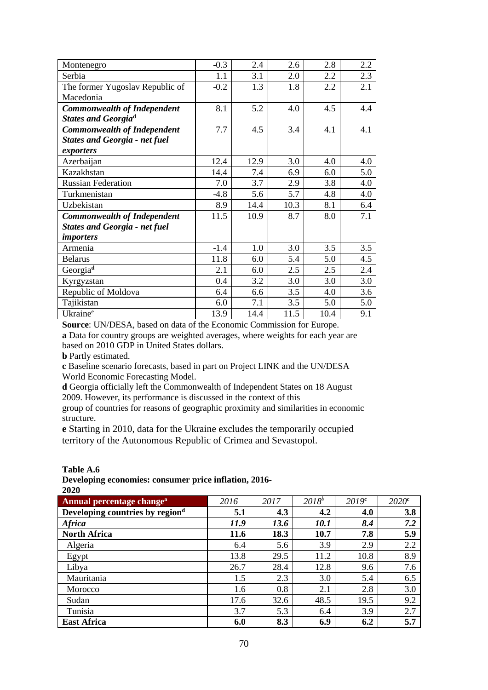| Montenegro                           | $-0.3$ | 2.4  | 2.6  | 2.8  | 2.2 |
|--------------------------------------|--------|------|------|------|-----|
| Serbia                               | 1.1    | 3.1  | 2.0  | 2.2  | 2.3 |
| The former Yugoslav Republic of      | $-0.2$ | 1.3  | 1.8  | 2.2  | 2.1 |
| Macedonia                            |        |      |      |      |     |
| <b>Commonwealth of Independent</b>   | 8.1    | 5.2  | 4.0  | 4.5  | 4.4 |
| <b>States and Georgiad</b>           |        |      |      |      |     |
| <b>Commonwealth of Independent</b>   | 7.7    | 4.5  | 3.4  | 4.1  | 4.1 |
| <b>States and Georgia - net fuel</b> |        |      |      |      |     |
| exporters                            |        |      |      |      |     |
| Azerbaijan                           | 12.4   | 12.9 | 3.0  | 4.0  | 4.0 |
| Kazakhstan                           | 14.4   | 7.4  | 6.9  | 6.0  | 5.0 |
| <b>Russian Federation</b>            | 7.0    | 3.7  | 2.9  | 3.8  | 4.0 |
| Turkmenistan                         | $-4.8$ | 5.6  | 5.7  | 4.8  | 4.0 |
| Uzbekistan                           | 8.9    | 14.4 | 10.3 | 8.1  | 6.4 |
| Commonwealth of Independent          | 11.5   | 10.9 | 8.7  | 8.0  | 7.1 |
| <b>States and Georgia - net fuel</b> |        |      |      |      |     |
| <i>importers</i>                     |        |      |      |      |     |
| Armenia                              | $-1.4$ | 1.0  | 3.0  | 3.5  | 3.5 |
| <b>Belarus</b>                       | 11.8   | 6.0  | 5.4  | 5.0  | 4.5 |
| Georgia <sup>d</sup>                 | 2.1    | 6.0  | 2.5  | 2.5  | 2.4 |
| Kyrgyzstan                           | 0.4    | 3.2  | 3.0  | 3.0  | 3.0 |
| Republic of Moldova                  | 6.4    | 6.6  | 3.5  | 4.0  | 3.6 |
| Tajikistan                           | 6.0    | 7.1  | 3.5  | 5.0  | 5.0 |
| Ukraine <sup>e</sup>                 | 13.9   | 14.4 | 11.5 | 10.4 | 9.1 |

**Source**: UN/DESA, based on data of the Economic Commission for Europe. **a** Data for country groups are weighted averages, where weights for each year are based on 2010 GDP in United States dollars.

**b** Partly estimated.

**c** Baseline scenario forecasts, based in part on Project LINK and the UN/DESA World Economic Forecasting Model.

**d** Georgia officially left the Commonwealth of Independent States on 18 August 2009. However, its performance is discussed in the context of this

group of countries for reasons of geographic proximity and similarities in economic structure.

**e** Starting in 2010, data for the Ukraine excludes the temporarily occupied territory of the Autonomous Republic of Crimea and Sevastopol.

#### **Table A.6**

**Developing economies: consumer price inflation, 2016- 2020**

| Annual percentage change <sup>a</sup> | 2016 | 2017 | $2018^{b}$         | 2019 <sup>c</sup> | $2020^{\circ}$ |
|---------------------------------------|------|------|--------------------|-------------------|----------------|
| Developing countries by regiond       | 5.1  | 4.3  | 4.2                | 4.0               | 3.8            |
| <b>Africa</b>                         | 11.9 | 13.6 | <i><b>10.1</b></i> | 8.4               | 7.2            |
| <b>North Africa</b>                   | 11.6 | 18.3 | 10.7               | 7.8               | 5.9            |
| Algeria                               | 6.4  | 5.6  | 3.9                | 2.9               | 2.2            |
| Egypt                                 | 13.8 | 29.5 | 11.2               | 10.8              | 8.9            |
| Libya                                 | 26.7 | 28.4 | 12.8               | 9.6               | 7.6            |
| Mauritania                            | 1.5  | 2.3  | 3.0                | 5.4               | 6.5            |
| Morocco                               | 1.6  | 0.8  | 2.1                | 2.8               | 3.0            |
| Sudan                                 | 17.6 | 32.6 | 48.5               | 19.5              | 9.2            |
| Tunisia                               | 3.7  | 5.3  | 6.4                | 3.9               | 2.7            |
| <b>East Africa</b>                    | 6.0  | 8.3  | 6.9                | 6.2               | 5.7            |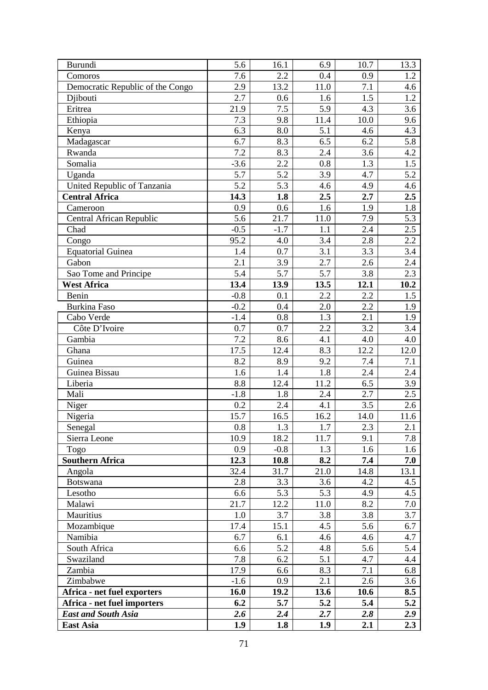| Burundi                          | 5.6               | 16.1             | 6.9  | 10.7             | 13.3    |
|----------------------------------|-------------------|------------------|------|------------------|---------|
| Comoros                          | 7.6               | 2.2              | 0.4  | 0.9              | 1.2     |
| Democratic Republic of the Congo | 2.9               | 13.2             | 11.0 | 7.1              | 4.6     |
| Djibouti                         | 2.7               | 0.6              | 1.6  | 1.5              | 1.2     |
| Eritrea                          | 21.9              | 7.5              | 5.9  | 4.3              | 3.6     |
| Ethiopia                         | 7.3               | 9.8              | 11.4 | 10.0             | 9.6     |
| Kenya                            | 6.3               | 8.0              | 5.1  | 4.6              | 4.3     |
| Madagascar                       | 6.7               | 8.3              | 6.5  | 6.2              | 5.8     |
| Rwanda                           | 7.2               | 8.3              | 2.4  | 3.6              | 4.2     |
| Somalia                          | $-3.6$            | 2.2              | 0.8  | 1.3              | 1.5     |
| Uganda                           | 5.7               | 5.2              | 3.9  | 4.7              | 5.2     |
| United Republic of Tanzania      | 5.2               | 5.3              | 4.6  | 4.9              | 4.6     |
| <b>Central Africa</b>            | 14.3              | 1.8              | 2.5  | 2.7              | 2.5     |
| Cameroon                         | 0.9               | 0.6              | 1.6  | 1.9              | 1.8     |
| Central African Republic         | 5.6               | 21.7             | 11.0 | 7.9              | 5.3     |
| Chad                             | $-0.5$            | $-1.7$           | 1.1  | 2.4              | 2.5     |
| Congo                            | $95.\overline{2}$ | 4.0              | 3.4  | 2.8              | 2.2     |
| <b>Equatorial Guinea</b>         | 1.4               | 0.7              | 3.1  | 3.3              | 3.4     |
| Gabon                            | 2.1               | 3.9              | 2.7  | 2.6              | 2.4     |
| Sao Tome and Principe            | 5.4               | 5.7              | 5.7  | 3.8              | 2.3     |
| <b>West Africa</b>               | 13.4              | 13.9             | 13.5 | 12.1             | 10.2    |
| Benin                            | $-0.8$            | 0.1              | 2.2  | 2.2              | 1.5     |
| Burkina Faso                     | $-0.2$            | 0.4              | 2.0  | 2.2              | 1.9     |
| Cabo Verde                       | $-1.4$            | 0.8              | 1.3  | 2.1              | 1.9     |
| Côte D'Ivoire                    | 0.7               | 0.7              | 2.2  | 3.2              | 3.4     |
| Gambia                           | 7.2               | 8.6              | 4.1  | 4.0              | 4.0     |
| Ghana                            | 17.5              | 12.4             | 8.3  | 12.2             | 12.0    |
| Guinea                           | 8.2               | 8.9              | 9.2  | 7.4              | 7.1     |
| Guinea Bissau                    | 1.6               | 1.4              | 1.8  | 2.4              | 2.4     |
| Liberia                          | 8.8               | 12.4             | 11.2 | 6.5              | 3.9     |
| Mali                             | $-1.8$            | 1.8              | 2.4  | 2.7              | 2.5     |
| Niger                            | 0.2               | 2.4              | 4.1  | 3.5              | 2.6     |
| Nigeria                          | 15.7              | 16.5             | 16.2 | 14.0             | 11.6    |
| Senegal                          | $\overline{0.8}$  | $\overline{1.3}$ | 1.7  | $2.\overline{3}$ | 2.1     |
| Sierra Leone                     | 10.9              | 18.2             | 11.7 | 9.1              | 7.8     |
| Togo                             | 0.9               | $-0.8$           | 1.3  | 1.6              | 1.6     |
| <b>Southern Africa</b>           | 12.3              | 10.8             | 8.2  | 7.4              | 7.0     |
| Angola                           | 32.4              | 31.7             | 21.0 | 14.8             | 13.1    |
| <b>Botswana</b>                  | 2.8               | 3.3              | 3.6  | 4.2              | 4.5     |
| Lesotho                          | 6.6               | 5.3              | 5.3  | 4.9              | 4.5     |
| Malawi                           | 21.7              | 12.2             | 11.0 | 8.2              | $7.0\,$ |
| Mauritius                        | 1.0               | 3.7              | 3.8  | 3.8              | 3.7     |
| Mozambique                       | 17.4              | 15.1             | 4.5  | 5.6              | 6.7     |
| Namibia                          | 6.7               | 6.1              | 4.6  | 4.6              | 4.7     |
| South Africa                     | 6.6               | 5.2              | 4.8  | 5.6              | 5.4     |
| Swaziland                        | 7.8               | 6.2              | 5.1  | 4.7              | 4.4     |
| Zambia                           | 17.9              | 6.6              | 8.3  | 7.1              | 6.8     |
| Zimbabwe                         | $-1.6$            | 0.9              | 2.1  | 2.6              | 3.6     |
| Africa - net fuel exporters      | 16.0              | 19.2             | 13.6 | 10.6             | 8.5     |
| Africa - net fuel importers      | 6.2               | 5.7              | 5.2  | 5.4              | 5.2     |
| <b>East and South Asia</b>       | 2.6               | 2.4              | 2.7  | 2.8              | 2.9     |
| <b>East Asia</b>                 | 1.9               | 1.8              | 1.9  | 2.1              | 2.3     |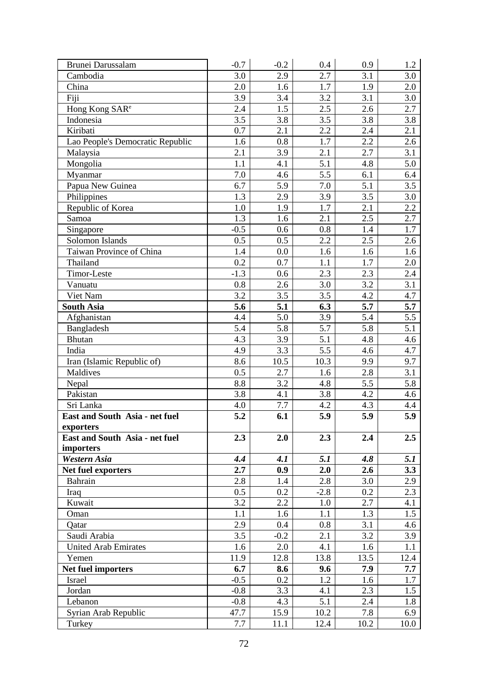| Brunei Darussalam                | $-0.7$ | $-0.2$ | 0.4    | 0.9  | 1.2  |
|----------------------------------|--------|--------|--------|------|------|
| Cambodia                         | 3.0    | 2.9    | 2.7    | 3.1  | 3.0  |
| China                            | 2.0    | 1.6    | 1.7    | 1.9  | 2.0  |
| Fiji                             | 3.9    | 3.4    | 3.2    | 3.1  | 3.0  |
| Hong Kong SAR <sup>e</sup>       | 2.4    | 1.5    | 2.5    | 2.6  | 2.7  |
| Indonesia                        | 3.5    | 3.8    | 3.5    | 3.8  | 3.8  |
| Kiribati                         | 0.7    | 2.1    | 2.2    | 2.4  | 2.1  |
| Lao People's Democratic Republic | 1.6    | 0.8    | 1.7    | 2.2  | 2.6  |
| Malaysia                         | 2.1    | 3.9    | 2.1    | 2.7  | 3.1  |
| Mongolia                         | 1.1    | 4.1    | 5.1    | 4.8  | 5.0  |
| Myanmar                          | 7.0    | 4.6    | 5.5    | 6.1  | 6.4  |
| Papua New Guinea                 | 6.7    | 5.9    | 7.0    | 5.1  | 3.5  |
| Philippines                      | 1.3    | 2.9    | 3.9    | 3.5  | 3.0  |
| Republic of Korea                | 1.0    | 1.9    | 1.7    | 2.1  | 2.2  |
| Samoa                            | 1.3    | 1.6    | 2.1    | 2.5  | 2.7  |
| Singapore                        | $-0.5$ | 0.6    | 0.8    | 1.4  | 1.7  |
| Solomon Islands                  | 0.5    | 0.5    | 2.2    | 2.5  | 2.6  |
| Taiwan Province of China         | 1.4    | 0.0    | 1.6    | 1.6  | 1.6  |
| Thailand                         | 0.2    | 0.7    | 1.1    | 1.7  | 2.0  |
| Timor-Leste                      | $-1.3$ | 0.6    | 2.3    | 2.3  | 2.4  |
| Vanuatu                          | 0.8    | 2.6    | 3.0    | 3.2  | 3.1  |
| Viet Nam                         | 3.2    | 3.5    | 3.5    | 4.2  | 4.7  |
| <b>South Asia</b>                | 5.6    | 5.1    | 6.3    | 5.7  | 5.7  |
| Afghanistan                      | 4.4    | 5.0    | 3.9    | 5.4  | 5.5  |
| Bangladesh                       | 5.4    | 5.8    | 5.7    | 5.8  | 5.1  |
| Bhutan                           | 4.3    | 3.9    | 5.1    | 4.8  | 4.6  |
| India                            | 4.9    | 3.3    | 5.5    | 4.6  | 4.7  |
| Iran (Islamic Republic of)       | 8.6    | 10.5   | 10.3   | 9.9  | 9.7  |
| Maldives                         | 0.5    | 2.7    | 1.6    | 2.8  | 3.1  |
| Nepal                            | 8.8    | 3.2    | 4.8    | 5.5  | 5.8  |
| Pakistan                         | 3.8    | 4.1    | 3.8    | 4.2  | 4.6  |
| Sri Lanka                        | 4.0    | 7.7    | 4.2    | 4.3  | 4.4  |
| East and South Asia - net fuel   | 5.2    | 6.1    | 5.9    | 5.9  | 5.9  |
| exporters                        |        |        |        |      |      |
| East and South Asia - net fuel   | 2.3    | 2.0    | 2.3    | 2.4  | 2.5  |
| importers                        |        |        |        |      |      |
| Western Asia                     | 4.4    | 4.1    | 5.1    | 4.8  | 5.1  |
| Net fuel exporters               | 2.7    | 0.9    | 2.0    | 2.6  | 3.3  |
| Bahrain                          | 2.8    | 1.4    | 2.8    | 3.0  | 2.9  |
| Iraq                             | 0.5    | 0.2    | $-2.8$ | 0.2  | 2.3  |
| Kuwait                           | 3.2    | 2.2    | 1.0    | 2.7  | 4.1  |
| Oman                             | 1.1    | 1.6    | 1.1    | 1.3  | 1.5  |
| Qatar                            | 2.9    | 0.4    | 0.8    | 3.1  | 4.6  |
| Saudi Arabia                     | 3.5    | $-0.2$ | 2.1    | 3.2  | 3.9  |
| <b>United Arab Emirates</b>      | 1.6    | 2.0    | 4.1    | 1.6  | 1.1  |
| Yemen                            | 11.9   | 12.8   | 13.8   | 13.5 | 12.4 |
| Net fuel importers               | 6.7    | 8.6    | 9.6    | 7.9  | 7.7  |
| Israel                           | $-0.5$ | 0.2    | 1.2    | 1.6  | 1.7  |
| Jordan                           | $-0.8$ | 3.3    | 4.1    | 2.3  | 1.5  |
| Lebanon                          | $-0.8$ | 4.3    | 5.1    | 2.4  | 1.8  |
| Syrian Arab Republic             | 47.7   | 15.9   | 10.2   | 7.8  | 6.9  |
| Turkey                           | 7.7    | 11.1   | 12.4   | 10.2 | 10.0 |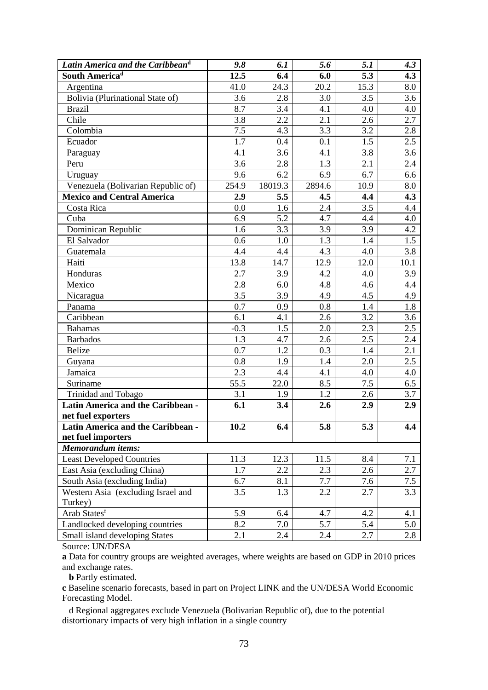| Latin America and the Caribbean <sup>d</sup> | 9.8    | 6.1     | 5.6    | 5.1  | 4.3  |
|----------------------------------------------|--------|---------|--------|------|------|
| South America <sup>d</sup>                   | 12.5   | 6.4     | 6.0    | 5.3  | 4.3  |
| Argentina                                    | 41.0   | 24.3    | 20.2   | 15.3 | 8.0  |
| Bolivia (Plurinational State of)             | 3.6    | 2.8     | 3.0    | 3.5  | 3.6  |
| <b>Brazil</b>                                | 8.7    | 3.4     | 4.1    | 4.0  | 4.0  |
| Chile                                        | 3.8    | 2.2     | 2.1    | 2.6  | 2.7  |
| Colombia                                     | 7.5    | 4.3     | 3.3    | 3.2  | 2.8  |
| Ecuador                                      | 1.7    | 0.4     | 0.1    | 1.5  | 2.5  |
| Paraguay                                     | 4.1    | 3.6     | 4.1    | 3.8  | 3.6  |
| Peru                                         | 3.6    | 2.8     | 1.3    | 2.1  | 2.4  |
| Uruguay                                      | 9.6    | 6.2     | 6.9    | 6.7  | 6.6  |
| Venezuela (Bolivarian Republic of)           | 254.9  | 18019.3 | 2894.6 | 10.9 | 8.0  |
| <b>Mexico and Central America</b>            | 2.9    | 5.5     | 4.5    | 4.4  | 4.3  |
| Costa Rica                                   | 0.0    | 1.6     | 2.4    | 3.5  | 4.4  |
| Cuba                                         | 6.9    | 5.2     | 4.7    | 4.4  | 4.0  |
| Dominican Republic                           | 1.6    | 3.3     | 3.9    | 3.9  | 4.2  |
| El Salvador                                  | 0.6    | 1.0     | 1.3    | 1.4  | 1.5  |
| Guatemala                                    | 4.4    | 4.4     | 4.3    | 4.0  | 3.8  |
| Haiti                                        | 13.8   | 14.7    | 12.9   | 12.0 | 10.1 |
| Honduras                                     | 2.7    | 3.9     | 4.2    | 4.0  | 3.9  |
| Mexico                                       | 2.8    | 6.0     | 4.8    | 4.6  | 4.4  |
| Nicaragua                                    | 3.5    | 3.9     | 4.9    | 4.5  | 4.9  |
| Panama                                       | 0.7    | 0.9     | 0.8    | 1.4  | 1.8  |
| Caribbean                                    | 6.1    | 4.1     | 2.6    | 3.2  | 3.6  |
| <b>Bahamas</b>                               | $-0.3$ | 1.5     | 2.0    | 2.3  | 2.5  |
| <b>Barbados</b>                              | 1.3    | 4.7     | 2.6    | 2.5  | 2.4  |
| <b>Belize</b>                                | 0.7    | 1.2     | 0.3    | 1.4  | 2.1  |
| Guyana                                       | 0.8    | 1.9     | 1.4    | 2.0  | 2.5  |
| Jamaica                                      | 2.3    | 4.4     | 4.1    | 4.0  | 4.0  |
| Suriname                                     | 55.5   | 22.0    | 8.5    | 7.5  | 6.5  |
| Trinidad and Tobago                          | 3.1    | 1.9     | 1.2    | 2.6  | 3.7  |
| Latin America and the Caribbean -            | 6.1    | 3.4     | 2.6    | 2.9  | 2.9  |
| net fuel exporters                           |        |         |        |      |      |
| Latin America and the Caribbean -            | 10.2   | 6.4     | 5.8    | 5.3  | 4.4  |
| net fuel importers                           |        |         |        |      |      |
| <b>Memorandum</b> items:                     |        |         |        |      |      |
| <b>Least Developed Countries</b>             | 11.3   | 12.3    | 11.5   | 8.4  | 7.1  |
| East Asia (excluding China)                  | 1.7    | 2.2     | 2.3    | 2.6  | 2.7  |
| South Asia (excluding India)                 | 6.7    | 8.1     | 7.7    | 7.6  | 7.5  |
| Western Asia (excluding Israel and           | 3.5    | 1.3     | 2.2    | 2.7  | 3.3  |
| Turkey)                                      |        |         |        |      |      |
| Arab Statesf                                 | 5.9    | 6.4     | 4.7    | 4.2  | 4.1  |
| Landlocked developing countries              | 8.2    | 7.0     | 5.7    | 5.4  | 5.0  |
| Small island developing States               | 2.1    | 2.4     | 2.4    | 2.7  | 2.8  |

Source: UN/DESA

**a** Data for country groups are weighted averages, where weights are based on GDP in 2010 prices and exchange rates.

 **b** Partly estimated.

**c** Baseline scenario forecasts, based in part on Project LINK and the UN/DESA World Economic Forecasting Model.

 d Regional aggregates exclude Venezuela (Bolivarian Republic of), due to the potential distortionary impacts of very high inflation in a single country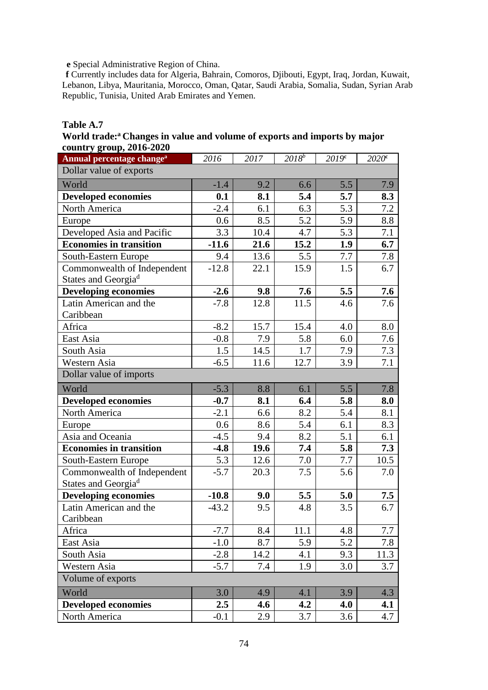**e** Special Administrative Region of China.

**f** Currently includes data for Algeria, Bahrain, Comoros, Djibouti, Egypt, Iraq, Jordan, Kuwait, Lebanon, Libya, Mauritania, Morocco, Oman, Qatar, Saudi Arabia, Somalia, Sudan, Syrian Arab Republic, Tunisia, United Arab Emirates and Yemen.

## **Table A.7**

World trade:<sup>a</sup> Changes in value and volume of exports and imports by major **country group, 2016-2020**

| $\mathbf{count}_j$ group, $\mathbf{v}_j$<br>Annual percentage change <sup>a</sup> | 2016    | 2017 | $20\overline{18^b}$ | 2019 <sup>c</sup> | 2020 <sup>c</sup> |
|-----------------------------------------------------------------------------------|---------|------|---------------------|-------------------|-------------------|
| Dollar value of exports                                                           |         |      |                     |                   |                   |
| World                                                                             | $-1.4$  | 9.2  | 6.6                 | 5.5               | 7.9               |
| <b>Developed economies</b>                                                        | 0.1     | 8.1  | 5.4                 | 5.7               | 8.3               |
| North America                                                                     | $-2.4$  | 6.1  | 6.3                 | 5.3               | 7.2               |
| Europe                                                                            | 0.6     | 8.5  | 5.2                 | 5.9               | 8.8               |
| Developed Asia and Pacific                                                        | 3.3     | 10.4 | 4.7                 | 5.3               | $7.1\,$           |
| <b>Economies in transition</b>                                                    | $-11.6$ | 21.6 | 15.2                | 1.9               | 6.7               |
| South-Eastern Europe                                                              | 9.4     | 13.6 | 5.5                 | 7.7               | 7.8               |
| Commonwealth of Independent<br>States and Georgia <sup>d</sup>                    | $-12.8$ | 22.1 | 15.9                | 1.5               | 6.7               |
| <b>Developing economies</b>                                                       | $-2.6$  | 9.8  | 7.6                 | 5.5               | 7.6               |
| Latin American and the<br>Caribbean                                               | $-7.8$  | 12.8 | 11.5                | 4.6               | 7.6               |
| Africa                                                                            | $-8.2$  | 15.7 | 15.4                | 4.0               | 8.0               |
| East Asia                                                                         | $-0.8$  | 7.9  | 5.8                 | 6.0               | 7.6               |
| South Asia                                                                        | 1.5     | 14.5 | 1.7                 | 7.9               | 7.3               |
| Western Asia                                                                      | $-6.5$  | 11.6 | 12.7                | 3.9               | 7.1               |
| Dollar value of imports                                                           |         |      |                     |                   |                   |
| World                                                                             | $-5.3$  | 8.8  | 6.1                 | 5.5               | 7.8               |
| <b>Developed economies</b>                                                        | $-0.7$  | 8.1  | 6.4                 | 5.8               | 8.0               |
| North America                                                                     | $-2.1$  | 6.6  | 8.2                 | 5.4               | 8.1               |
| Europe                                                                            | 0.6     | 8.6  | 5.4                 | 6.1               | 8.3               |
| Asia and Oceania                                                                  | $-4.5$  | 9.4  | 8.2                 | 5.1               | 6.1               |
| <b>Economies in transition</b>                                                    | $-4.8$  | 19.6 | 7.4                 | 5.8               | 7.3               |
| South-Eastern Europe                                                              | 5.3     | 12.6 | 7.0                 | 7.7               | 10.5              |
| Commonwealth of Independent<br>States and Georgia <sup>d</sup>                    | $-5.7$  | 20.3 | 7.5                 | 5.6               | 7.0               |
| <b>Developing economies</b>                                                       | $-10.8$ | 9.0  | 5.5                 | 5.0               | 7.5               |
| Latin American and the<br>Caribbean                                               | $-43.2$ | 9.5  | 4.8                 | 3.5               | 6.7               |
| Africa                                                                            | $-7.7$  | 8.4  | 11.1                | 4.8               | 7.7               |
| East Asia                                                                         | $-1.0$  | 8.7  | 5.9                 | 5.2               | 7.8               |
| South Asia                                                                        | $-2.8$  | 14.2 | 4.1                 | 9.3               | 11.3              |
| Western Asia                                                                      | $-5.7$  | 7.4  | 1.9                 | $3.0\,$           | 3.7               |
| Volume of exports                                                                 |         |      |                     |                   |                   |
| World                                                                             | 3.0     | 4.9  | 4.1                 | 3.9               | 4.3               |
| <b>Developed economies</b>                                                        | $2.5\,$ | 4.6  | 4.2                 | 4.0               | 4.1               |
| North America                                                                     | $-0.1$  | 2.9  | 3.7                 | 3.6               | 4.7               |